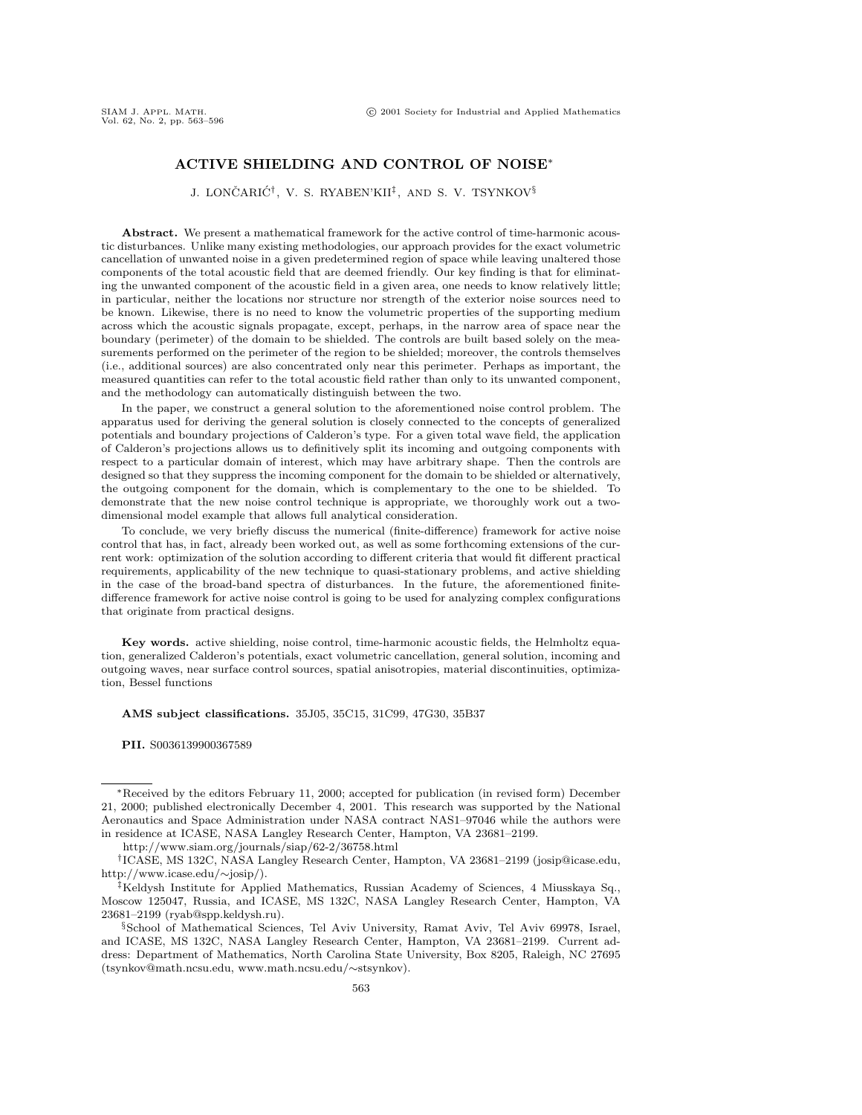# **ACTIVE SHIELDING AND CONTROL OF NOISE**<sup>∗</sup>

J. LONČARIĆ<sup>†</sup>, V. S. RYABEN'KII<sup>‡</sup>, AND S. V. TSYNKOV<sup>§</sup>

**Abstract.** We present a mathematical framework for the active control of time-harmonic acoustic disturbances. Unlike many existing methodologies, our approach provides for the exact volumetric cancellation of unwanted noise in a given predetermined region of space while leaving unaltered those components of the total acoustic field that are deemed friendly. Our key finding is that for eliminating the unwanted component of the acoustic field in a given area, one needs to know relatively little; in particular, neither the locations nor structure nor strength of the exterior noise sources need to be known. Likewise, there is no need to know the volumetric properties of the supporting medium across which the acoustic signals propagate, except, perhaps, in the narrow area of space near the boundary (perimeter) of the domain to be shielded. The controls are built based solely on the measurements performed on the perimeter of the region to be shielded; moreover, the controls themselves (i.e., additional sources) are also concentrated only near this perimeter. Perhaps as important, the measured quantities can refer to the total acoustic field rather than only to its unwanted component, and the methodology can automatically distinguish between the two.

In the paper, we construct a general solution to the aforementioned noise control problem. The apparatus used for deriving the general solution is closely connected to the concepts of generalized potentials and boundary projections of Calderon's type. For a given total wave field, the application of Calderon's projections allows us to definitively split its incoming and outgoing components with respect to a particular domain of interest, which may have arbitrary shape. Then the controls are designed so that they suppress the incoming component for the domain to be shielded or alternatively, the outgoing component for the domain, which is complementary to the one to be shielded. To demonstrate that the new noise control technique is appropriate, we thoroughly work out a twodimensional model example that allows full analytical consideration.

To conclude, we very briefly discuss the numerical (finite-difference) framework for active noise control that has, in fact, already been worked out, as well as some forthcoming extensions of the current work: optimization of the solution according to different criteria that would fit different practical requirements, applicability of the new technique to quasi-stationary problems, and active shielding in the case of the broad-band spectra of disturbances. In the future, the aforementioned finitedifference framework for active noise control is going to be used for analyzing complex configurations that originate from practical designs.

**Key words.** active shielding, noise control, time-harmonic acoustic fields, the Helmholtz equation, generalized Calderon's potentials, exact volumetric cancellation, general solution, incoming and outgoing waves, near surface control sources, spatial anisotropies, material discontinuities, optimization, Bessel functions

**AMS subject classifications.** 35J05, 35C15, 31C99, 47G30, 35B37

**PII.** S0036139900367589

<sup>∗</sup>Received by the editors February 11, 2000; accepted for publication (in revised form) December 21, 2000; published electronically December 4, 2001. This research was supported by the National Aeronautics and Space Administration under NASA contract NAS1–97046 while the authors were in residence at ICASE, NASA Langley Research Center, Hampton, VA 23681–2199.

http://www.siam.org/journals/siap/62-2/36758.html

<sup>†</sup>ICASE, MS 132C, NASA Langley Research Center, Hampton, VA 23681–2199 (josip@icase.edu, http://www.icase.edu/∼josip/).

<sup>‡</sup>Keldysh Institute for Applied Mathematics, Russian Academy of Sciences, 4 Miusskaya Sq., Moscow 125047, Russia, and ICASE, MS 132C, NASA Langley Research Center, Hampton, VA 23681–2199 (ryab@spp.keldysh.ru).

<sup>§</sup>School of Mathematical Sciences, Tel Aviv University, Ramat Aviv, Tel Aviv 69978, Israel, and ICASE, MS 132C, NASA Langley Research Center, Hampton, VA 23681–2199. Current address: Department of Mathematics, North Carolina State University, Box 8205, Raleigh, NC 27695 (tsynkov@math.ncsu.edu, www.math.ncsu.edu/∼stsynkov).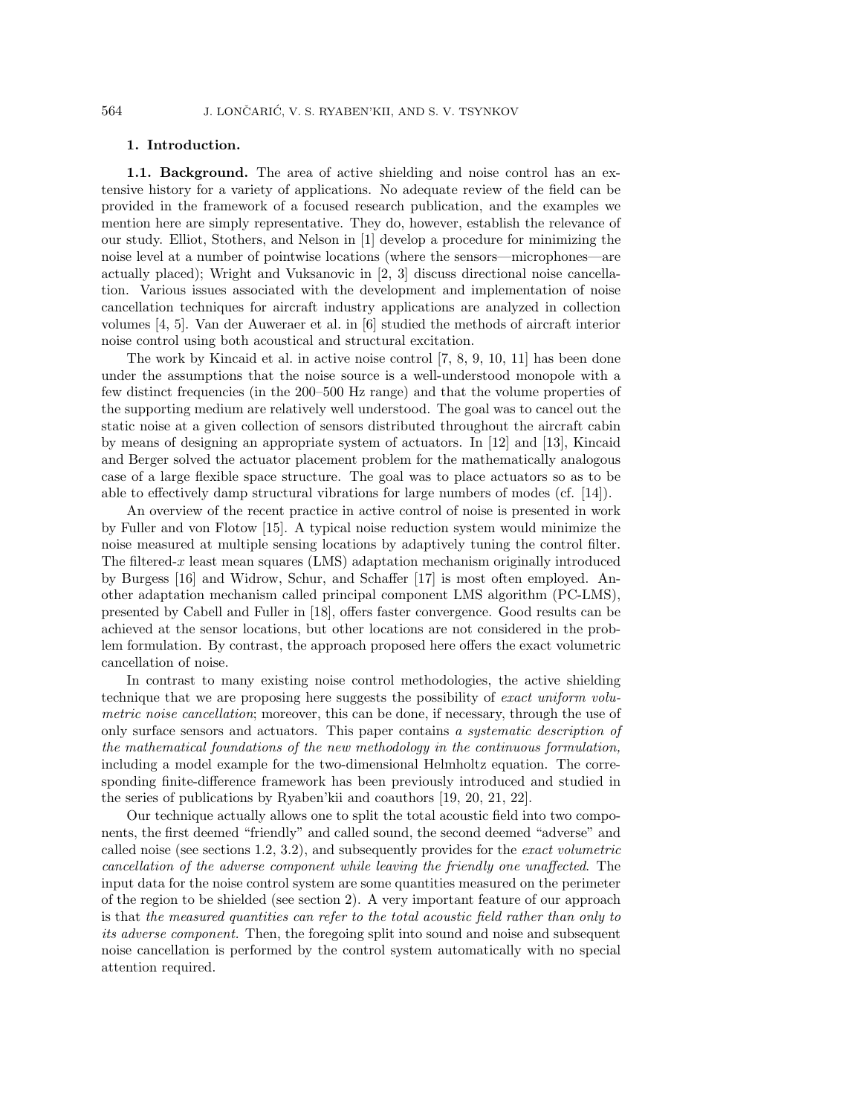## **1. Introduction.**

**1.1. Background.** The area of active shielding and noise control has an extensive history for a variety of applications. No adequate review of the field can be provided in the framework of a focused research publication, and the examples we mention here are simply representative. They do, however, establish the relevance of our study. Elliot, Stothers, and Nelson in [1] develop a procedure for minimizing the noise level at a number of pointwise locations (where the sensors—microphones—are actually placed); Wright and Vuksanovic in [2, 3] discuss directional noise cancellation. Various issues associated with the development and implementation of noise cancellation techniques for aircraft industry applications are analyzed in collection volumes [4, 5]. Van der Auweraer et al. in [6] studied the methods of aircraft interior noise control using both acoustical and structural excitation.

The work by Kincaid et al. in active noise control  $[7, 8, 9, 10, 11]$  has been done under the assumptions that the noise source is a well-understood monopole with a few distinct frequencies (in the 200–500 Hz range) and that the volume properties of the supporting medium are relatively well understood. The goal was to cancel out the static noise at a given collection of sensors distributed throughout the aircraft cabin by means of designing an appropriate system of actuators. In [12] and [13], Kincaid and Berger solved the actuator placement problem for the mathematically analogous case of a large flexible space structure. The goal was to place actuators so as to be able to effectively damp structural vibrations for large numbers of modes (cf. [14]).

An overview of the recent practice in active control of noise is presented in work by Fuller and von Flotow [15]. A typical noise reduction system would minimize the noise measured at multiple sensing locations by adaptively tuning the control filter. The filtered-x least mean squares  $(LMS)$  adaptation mechanism originally introduced by Burgess [16] and Widrow, Schur, and Schaffer [17] is most often employed. Another adaptation mechanism called principal component LMS algorithm (PC-LMS), presented by Cabell and Fuller in [18], offers faster convergence. Good results can be achieved at the sensor locations, but other locations are not considered in the problem formulation. By contrast, the approach proposed here offers the exact volumetric cancellation of noise.

In contrast to many existing noise control methodologies, the active shielding technique that we are proposing here suggests the possibility of exact uniform volumetric noise cancellation; moreover, this can be done, if necessary, through the use of only surface sensors and actuators. This paper contains a systematic description of the mathematical foundations of the new methodology in the continuous formulation, including a model example for the two-dimensional Helmholtz equation. The corresponding finite-difference framework has been previously introduced and studied in the series of publications by Ryaben'kii and coauthors [19, 20, 21, 22].

Our technique actually allows one to split the total acoustic field into two components, the first deemed "friendly" and called sound, the second deemed "adverse" and called noise (see sections 1.2, 3.2), and subsequently provides for the exact volumetric cancellation of the adverse component while leaving the friendly one unaffected. The input data for the noise control system are some quantities measured on the perimeter of the region to be shielded (see section 2). A very important feature of our approach is that the measured quantities can refer to the total acoustic field rather than only to its adverse component. Then, the foregoing split into sound and noise and subsequent noise cancellation is performed by the control system automatically with no special attention required.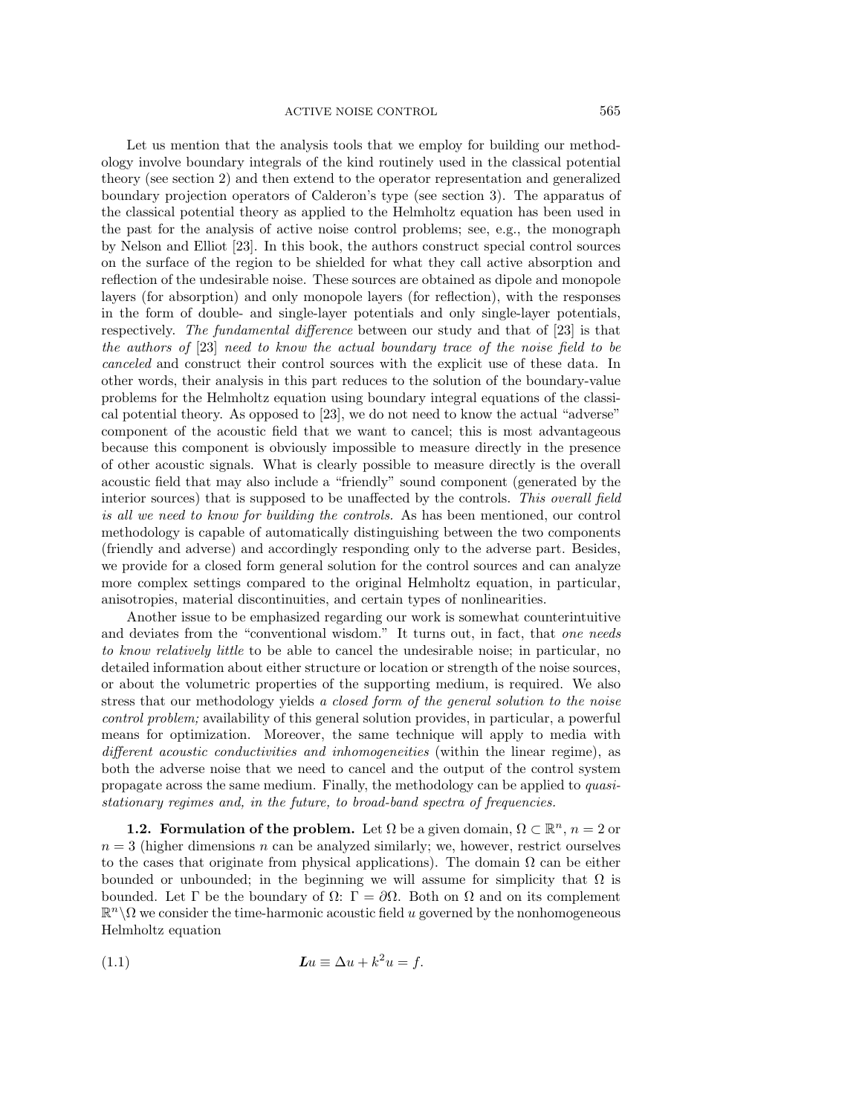Let us mention that the analysis tools that we employ for building our methodology involve boundary integrals of the kind routinely used in the classical potential theory (see section 2) and then extend to the operator representation and generalized boundary projection operators of Calderon's type (see section 3). The apparatus of the classical potential theory as applied to the Helmholtz equation has been used in the past for the analysis of active noise control problems; see, e.g., the monograph by Nelson and Elliot [23]. In this book, the authors construct special control sources on the surface of the region to be shielded for what they call active absorption and reflection of the undesirable noise. These sources are obtained as dipole and monopole layers (for absorption) and only monopole layers (for reflection), with the responses in the form of double- and single-layer potentials and only single-layer potentials, respectively. The fundamental difference between our study and that of [23] is that the authors of [23] need to know the actual boundary trace of the noise field to be canceled and construct their control sources with the explicit use of these data. In other words, their analysis in this part reduces to the solution of the boundary-value problems for the Helmholtz equation using boundary integral equations of the classical potential theory. As opposed to [23], we do not need to know the actual "adverse" component of the acoustic field that we want to cancel; this is most advantageous because this component is obviously impossible to measure directly in the presence of other acoustic signals. What is clearly possible to measure directly is the overall acoustic field that may also include a "friendly" sound component (generated by the interior sources) that is supposed to be unaffected by the controls. This overall field is all we need to know for building the controls. As has been mentioned, our control methodology is capable of automatically distinguishing between the two components (friendly and adverse) and accordingly responding only to the adverse part. Besides, we provide for a closed form general solution for the control sources and can analyze more complex settings compared to the original Helmholtz equation, in particular, anisotropies, material discontinuities, and certain types of nonlinearities.

Another issue to be emphasized regarding our workis somewhat counterintuitive and deviates from the "conventional wisdom." It turns out, in fact, that one needs to know relatively little to be able to cancel the undesirable noise; in particular, no detailed information about either structure or location or strength of the noise sources, or about the volumetric properties of the supporting medium, is required. We also stress that our methodology yields a closed form of the general solution to the noise control problem; availability of this general solution provides, in particular, a powerful means for optimization. Moreover, the same technique will apply to media with different acoustic conductivities and inhomogeneities (within the linear regime), as both the adverse noise that we need to cancel and the output of the control system propagate across the same medium. Finally, the methodology can be applied to quasistationary regimes and, in the future, to broad-band spectra of frequencies.

**1.2. Formulation of the problem.** Let  $\Omega$  be a given domain,  $\Omega \subset \mathbb{R}^n$ ,  $n = 2$  or  $n = 3$  (higher dimensions n can be analyzed similarly; we, however, restrict ourselves to the cases that originate from physical applications). The domain  $\Omega$  can be either bounded or unbounded; in the beginning we will assume for simplicity that  $\Omega$  is bounded. Let Γ be the boundary of  $\Omega$ : Γ =  $\partial\Omega$ . Both on  $\Omega$  and on its complement  $\mathbb{R}^n\setminus\Omega$  we consider the time-harmonic acoustic field u governed by the nonhomogeneous Helmholtz equation

(1.1) 
$$
\boldsymbol{L}u \equiv \Delta u + k^2 u = f.
$$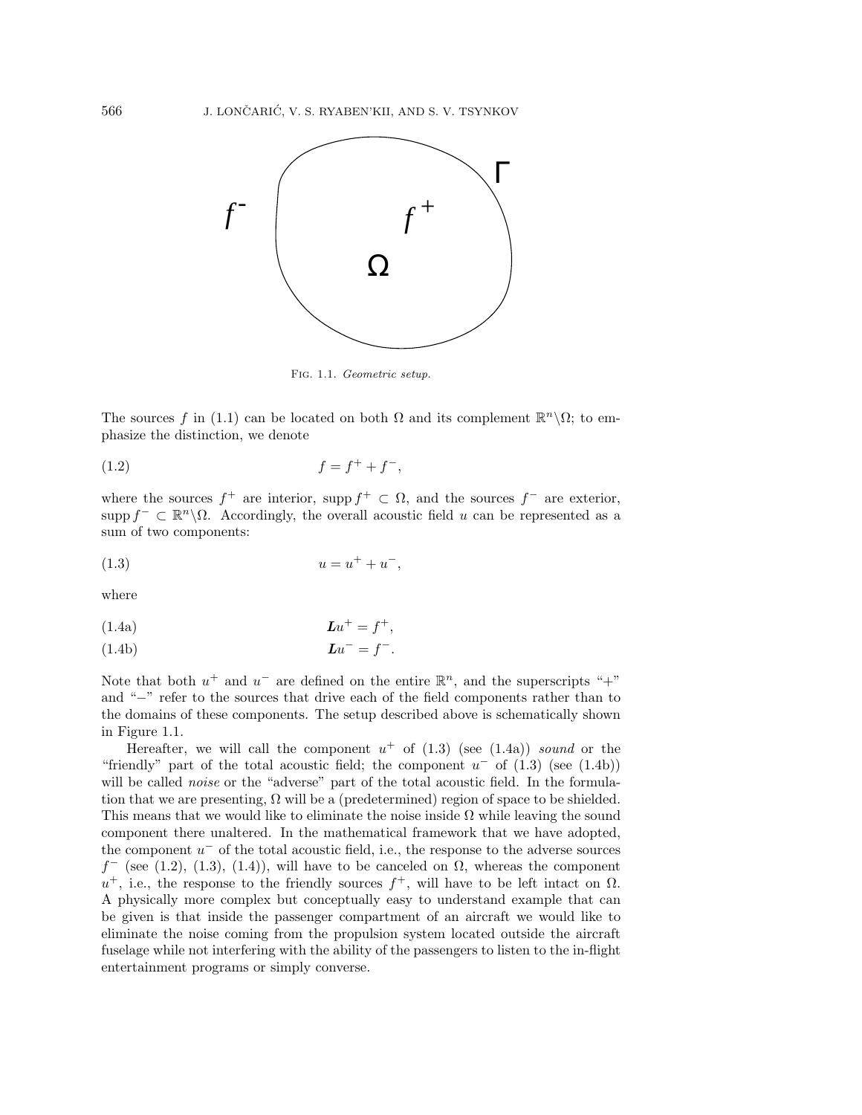

Fig. 1.1. Geometric setup.

The sources f in (1.1) can be located on both  $\Omega$  and its complement  $\mathbb{R}^n \setminus \Omega$ ; to emphasize the distinction, we denote

$$
(1.2) \t\t f = f^+ + f^-,
$$

where the sources  $f^+$  are interior, supp  $f^+ \subset \Omega$ , and the sources  $f^-$  are exterior, supp  $f^- \subset \mathbb{R}^n \backslash \Omega$ . Accordingly, the overall acoustic field u can be represented as a sum of two components:

$$
(1.3) \t\t u = u^{+} + u^{-},
$$

where

*L*u<sup>+</sup> = f <sup>+</sup> (1.4a) ,

*L*u<sup>−</sup> = f <sup>−</sup> (1.4b) .

Note that both  $u^+$  and  $u^-$  are defined on the entire  $\mathbb{R}^n$ , and the superscripts "+" and "−" refer to the sources that drive each of the field components rather than to the domains of these components. The setup described above is schematically shown in Figure 1.1.

Hereafter, we will call the component  $u^+$  of (1.3) (see (1.4a)) sound or the "friendly" part of the total acoustic field; the component  $u^-$  of  $(1.3)$  (see  $(1.4b)$ ) will be called *noise* or the "adverse" part of the total acoustic field. In the formulation that we are presenting,  $\Omega$  will be a (predetermined) region of space to be shielded. This means that we would like to eliminate the noise inside  $\Omega$  while leaving the sound component there unaltered. In the mathematical frameworkthat we have adopted, the component  $u^-$  of the total acoustic field, i.e., the response to the adverse sources  $f^{\text{-}}$  (see (1.2), (1.3), (1.4)), will have to be canceled on  $\Omega$ , whereas the component  $u^+$ , i.e., the response to the friendly sources  $f^+$ , will have to be left intact on  $\Omega$ . A physically more complex but conceptually easy to understand example that can be given is that inside the passenger compartment of an aircraft we would like to eliminate the noise coming from the propulsion system located outside the aircraft fuselage while not interfering with the ability of the passengers to listen to the in-flight entertainment programs or simply converse.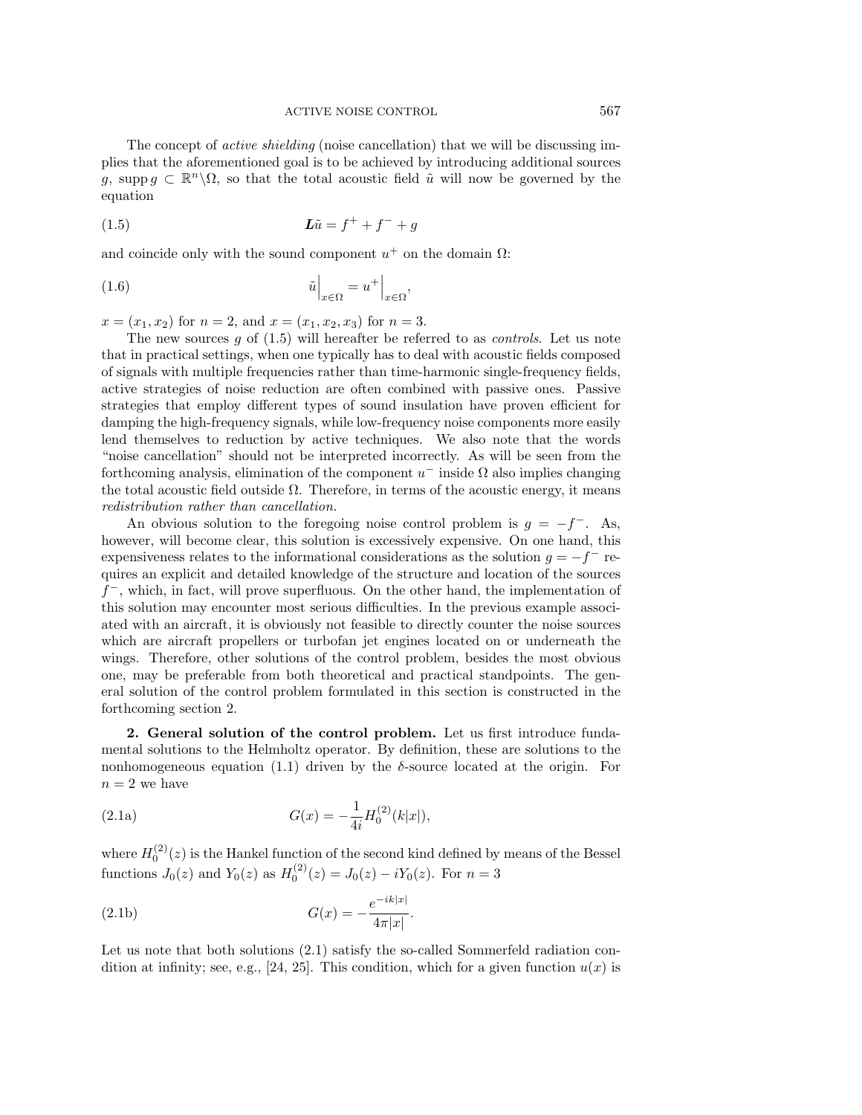The concept of *active shielding* (noise cancellation) that we will be discussing implies that the aforementioned goal is to be achieved by introducing additional sources g, supp  $g \text{ }\subset \mathbb{R}^n\backslash\Omega$ , so that the total acoustic field  $\tilde{u}$  will now be governed by the equation

*L*u˜ = f <sup>+</sup> + f <sup>−</sup> (1.5) + g

and coincide only with the sound component  $u^+$  on the domain  $\Omega$ :

(1.6) 
$$
\tilde{u}\Big|_{x\in\Omega} = u^+\Big|_{x\in\Omega},
$$

 $x = (x_1, x_2)$  for  $n = 2$ , and  $x = (x_1, x_2, x_3)$  for  $n = 3$ .

The new sources  $g$  of  $(1.5)$  will hereafter be referred to as *controls*. Let us note that in practical settings, when one typically has to deal with acoustic fields composed of signals with multiple frequencies rather than time-harmonic single-frequency fields, active strategies of noise reduction are often combined with passive ones. Passive strategies that employ different types of sound insulation have proven efficient for damping the high-frequency signals, while low-frequency noise components more easily lend themselves to reduction by active techniques. We also note that the words "noise cancellation" should not be interpreted incorrectly. As will be seen from the forthcoming analysis, elimination of the component  $u^-$  inside  $\Omega$  also implies changing the total acoustic field outside  $\Omega$ . Therefore, in terms of the acoustic energy, it means redistribution rather than cancellation.

An obvious solution to the foregoing noise control problem is  $g = -f^-$ . As, however, will become clear, this solution is excessively expensive. On one hand, this expensiveness relates to the informational considerations as the solution  $g = -f^-$  requires an explicit and detailed knowledge of the structure and location of the sources  $f^-$ , which, in fact, will prove superfluous. On the other hand, the implementation of this solution may encounter most serious difficulties. In the previous example associated with an aircraft, it is obviously not feasible to directly counter the noise sources which are aircraft propellers or turbofan jet engines located on or underneath the wings. Therefore, other solutions of the control problem, besides the most obvious one, may be preferable from both theoretical and practical standpoints. The general solution of the control problem formulated in this section is constructed in the forthcoming section 2.

**2. General solution of the control problem.** Let us first introduce fundamental solutions to the Helmholtz operator. By definition, these are solutions to the nonhomogeneous equation (1.1) driven by the  $\delta$ -source located at the origin. For  $n=2$  we have

(2.1a) 
$$
G(x) = -\frac{1}{4i}H_0^{(2)}(k|x|),
$$

where  $H_0^{(2)}(z)$  is the Hankel function of the second kind defined by means of the Bessel functions  $J_0(z)$  and  $Y_0(z)$  as  $H_0^{(2)}(z) = J_0(z) - iY_0(z)$ . For  $n = 3$ 

(2.1b) 
$$
G(x) = -\frac{e^{-ik|x|}}{4\pi|x|}.
$$

Let us note that both solutions (2.1) satisfy the so-called Sommerfeld radiation condition at infinity; see, e.g., [24, 25]. This condition, which for a given function  $u(x)$  is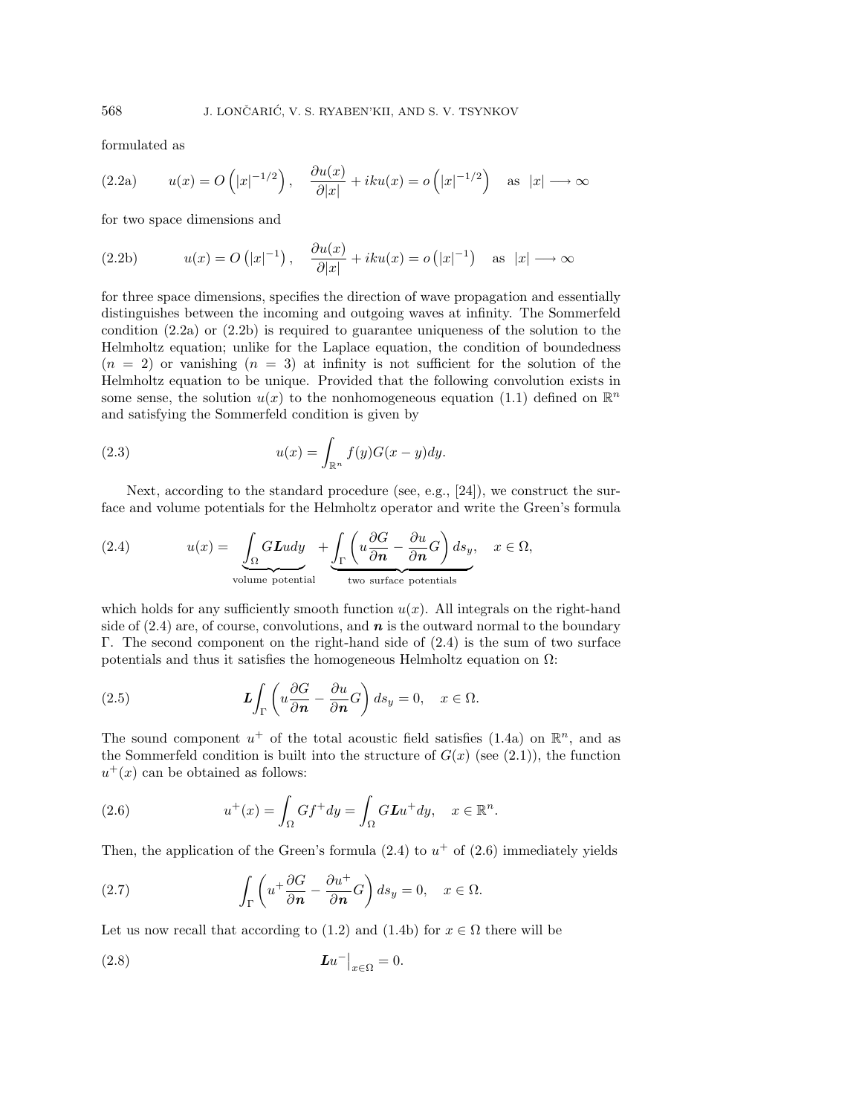formulated as

(2.2a) 
$$
u(x) = O\left(|x|^{-1/2}\right), \quad \frac{\partial u(x)}{\partial |x|} + iku(x) = o\left(|x|^{-1/2}\right) \quad \text{as} \quad |x| \longrightarrow \infty
$$

for two space dimensions and

(2.2b) 
$$
u(x) = O(|x|^{-1}), \quad \frac{\partial u(x)}{\partial |x|} + iku(x) = o(|x|^{-1}) \quad \text{as } |x| \longrightarrow \infty
$$

for three space dimensions, specifies the direction of wave propagation and essentially distinguishes between the incoming and outgoing waves at infinity. The Sommerfeld condition (2.2a) or (2.2b) is required to guarantee uniqueness of the solution to the Helmholtz equation; unlike for the Laplace equation, the condition of boundedness  $(n = 2)$  or vanishing  $(n = 3)$  at infinity is not sufficient for the solution of the Helmholtz equation to be unique. Provided that the following convolution exists in some sense, the solution  $u(x)$  to the nonhomogeneous equation (1.1) defined on  $\mathbb{R}^n$ and satisfying the Sommerfeld condition is given by

(2.3) 
$$
u(x) = \int_{\mathbb{R}^n} f(y)G(x - y)dy.
$$

Next, according to the standard procedure (see, e.g., [24]), we construct the surface and volume potentials for the Helmholtz operator and write the Green's formula

(2.4) 
$$
u(x) = \underbrace{\int_{\Omega} G \mathbf{L} u dy}_{\text{volume potential}} + \underbrace{\int_{\Gamma} \left( u \frac{\partial G}{\partial n} - \frac{\partial u}{\partial n} G \right) ds_y}_{\text{two surface potentials}}, \quad x \in \Omega,
$$

which holds for any sufficiently smooth function  $u(x)$ . All integrals on the right-hand side of  $(2.4)$  are, of course, convolutions, and  $n$  is the outward normal to the boundary Γ. The second component on the right-hand side of  $(2.4)$  is the sum of two surface potentials and thus it satisfies the homogeneous Helmholtz equation on  $\Omega$ :

(2.5) 
$$
L \int_{\Gamma} \left( u \frac{\partial G}{\partial n} - \frac{\partial u}{\partial n} G \right) ds_y = 0, \quad x \in \Omega.
$$

The sound component  $u^+$  of the total acoustic field satisfies (1.4a) on  $\mathbb{R}^n$ , and as the Sommerfeld condition is built into the structure of  $G(x)$  (see (2.1)), the function  $u^+(x)$  can be obtained as follows:

(2.6) 
$$
u^+(x) = \int_{\Omega} G f^+ dy = \int_{\Omega} G L u^+ dy, \quad x \in \mathbb{R}^n.
$$

Then, the application of the Green's formula  $(2.4)$  to  $u^+$  of  $(2.6)$  immediately yields

(2.7) 
$$
\int_{\Gamma} \left( u^+ \frac{\partial G}{\partial n} - \frac{\partial u^+}{\partial n} G \right) ds_y = 0, \quad x \in \Omega.
$$

Let us now recall that according to (1.2) and (1.4b) for  $x \in \Omega$  there will be

$$
(2.8) \t\t\t\t\t\t Lu^{-}|_{x \in \Omega} = 0.
$$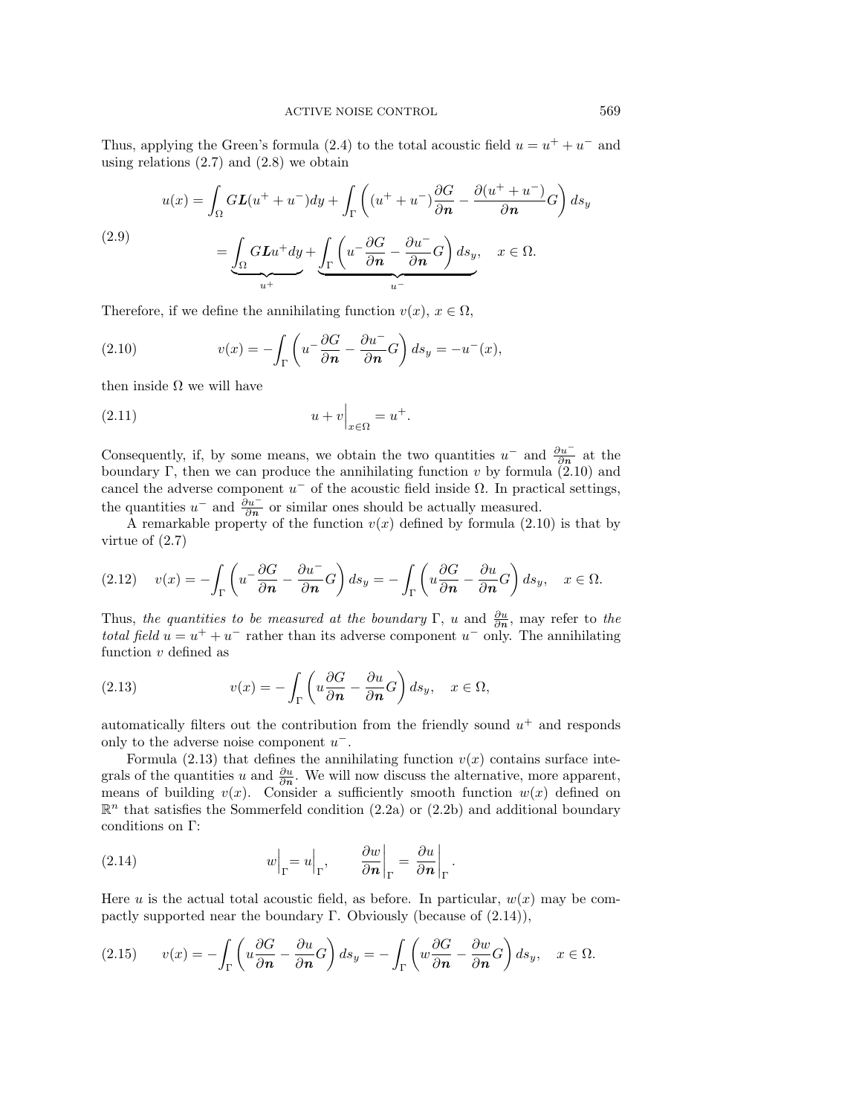Thus, applying the Green's formula (2.4) to the total acoustic field  $u = u^+ + u^-$  and using relations  $(2.7)$  and  $(2.8)$  we obtain

(2.9)  

$$
u(x) = \int_{\Omega} GL(u^+ + u^-)dy + \int_{\Gamma} \left( (u^+ + u^-) \frac{\partial G}{\partial n} - \frac{\partial (u^+ + u^-)}{\partial n} G \right) ds_y
$$

$$
= \underbrace{\int_{\Omega} GLu^+ dy}_{u^+} + \underbrace{\int_{\Gamma} \left( u^- \frac{\partial G}{\partial n} - \frac{\partial u^-}{\partial n} G \right) ds_y}_{u^-}, \quad x \in \Omega.
$$

Therefore, if we define the annihilating function  $v(x)$ ,  $x \in \Omega$ ,

(2.10) 
$$
v(x) = -\int_{\Gamma} \left( u - \frac{\partial G}{\partial n} - \frac{\partial u^{-}}{\partial n} G \right) ds_y = -u^{-}(x),
$$

then inside  $\Omega$  we will have

$$
(2.11) \t\t u + v\Big|_{x \in \Omega} = u^+.
$$

Consequently, if, by some means, we obtain the two quantities  $u^-$  and  $\frac{\partial u^-}{\partial n}$  at the boundary Γ, then we can produce the annihilating function  $v$  by formula (2.10) and cancel the adverse component  $u^-$  of the acoustic field inside  $\Omega$ . In practical settings, the quantities  $u^-$  and  $\frac{\partial u^-}{\partial n}$  or similar ones should be actually measured.

A remarkable property of the function  $v(x)$  defined by formula (2.10) is that by virtue of (2.7)

$$
(2.12) \t v(x) = -\int_{\Gamma} \left( u^{-} \frac{\partial G}{\partial n} - \frac{\partial u^{-}}{\partial n} G \right) ds_y = -\int_{\Gamma} \left( u \frac{\partial G}{\partial n} - \frac{\partial u}{\partial n} G \right) ds_y, \quad x \in \Omega.
$$

Thus, the quantities to be measured at the boundary Γ, u and  $\frac{\partial u}{\partial n}$ , may refer to the total field  $u = u^+ + u^-$  rather than its adverse component  $u^-$  only. The annihilating function  $v$  defined as

(2.13) 
$$
v(x) = -\int_{\Gamma} \left( u \frac{\partial G}{\partial n} - \frac{\partial u}{\partial n} G \right) ds_y, \quad x \in \Omega,
$$

automatically filters out the contribution from the friendly sound  $u^+$  and responds only to the adverse noise component  $u^-$ .

Formula (2.13) that defines the annihilating function  $v(x)$  contains surface integrals of the quantities u and  $\frac{\partial u}{\partial n}$ . We will now discuss the alternative, more apparent, means of building  $v(x)$ . Consider a sufficiently smooth function  $w(x)$  defined on  $\mathbb{R}^n$  that satisfies the Sommerfeld condition (2.2a) or (2.2b) and additional boundary conditions on Γ:

(2.14) 
$$
w\Big|_{\Gamma} = u\Big|_{\Gamma}, \qquad \frac{\partial w}{\partial n}\Big|_{\Gamma} = \frac{\partial u}{\partial n}\Big|_{\Gamma}.
$$

Here u is the actual total acoustic field, as before. In particular,  $w(x)$  may be compactly supported near the boundary Γ. Obviously (because of  $(2.14)$ ),

$$
(2.15) \t v(x) = -\int_{\Gamma} \left( u \frac{\partial G}{\partial n} - \frac{\partial u}{\partial n} G \right) ds_y = -\int_{\Gamma} \left( w \frac{\partial G}{\partial n} - \frac{\partial w}{\partial n} G \right) ds_y, \quad x \in \Omega.
$$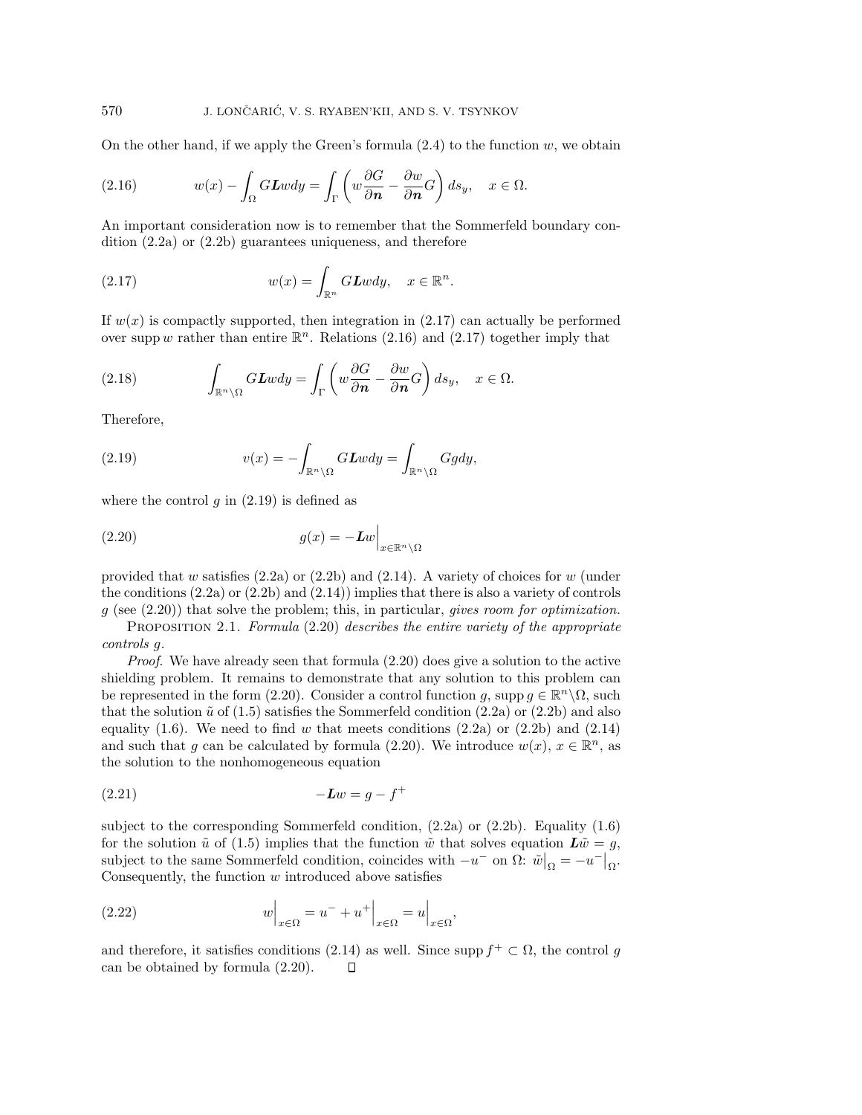On the other hand, if we apply the Green's formula  $(2.4)$  to the function w, we obtain

(2.16) 
$$
w(x) - \int_{\Omega} GLwdy = \int_{\Gamma} \left( w \frac{\partial G}{\partial n} - \frac{\partial w}{\partial n} G \right) ds_y, \quad x \in \Omega.
$$

An important consideration now is to remember that the Sommerfeld boundary condition (2.2a) or (2.2b) guarantees uniqueness, and therefore

(2.17) 
$$
w(x) = \int_{\mathbb{R}^n} G\mathbf{L} w dy, \quad x \in \mathbb{R}^n.
$$

If  $w(x)$  is compactly supported, then integration in (2.17) can actually be performed over supp w rather than entire  $\mathbb{R}^n$ . Relations (2.16) and (2.17) together imply that

(2.18) 
$$
\int_{\mathbb{R}^n \setminus \Omega} GLwdy = \int_{\Gamma} \left( w \frac{\partial G}{\partial n} - \frac{\partial w}{\partial n} G \right) ds_y, \quad x \in \Omega.
$$

Therefore,

(2.19) 
$$
v(x) = -\int_{\mathbb{R}^n \setminus \Omega} G \mathbf{L} w dy = \int_{\mathbb{R}^n \setminus \Omega} G g dy,
$$

where the control  $g$  in  $(2.19)$  is defined as

(2.20) 
$$
g(x) = -Lw\Big|_{x \in \mathbb{R}^n \setminus \Omega}
$$

provided that w satisfies  $(2.2a)$  or  $(2.2b)$  and  $(2.14)$ . A variety of choices for w (under the conditions  $(2.2a)$  or  $(2.2b)$  and  $(2.14)$ ) implies that there is also a variety of controls  $g$  (see  $(2.20)$ ) that solve the problem; this, in particular, gives room for optimization.

PROPOSITION 2.1. Formula (2.20) describes the entire variety of the appropriate controls g.

*Proof.* We have already seen that formula  $(2.20)$  does give a solution to the active shielding problem. It remains to demonstrate that any solution to this problem can be represented in the form (2.20). Consider a control function g, supp  $g \in \mathbb{R}^n \backslash \Omega$ , such that the solution  $\tilde{u}$  of (1.5) satisfies the Sommerfeld condition (2.2a) or (2.2b) and also equality (1.6). We need to find w that meets conditions  $(2.2a)$  or  $(2.2b)$  and  $(2.14)$ and such that g can be calculated by formula (2.20). We introduce  $w(x)$ ,  $x \in \mathbb{R}^n$ , as the solution to the nonhomogeneous equation

$$
(2.21) \qquad \qquad -Lw = g - f^+
$$

subject to the corresponding Sommerfeld condition, (2.2a) or (2.2b). Equality (1.6) for the solution  $\tilde{u}$  of (1.5) implies that the function  $\tilde{w}$  that solves equation  $\tilde{L}\tilde{w} = g$ , subject to the same Sommerfeld condition, coincides with  $-u^-$  on  $\Omega$ :  $\tilde{w}|_{\Omega} = -u^-|_{\Omega}$ . Consequently, the function  $w$  introduced above satisfies

(2.22) 
$$
w\Big|_{x\in\Omega} = u^- + u^+\Big|_{x\in\Omega} = u\Big|_{x\in\Omega},
$$

and therefore, it satisfies conditions (2.14) as well. Since supp  $f^+ \subset \Omega$ , the control g can be obtained by formula (2.20). $\Box$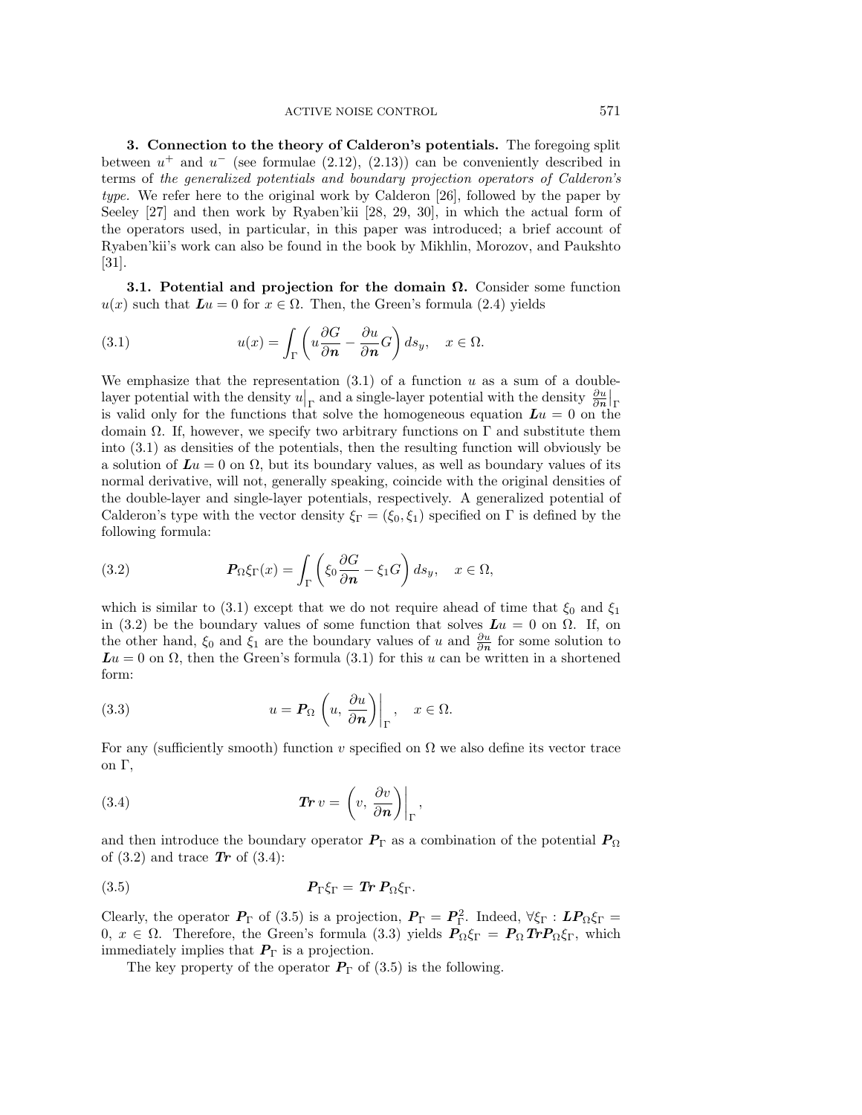**3. Connection to the theory of Calderon's potentials.** The foregoing split between  $u^+$  and  $u^-$  (see formulae (2.12), (2.13)) can be conveniently described in terms of the generalized potentials and boundary projection operators of Calderon's type. We refer here to the original work by Calderon [26], followed by the paper by Seeley  $[27]$  and then work by Ryaben'kii  $[28, 29, 30]$ , in which the actual form of the operators used, in particular, in this paper was introduced; a brief account of Ryaben'kii's work can also be found in the book by Mikhlin, Morozov, and Paukshto [31].

**3.1. Potential and projection for the domain**  $\Omega$ **.** Consider some function  $u(x)$  such that  $Lu = 0$  for  $x \in \Omega$ . Then, the Green's formula (2.4) yields

(3.1) 
$$
u(x) = \int_{\Gamma} \left( u \frac{\partial G}{\partial n} - \frac{\partial u}{\partial n} G \right) ds_y, \quad x \in \Omega.
$$

We emphasize that the representation  $(3.1)$  of a function u as a sum of a doublelayer potential with the density  $u|_{\Gamma}$  and a single-layer potential with the density  $\frac{\partial u}{\partial n}|_{\Gamma}$ is valid only for the functions that solve the homogeneous equation  $Lu = 0$  on the domain  $\Omega$ . If, however, we specify two arbitrary functions on  $\Gamma$  and substitute them into (3.1) as densities of the potentials, then the resulting function will obviously be a solution of  $Lu = 0$  on  $\Omega$ , but its boundary values, as well as boundary values of its normal derivative, will not, generally speaking, coincide with the original densities of the double-layer and single-layer potentials, respectively. A generalized potential of Calderon's type with the vector density  $\xi_{\Gamma} = (\xi_0, \xi_1)$  specified on Γ is defined by the following formula:

(3.2) 
$$
\mathbf{P}_{\Omega}\xi_{\Gamma}(x) = \int_{\Gamma} \left( \xi_0 \frac{\partial G}{\partial n} - \xi_1 G \right) ds_y, \quad x \in \Omega,
$$

which is similar to (3.1) except that we do not require ahead of time that  $\xi_0$  and  $\xi_1$ in (3.2) be the boundary values of some function that solves  $Lu = 0$  on  $\Omega$ . If, on the other hand,  $\xi_0$  and  $\xi_1$  are the boundary values of u and  $\frac{\partial u}{\partial n}$  for some solution to  $Lu = 0$  on  $\Omega$ , then the Green's formula (3.1) for this u can be written in a shortened form:

(3.3) 
$$
u = \mathbf{P}_{\Omega} \left( u, \frac{\partial u}{\partial n} \right) \Big|_{\Gamma}, \quad x \in \Omega.
$$

For any (sufficiently smooth) function v specified on  $\Omega$  we also define its vector trace on Γ,

(3.4) 
$$
\boldsymbol{Tr} \, v = \left( v, \, \frac{\partial v}{\partial \boldsymbol{n}} \right) \Big|_{\Gamma},
$$

and then introduce the boundary operator  $P_{\Gamma}$  as a combination of the potential  $P_{\Omega}$ of  $(3.2)$  and trace **Tr** of  $(3.4)$ :

$$
P_{\Gamma}\xi_{\Gamma} = \mathit{Tr}\ P_{\Omega}\xi_{\Gamma}.
$$

Clearly, the operator  $P_{\Gamma}$  of (3.5) is a projection,  $P_{\Gamma} = P_{\Gamma}^2$ . Indeed,  $\forall \xi_{\Gamma} : LP_{\Omega} \xi_{\Gamma} =$ 0,  $x \in Ω$ . Therefore, the Green's formula (3.3) yields  $P_{ΩξΓ} = P_{Ω} Tr P_{ΩξΓ}$ , which immediately implies that  $P_{\Gamma}$  is a projection.

The key property of the operator  $P_{\Gamma}$  of (3.5) is the following.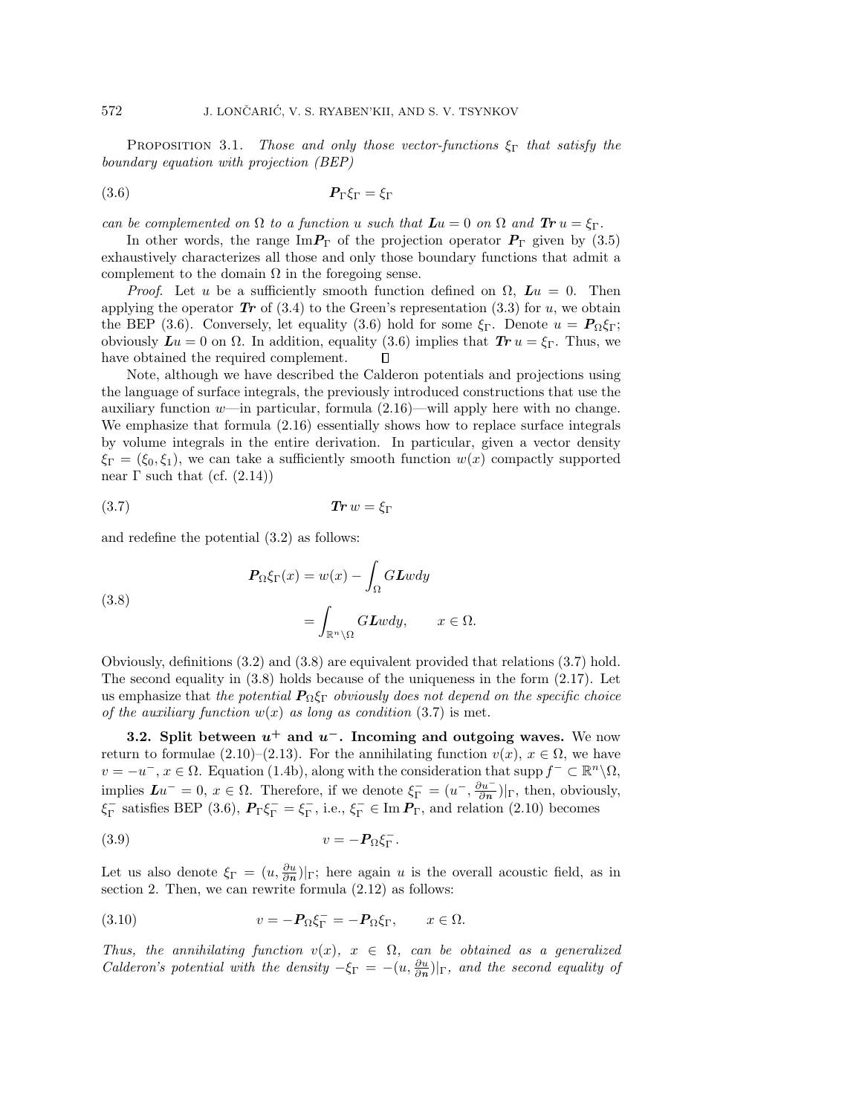PROPOSITION 3.1. Those and only those vector-functions  $\xi_{\Gamma}$  that satisfy the boundary equation with projection (BEP)

$$
P_{\Gamma}\xi_{\Gamma} = \xi_{\Gamma}
$$

can be complemented on  $\Omega$  to a function u such that  $\mathbf{L}u = 0$  on  $\Omega$  and  $\mathbf{Tr} u = \xi_{\Gamma}$ .

In other words, the range  $\text{Im} \mathbf{P}_{\Gamma}$  of the projection operator  $\mathbf{P}_{\Gamma}$  given by (3.5) exhaustively characterizes all those and only those boundary functions that admit a complement to the domain  $\Omega$  in the foregoing sense.

*Proof.* Let u be a sufficiently smooth function defined on  $\Omega$ ,  $Lu = 0$ . Then applying the operator  $\boldsymbol{T}$  of (3.4) to the Green's representation (3.3) for  $u$ , we obtain the BEP (3.6). Conversely, let equality (3.6) hold for some  $\xi_{\Gamma}$ . Denote  $u = P_{\Omega} \xi_{\Gamma}$ ; obviously  $Lu = 0$  on Ω. In addition, equality (3.6) implies that  $Tr u = ξ<sub>Γ</sub>$ . Thus, we have obtained the required complement. ◧

Note, although we have described the Calderon potentials and projections using the language of surface integrals, the previously introduced constructions that use the auxiliary function  $w$ —in particular, formula  $(2.16)$ —will apply here with no change. We emphasize that formula  $(2.16)$  essentially shows how to replace surface integrals by volume integrals in the entire derivation. In particular, given a vector density  $\xi_{\Gamma} = (\xi_0, \xi_1)$ , we can take a sufficiently smooth function  $w(x)$  compactly supported near Γ such that (cf.  $(2.14)$ )

(3.7) *Tr* w = ξ<sup>Γ</sup>

and redefine the potential (3.2) as follows:

(3.8)  

$$
P_{\Omega} \xi_{\Gamma}(x) = w(x) - \int_{\Omega} G L w dy
$$

$$
= \int_{\mathbb{R}^n \setminus \Omega} G L w dy, \qquad x \in \Omega.
$$

Obviously, definitions (3.2) and (3.8) are equivalent provided that relations (3.7) hold. The second equality in  $(3.8)$  holds because of the uniqueness in the form  $(2.17)$ . Let us emphasize that the potential  $P_{\Omega} \xi_{\Gamma}$  obviously does not depend on the specific choice of the auxiliary function  $w(x)$  as long as condition (3.7) is met.

**3.2. Split between** *u***<sup>+</sup> and** *u−***. Incoming and outgoing waves.** We now return to formulae (2.10)–(2.13). For the annihilating function  $v(x)$ ,  $x \in \Omega$ , we have  $v = -u^-, x \in \Omega$ . Equation (1.4b), along with the consideration that supp  $f^- \subset \mathbb{R}^n \backslash \Omega$ , implies  $Lu^- = 0$ ,  $x \in \Omega$ . Therefore, if we denote  $\xi_{\Gamma}^- = (u^-, \frac{\partial u^-}{\partial n})|_{\Gamma}$ , then, obviously,  $\xi_{\Gamma}^-$  satisfies BEP (3.6),  $P_{\Gamma} \xi_{\Gamma}^- = \xi_{\Gamma}^-$ , i.e.,  $\xi_{\Gamma}^- \in \text{Im } P_{\Gamma}$ , and relation (2.10) becomes

$$
(3.9) \t\t v = -P_{\Omega} \xi_{\Gamma}^-.
$$

Let us also denote  $\xi_{\Gamma} = (u, \frac{\partial u}{\partial n})|_{\Gamma}$ ; here again u is the overall acoustic field, as in section 2. Then, we can rewrite formula (2.12) as follows:

(3.10) 
$$
v = -P_{\Omega} \xi_{\Gamma}^- = -P_{\Omega} \xi_{\Gamma}, \qquad x \in \Omega.
$$

Thus, the annihilating function  $v(x)$ ,  $x \in \Omega$ , can be obtained as a generalized Calderon's potential with the density  $-\xi_{\Gamma} = -(u, \frac{\partial u}{\partial n})|_{\Gamma}$ , and the second equality of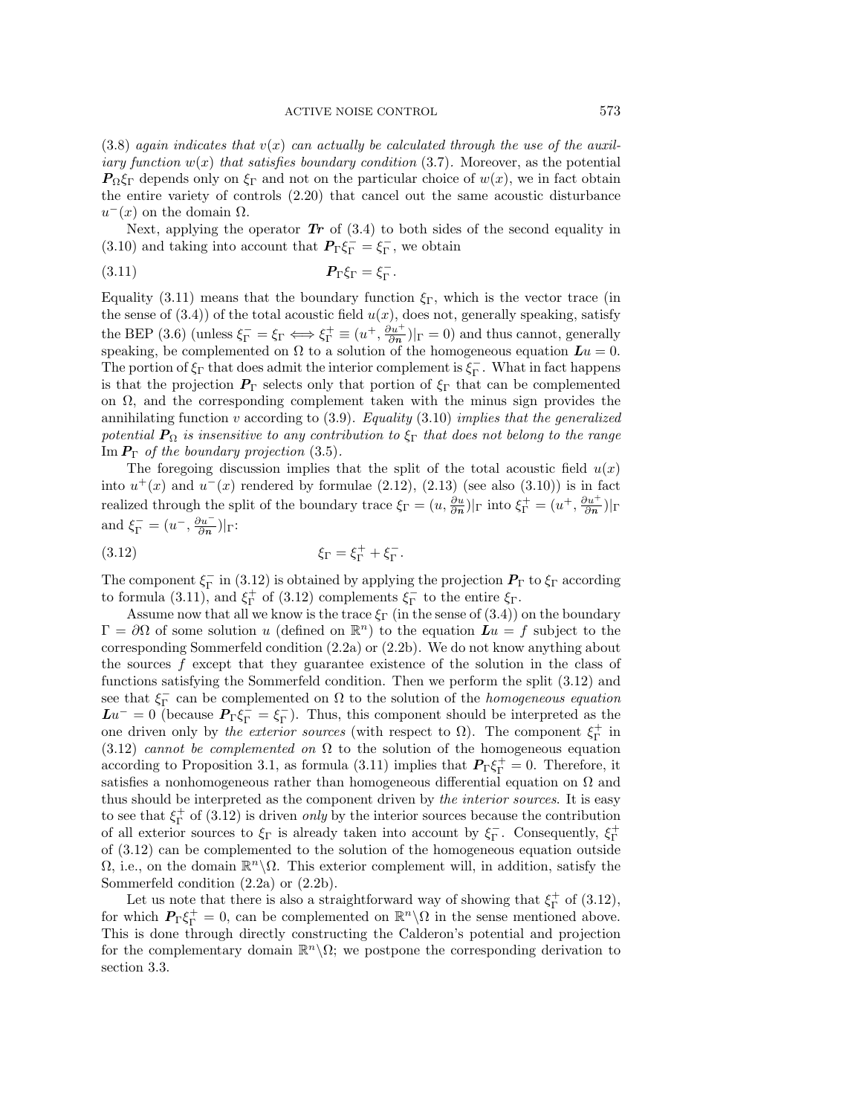$(3.8)$  again indicates that  $v(x)$  can actually be calculated through the use of the auxiliary function  $w(x)$  that satisfies boundary condition (3.7). Moreover, as the potential  $P_{\Omega} \xi_{\Gamma}$  depends only on  $\xi_{\Gamma}$  and not on the particular choice of  $w(x)$ , we in fact obtain the entire variety of controls (2.20) that cancel out the same acoustic disturbance  $u^{-}(x)$  on the domain  $\Omega$ .

Next, applying the operator  $Tr$  of  $(3.4)$  to both sides of the second equality in (3.10) and taking into account that  $P_{\Gamma} \xi_{\Gamma}^{-} = \xi_{\Gamma}^{-}$ , we obtain

$$
P_{\Gamma}\xi_{\Gamma}=\xi_{\Gamma}^{-}.
$$

Equality (3.11) means that the boundary function  $\xi_{\Gamma}$ , which is the vector trace (in the sense of  $(3.4)$  of the total acoustic field  $u(x)$ , does not, generally speaking, satisfy the BEP (3.6) (unless  $\xi_{\Gamma}^- = \xi_{\Gamma} \Longleftrightarrow \xi_{\Gamma}^+ \equiv (u^+, \frac{\partial u^+}{\partial n})|_{\Gamma} = 0$ ) and thus cannot, generally speaking, be complemented on  $\Omega$  to a solution of the homogeneous equation  $\boldsymbol{L}\boldsymbol{u} = 0$ . The portion of  $\xi_{\Gamma}$  that does admit the interior complement is  $\xi_{\Gamma}^-$ . What in fact happens is that the projection  $P_{\Gamma}$  selects only that portion of  $\xi_{\Gamma}$  that can be complemented on  $\Omega$ , and the corresponding complement taken with the minus sign provides the annihilating function v according to  $(3.9)$ . Equality  $(3.10)$  implies that the generalized potential  $P_{\Omega}$  is insensitive to any contribution to  $\xi_{\Gamma}$  that does not belong to the range Im  $P_{\Gamma}$  of the boundary projection (3.5).

The foregoing discussion implies that the split of the total acoustic field  $u(x)$ into  $u^+(x)$  and  $u^-(x)$  rendered by formulae (2.12), (2.13) (see also (3.10)) is in fact realized through the split of the boundary trace  $\xi_{\Gamma} = (u, \frac{\partial u}{\partial n})|_{\Gamma}$  into  $\xi_{\Gamma}^+ = (u^+, \frac{\partial u^+}{\partial n})|_{\Gamma}$ and  $\xi_{\Gamma}^- = (u^-, \frac{\partial u^-}{\partial n})|_{\Gamma}$ :

(3.12) 
$$
\xi_{\Gamma} = \xi_{\Gamma}^{+} + \xi_{\Gamma}^{-}.
$$

The component  $\xi_{\Gamma}^-$  in (3.12) is obtained by applying the projection  $P_{\Gamma}$  to  $\xi_{\Gamma}$  according to formula (3.11), and  $\xi_{\Gamma}^{+}$  of (3.12) complements  $\xi_{\Gamma}^{-}$  to the entire  $\xi_{\Gamma}$ .

Assume now that all we know is the trace  $\xi_{\Gamma}$  (in the sense of (3.4)) on the boundary  $\Gamma = \partial\Omega$  of some solution u (defined on  $\mathbb{R}^n$ ) to the equation  $Lu = f$  subject to the corresponding Sommerfeld condition (2.2a) or (2.2b). We do not know anything about the sources  $f$  except that they guarantee existence of the solution in the class of functions satisfying the Sommerfeld condition. Then we perform the split (3.12) and see that  $\xi_{\Gamma}^-$  can be complemented on  $\Omega$  to the solution of the *homogeneous equation*  $Lu^- = 0$  (because  $P_{\Gamma} \xi_{\Gamma}^- = \xi_{\Gamma}^-$ ). Thus, this component should be interpreted as the one driven only by the exterior sources (with respect to  $\Omega$ ). The component  $\xi_{\Gamma}^{+}$  in (3.12) cannot be complemented on  $\Omega$  to the solution of the homogeneous equation according to Proposition 3.1, as formula (3.11) implies that  $P_{\Gamma} \xi_{\Gamma}^{+} = 0$ . Therefore, it satisfies a nonhomogeneous rather than homogeneous differential equation on  $\Omega$  and thus should be interpreted as the component driven by the interior sources. It is easy to see that  $\xi_{\Gamma}^{+}$  of (3.12) is driven *only* by the interior sources because the contribution of all exterior sources to  $\xi_{\Gamma}$  is already taken into account by  $\xi_{\Gamma}^-$ . Consequently,  $\xi_{\Gamma}^+$ of (3.12) can be complemented to the solution of the homogeneous equation outside  $\Omega$ , i.e., on the domain  $\mathbb{R}^n\setminus\Omega$ . This exterior complement will, in addition, satisfy the Sommerfeld condition (2.2a) or (2.2b).

Let us note that there is also a straightforward way of showing that  $\xi_{\Gamma}^{+}$  of (3.12), for which  $P_{\Gamma} \xi_{\Gamma}^+ = 0$ , can be complemented on  $\mathbb{R}^n \setminus \Omega$  in the sense mentioned above. This is done through directly constructing the Calderon's potential and projection for the complementary domain  $\mathbb{R}^n\setminus\Omega$ ; we postpone the corresponding derivation to section 3.3.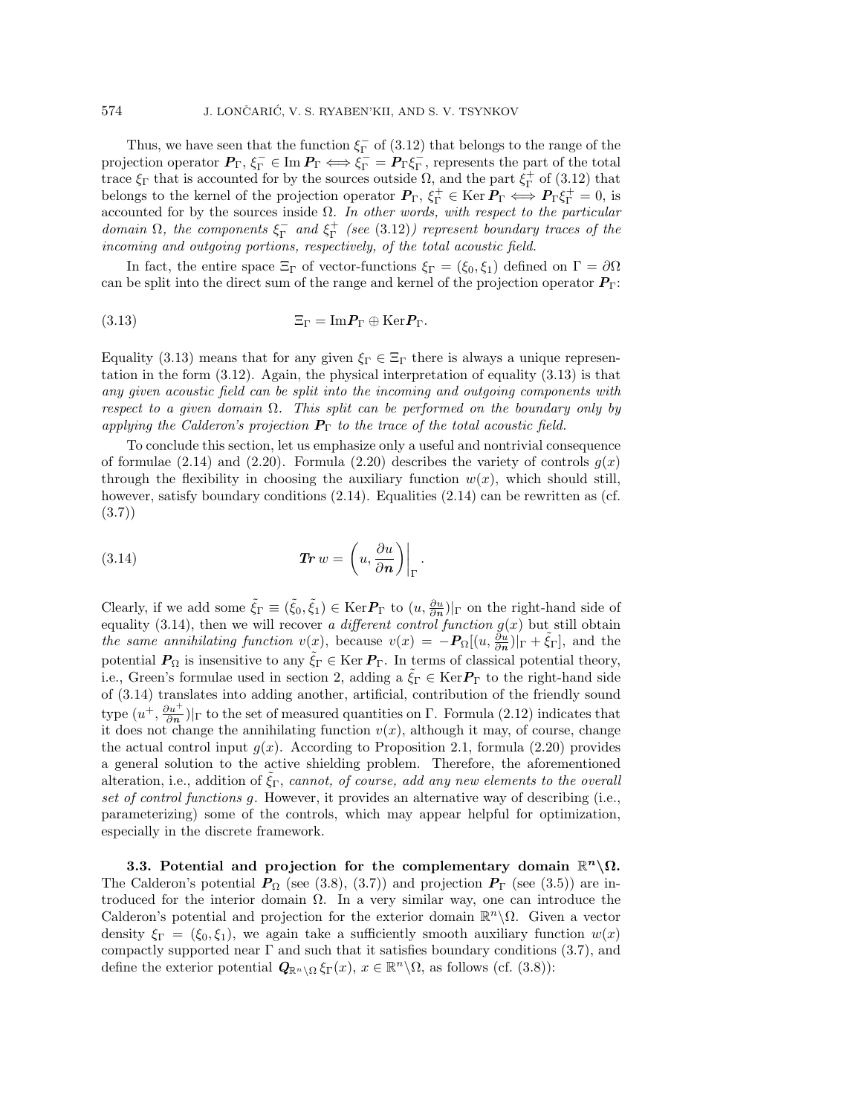Thus, we have seen that the function  $\xi_{\Gamma}^-$  of (3.12) that belongs to the range of the projection operator  $P_{\Gamma}$ ,  $\xi_{\Gamma}^{-} \in \text{Im } P_{\Gamma} \Longleftrightarrow \xi_{\Gamma}^{-} = P_{\Gamma} \xi_{\Gamma}^{-}$ , represents the part of the total trace  $\xi_{\Gamma}$  that is accounted for by the sources outside  $\Omega$ , and the part  $\xi_{\Gamma}^{+}$  of (3.12) that belongs to the kernel of the projection operator  $P_{\Gamma}$ ,  $\xi_{\Gamma}^+ \in \text{Ker } P_{\Gamma} \Longleftrightarrow P_{\Gamma} \xi_{\Gamma}^+ = 0$ , is accounted for by the sources inside  $\Omega$ . In other words, with respect to the particular domain  $\Omega$ , the components  $\xi_{\Gamma}^-$  and  $\xi_{\Gamma}^+$  (see (3.12)) represent boundary traces of the incoming and outgoing portions, respectively, of the total acoustic field.

In fact, the entire space  $\Xi_{\Gamma}$  of vector-functions  $\xi_{\Gamma} = (\xi_0, \xi_1)$  defined on  $\Gamma = \partial \Omega$ can be split into the direct sum of the range and kernel of the projection operator  $P_{\Gamma}$ :

(3.13) 
$$
\Xi_{\Gamma} = \text{Im} \, \mathbf{P}_{\Gamma} \oplus \text{Ker} \, \mathbf{P}_{\Gamma}.
$$

Equality (3.13) means that for any given  $\xi_{\Gamma} \in \Xi_{\Gamma}$  there is always a unique representation in the form  $(3.12)$ . Again, the physical interpretation of equality  $(3.13)$  is that any given acoustic field can be split into the incoming and outgoing components with respect to a given domain  $\Omega$ . This split can be performed on the boundary only by applying the Calderon's projection  $P_{\Gamma}$  to the trace of the total acoustic field.

To conclude this section, let us emphasize only a useful and nontrivial consequence of formulae  $(2.14)$  and  $(2.20)$ . Formula  $(2.20)$  describes the variety of controls  $g(x)$ through the flexibility in choosing the auxiliary function  $w(x)$ , which should still, however, satisfy boundary conditions  $(2.14)$ . Equalities  $(2.14)$  can be rewritten as (cf. (3.7))

(3.14) 
$$
\boldsymbol{Tr} \, w = \left( u, \frac{\partial u}{\partial \boldsymbol{n}} \right) \Big|_{\Gamma}.
$$

Clearly, if we add some  $\tilde{\xi}_{\Gamma} \equiv (\tilde{\xi}_0, \tilde{\xi}_1) \in \text{Ker} \mathbf{P}_{\Gamma}$  to  $(u, \frac{\partial u}{\partial n})|_{\Gamma}$  on the right-hand side of equality (3.14), then we will recover a different control function  $g(x)$  but still obtain the same annihilating function  $v(x)$ , because  $v(x) = -P_{\Omega}[(u, \frac{\partial u}{\partial n})\vert_{\Gamma} + \tilde{\xi}_{\Gamma}]$ , and the potential  $P_{\Omega}$  is insensitive to any  $\xi_{\Gamma} \in \text{Ker } P_{\Gamma}$ . In terms of classical potential theory, i.e., Green's formulae used in section 2, adding a  $\xi_{\Gamma} \in \text{Ker} \mathbf{P}_{\Gamma}$  to the right-hand side of (3.14) translates into adding another, artificial, contribution of the friendly sound type  $(u^+$ ,  $\frac{\partial u^+}{\partial n}$ )|<sub>Γ</sub> to the set of measured quantities on Γ. Formula (2.12) indicates that it does not change the annihilating function  $v(x)$ , although it may, of course, change the actual control input  $q(x)$ . According to Proposition 2.1, formula (2.20) provides a general solution to the active shielding problem. Therefore, the aforementioned alteration, i.e., addition of  $\tilde{\xi}_{\Gamma}$ , cannot, of course, add any new elements to the overall set of control functions g. However, it provides an alternative way of describing (i.e., parameterizing) some of the controls, which may appear helpful for optimization, especially in the discrete framework.

**3.3.** Potential and projection for the complementary domain  $\mathbb{R}^n \setminus \Omega$ . The Calderon's potential  $P_{\Omega}$  (see (3.8), (3.7)) and projection  $P_{\Gamma}$  (see (3.5)) are introduced for the interior domain Ω. In a very similar way, one can introduce the Calderon's potential and projection for the exterior domain  $\mathbb{R}^n\setminus\Omega$ . Given a vector density  $\xi_{\Gamma} = (\xi_0, \xi_1)$ , we again take a sufficiently smooth auxiliary function  $w(x)$ compactly supported near  $\Gamma$  and such that it satisfies boundary conditions (3.7), and define the exterior potential  $Q_{\mathbb{R}^n\setminus\Omega} \xi_{\Gamma}(x), x \in \mathbb{R}^n\setminus\Omega$ , as follows (cf. (3.8)):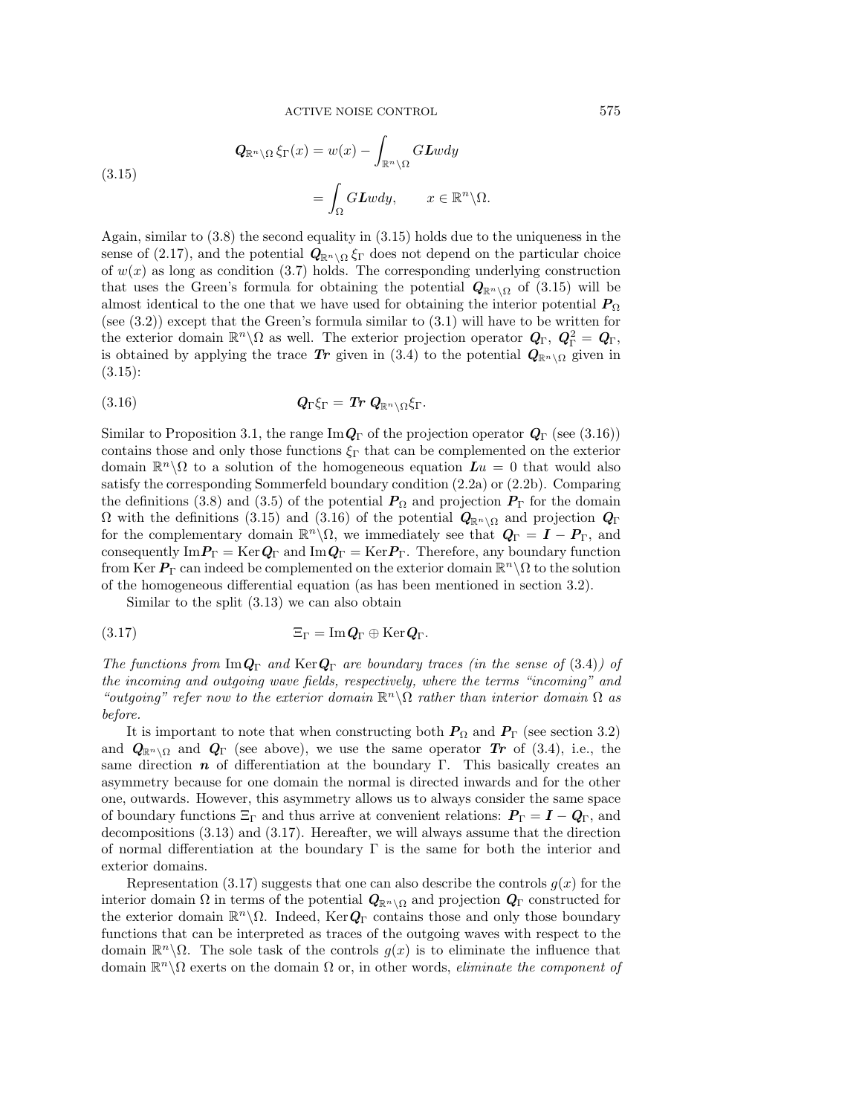(3.15)  

$$
Q_{\mathbb{R}^n \setminus \Omega} \xi_{\Gamma}(x) = w(x) - \int_{\mathbb{R}^n \setminus \Omega} GLwdy
$$

$$
= \int_{\Omega} GLwdy, \qquad x \in \mathbb{R}^n \setminus \Omega.
$$

Again, similar to (3.8) the second equality in (3.15) holds due to the uniqueness in the sense of (2.17), and the potential  $Q_{\mathbb{R}^n\setminus\Omega} \xi_{\Gamma}$  does not depend on the particular choice of  $w(x)$  as long as condition (3.7) holds. The corresponding underlying construction that uses the Green's formula for obtaining the potential  $Q_{\mathbb{R}^n\setminus\Omega}$  of (3.15) will be almost identical to the one that we have used for obtaining the interior potential  $P_{\Omega}$ (see (3.2)) except that the Green's formula similar to (3.1) will have to be written for the exterior domain  $\mathbb{R}^n \backslash \Omega$  as well. The exterior projection operator  $Q_{\Gamma}$ ,  $Q_{\Gamma}^2 = Q_{\Gamma}$ , is obtained by applying the trace **Tr** given in (3.4) to the potential  $Q_{\mathbb{R}^n \setminus \Omega}$  given in (3.15):

$$
Q_{\Gamma}\xi_{\Gamma} = \mathit{Tr}\,\,Q_{\mathbb{R}^n\setminus\Omega}\xi_{\Gamma}.
$$

Similar to Proposition 3.1, the range  $\text{Im} \mathbf{Q}_{\Gamma}$  of the projection operator  $\mathbf{Q}_{\Gamma}$  (see (3.16)) contains those and only those functions  $\xi_{\Gamma}$  that can be complemented on the exterior domain  $\mathbb{R}^n \backslash \Omega$  to a solution of the homogeneous equation  $Lu = 0$  that would also satisfy the corresponding Sommerfeld boundary condition (2.2a) or (2.2b). Comparing the definitions (3.8) and (3.5) of the potential  $P_{\Omega}$  and projection  $P_{\Gamma}$  for the domain  $\Omega$  with the definitions (3.15) and (3.16) of the potential  $Q_{\mathbb{R}^n\setminus\Omega}$  and projection  $Q_{\Gamma}$ for the complementary domain  $\mathbb{R}^n\setminus\Omega$ , we immediately see that  $Q_{\Gamma} = I - P_{\Gamma}$ , and consequently  $\text{Im} \mathbf{P}_{\Gamma} = \text{Ker} \mathbf{Q}_{\Gamma}$  and  $\text{Im} \mathbf{Q}_{\Gamma} = \text{Ker} \mathbf{P}_{\Gamma}$ . Therefore, any boundary function from Ker  $P_{\Gamma}$  can indeed be complemented on the exterior domain  $\mathbb{R}^n \setminus \Omega$  to the solution of the homogeneous differential equation (as has been mentioned in section 3.2).

Similar to the split (3.13) we can also obtain

(3.17) 
$$
\Xi_{\Gamma} = \operatorname{Im} Q_{\Gamma} \oplus \operatorname{Ker} Q_{\Gamma}.
$$

The functions from  $\text{Im} \mathbf{Q}_{\Gamma}$  and  $\text{Ker} \mathbf{Q}_{\Gamma}$  are boundary traces (in the sense of (3.4)) of the incoming and outgoing wave fields, respectively, where the terms "incoming" and "outgoing" refer now to the exterior domain  $\mathbb{R}^n\setminus\Omega$  rather than interior domain  $\Omega$  as before.

It is important to note that when constructing both  $P_{\Omega}$  and  $P_{\Gamma}$  (see section 3.2) and  $Q_{\mathbb{R}^n\setminus\Omega}$  and  $Q_{\Gamma}$  (see above), we use the same operator **Tr** of (3.4), i.e., the same direction  $n$  of differentiation at the boundary Γ. This basically creates an asymmetry because for one domain the normal is directed inwards and for the other one, outwards. However, this asymmetry allows us to always consider the same space of boundary functions  $\Xi_{\Gamma}$  and thus arrive at convenient relations:  $P_{\Gamma} = I - Q_{\Gamma}$ , and decompositions (3.13) and (3.17). Hereafter, we will always assume that the direction of normal differentiation at the boundary  $\Gamma$  is the same for both the interior and exterior domains.

Representation (3.17) suggests that one can also describe the controls  $g(x)$  for the interior domain  $\Omega$  in terms of the potential  $Q_{\mathbb{R}^n\setminus\Omega}$  and projection  $Q_{\Gamma}$  constructed for the exterior domain  $\mathbb{R}^n\setminus\Omega$ . Indeed, Ker $Q_\Gamma$  contains those and only those boundary functions that can be interpreted as traces of the outgoing waves with respect to the domain  $\mathbb{R}^n\setminus\Omega$ . The sole task of the controls  $g(x)$  is to eliminate the influence that domain  $\mathbb{R}^n \setminus \Omega$  exerts on the domain  $\Omega$  or, in other words, *eliminate the component of*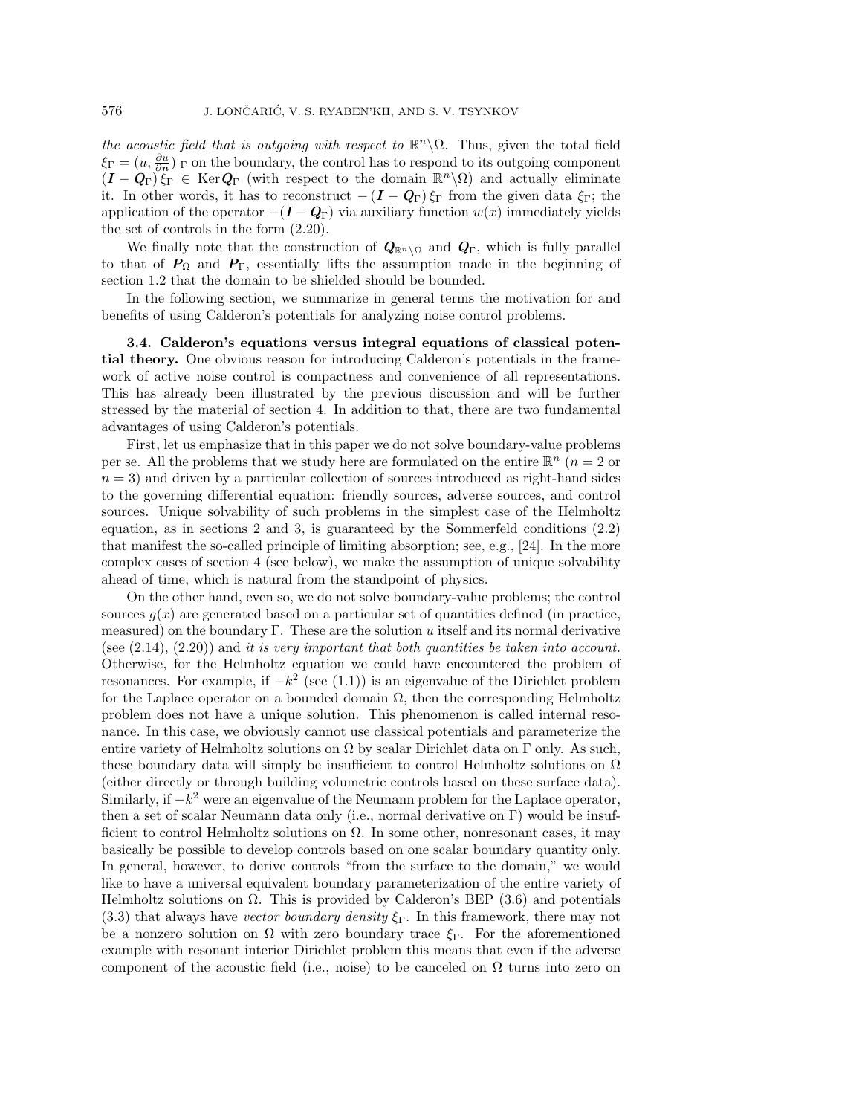the acoustic field that is outgoing with respect to  $\mathbb{R}^n\setminus\Omega$ . Thus, given the total field  $\xi_{\Gamma} = (u, \frac{\partial u}{\partial n})|_{\Gamma}$  on the boundary, the control has to respond to its outgoing component  $(I - Q_{\Gamma})\tilde{\xi}_{\Gamma} \in \text{Ker } Q_{\Gamma}$  (with respect to the domain  $\mathbb{R}^n \backslash \Omega$ ) and actually eliminate it. In other words, it has to reconstruct  $-(I - Q_{\Gamma})\xi_{\Gamma}$  from the given data  $\xi_{\Gamma}$ ; the application of the operator  $-(I - Q_{\Gamma})$  via auxiliary function  $w(x)$  immediately yields the set of controls in the form (2.20).

We finally note that the construction of  $Q_{\mathbb{R}^n\setminus\Omega}$  and  $Q_{\Gamma}$ , which is fully parallel to that of  $P_{\Omega}$  and  $P_{\Gamma}$ , essentially lifts the assumption made in the beginning of section 1.2 that the domain to be shielded should be bounded.

In the following section, we summarize in general terms the motivation for and benefits of using Calderon's potentials for analyzing noise control problems.

**3.4. Calderon's equations versus integral equations of classical potential theory.** One obvious reason for introducing Calderon's potentials in the framework of active noise control is compactness and convenience of all representations. This has already been illustrated by the previous discussion and will be further stressed by the material of section 4. In addition to that, there are two fundamental advantages of using Calderon's potentials.

First, let us emphasize that in this paper we do not solve boundary-value problems per se. All the problems that we study here are formulated on the entire  $\mathbb{R}^n$  ( $n=2$  or  $n = 3$ ) and driven by a particular collection of sources introduced as right-hand sides to the governing differential equation: friendly sources, adverse sources, and control sources. Unique solvability of such problems in the simplest case of the Helmholtz equation, as in sections 2 and 3, is guaranteed by the Sommerfeld conditions (2.2) that manifest the so-called principle of limiting absorption; see, e.g.,  $[24]$ . In the more complex cases of section 4 (see below), we make the assumption of unique solvability ahead of time, which is natural from the standpoint of physics.

On the other hand, even so, we do not solve boundary-value problems; the control sources  $g(x)$  are generated based on a particular set of quantities defined (in practice, measured) on the boundary  $\Gamma$ . These are the solution u itself and its normal derivative (see  $(2.14)$ ,  $(2.20)$ ) and it is very important that both quantities be taken into account. Otherwise, for the Helmholtz equation we could have encountered the problem of resonances. For example, if  $-k^2$  (see (1.1)) is an eigenvalue of the Dirichlet problem for the Laplace operator on a bounded domain  $\Omega$ , then the corresponding Helmholtz problem does not have a unique solution. This phenomenon is called internal resonance. In this case, we obviously cannot use classical potentials and parameterize the entire variety of Helmholtz solutions on  $\Omega$  by scalar Dirichlet data on Γ only. As such, these boundary data will simply be insufficient to control Helmholtz solutions on  $\Omega$ (either directly or through building volumetric controls based on these surface data). Similarly, if  $-k^2$  were an eigenvalue of the Neumann problem for the Laplace operator, then a set of scalar Neumann data only (i.e., normal derivative on Γ) would be insufficient to control Helmholtz solutions on  $\Omega$ . In some other, nonresonant cases, it may basically be possible to develop controls based on one scalar boundary quantity only. In general, however, to derive controls "from the surface to the domain," we would like to have a universal equivalent boundary parameterization of the entire variety of Helmholtz solutions on  $\Omega$ . This is provided by Calderon's BEP (3.6) and potentials (3.3) that always have vector boundary density  $\xi_{\Gamma}$ . In this framework, there may not be a nonzero solution on  $\Omega$  with zero boundary trace  $\xi_{\Gamma}$ . For the aforementioned example with resonant interior Dirichlet problem this means that even if the adverse component of the acoustic field (i.e., noise) to be canceled on  $\Omega$  turns into zero on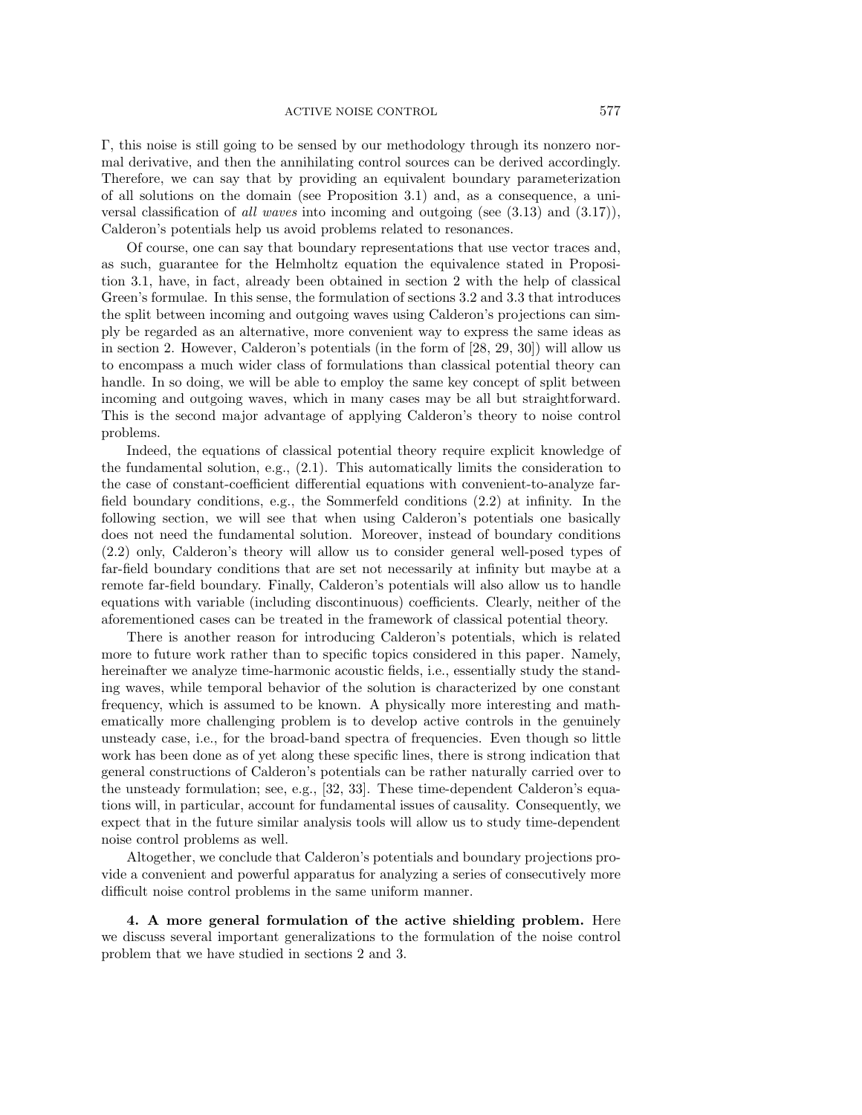Γ, this noise is still going to be sensed by our methodology through its nonzero normal derivative, and then the annihilating control sources can be derived accordingly. Therefore, we can say that by providing an equivalent boundary parameterization of all solutions on the domain (see Proposition 3.1) and, as a consequence, a universal classification of all waves into incoming and outgoing (see  $(3.13)$ ) and  $(3.17)$ ), Calderon's potentials help us avoid problems related to resonances.

Of course, one can say that boundary representations that use vector traces and, as such, guarantee for the Helmholtz equation the equivalence stated in Proposition 3.1, have, in fact, already been obtained in section 2 with the help of classical Green's formulae. In this sense, the formulation of sections 3.2 and 3.3 that introduces the split between incoming and outgoing waves using Calderon's projections can simply be regarded as an alternative, more convenient way to express the same ideas as in section 2. However, Calderon's potentials (in the form of [28, 29, 30]) will allow us to encompass a much wider class of formulations than classical potential theory can handle. In so doing, we will be able to employ the same key concept of split between incoming and outgoing waves, which in many cases may be all but straightforward. This is the second major advantage of applying Calderon's theory to noise control problems.

Indeed, the equations of classical potential theory require explicit knowledge of the fundamental solution, e.g., (2.1). This automatically limits the consideration to the case of constant-coefficient differential equations with convenient-to-analyze farfield boundary conditions, e.g., the Sommerfeld conditions (2.2) at infinity. In the following section, we will see that when using Calderon's potentials one basically does not need the fundamental solution. Moreover, instead of boundary conditions (2.2) only, Calderon's theory will allow us to consider general well-posed types of far-field boundary conditions that are set not necessarily at infinity but maybe at a remote far-field boundary. Finally, Calderon's potentials will also allow us to handle equations with variable (including discontinuous) coefficients. Clearly, neither of the aforementioned cases can be treated in the frameworkof classical potential theory.

There is another reason for introducing Calderon's potentials, which is related more to future work rather than to specific topics considered in this paper. Namely, hereinafter we analyze time-harmonic acoustic fields, i.e., essentially study the standing waves, while temporal behavior of the solution is characterized by one constant frequency, which is assumed to be known. A physically more interesting and mathematically more challenging problem is to develop active controls in the genuinely unsteady case, i.e., for the broad-band spectra of frequencies. Even though so little work has been done as of yet along these specific lines, there is strong indication that general constructions of Calderon's potentials can be rather naturally carried over to the unsteady formulation; see, e.g., [32, 33]. These time-dependent Calderon's equations will, in particular, account for fundamental issues of causality. Consequently, we expect that in the future similar analysis tools will allow us to study time-dependent noise control problems as well.

Altogether, we conclude that Calderon's potentials and boundary projections provide a convenient and powerful apparatus for analyzing a series of consecutively more difficult noise control problems in the same uniform manner.

**4. A more general formulation of the active shielding problem.** Here we discuss several important generalizations to the formulation of the noise control problem that we have studied in sections 2 and 3.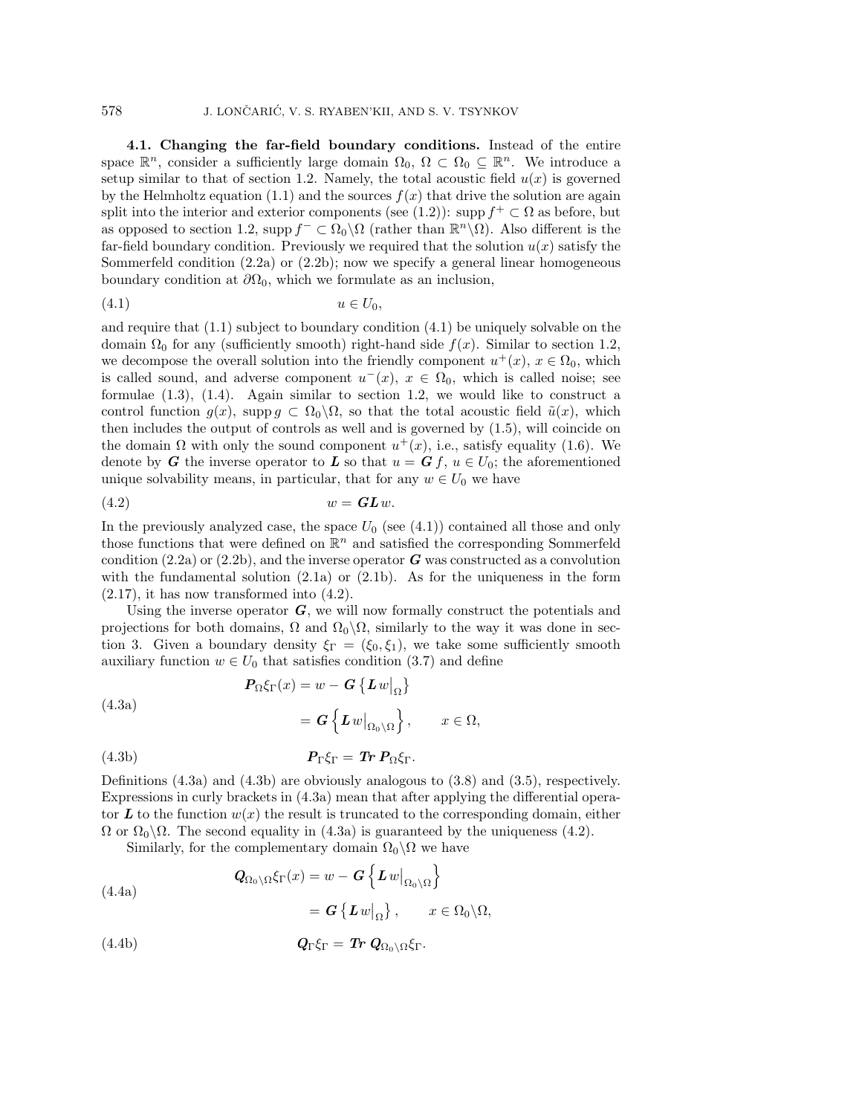### 578 J. LONČARIĆ, V. S. RYABEN'KII, AND S. V. TSYNKOV

**4.1. Changing the far-field boundary conditions.** Instead of the entire space  $\mathbb{R}^n$ , consider a sufficiently large domain  $\Omega_0$ ,  $\Omega \subset \Omega_0 \subseteq \mathbb{R}^n$ . We introduce a setup similar to that of section 1.2. Namely, the total acoustic field  $u(x)$  is governed by the Helmholtz equation (1.1) and the sources  $f(x)$  that drive the solution are again split into the interior and exterior components (see (1.2)): supp  $f^+ \subset \Omega$  as before, but as opposed to section 1.2, supp  $f^- \subset \Omega_0 \backslash \Omega$  (rather than  $\mathbb{R}^n \backslash \Omega$ ). Also different is the far-field boundary condition. Previously we required that the solution  $u(x)$  satisfy the Sommerfeld condition  $(2.2a)$  or  $(2.2b)$ ; now we specify a general linear homogeneous boundary condition at  $\partial\Omega_0$ , which we formulate as an inclusion,

$$
(4.1) \t\t u \in U_0,
$$

and require that  $(1.1)$  subject to boundary condition  $(4.1)$  be uniquely solvable on the domain  $\Omega_0$  for any (sufficiently smooth) right-hand side  $f(x)$ . Similar to section 1.2, we decompose the overall solution into the friendly component  $u^+(x)$ ,  $x \in \Omega_0$ , which is called sound, and adverse component  $u^-(x)$ ,  $x \in \Omega_0$ , which is called noise; see formulae (1.3), (1.4). Again similar to section 1.2, we would like to construct a control function  $g(x)$ , supp  $g \subset \Omega_0 \backslash \Omega$ , so that the total acoustic field  $\tilde{u}(x)$ , which then includes the output of controls as well and is governed by (1.5), will coincide on the domain  $\Omega$  with only the sound component  $u^+(x)$ , i.e., satisfy equality (1.6). We denote by *G* the inverse operator to *L* so that  $u = G f$ ,  $u \in U_0$ ; the aforementioned unique solvability means, in particular, that for any  $w \in U_0$  we have

$$
(4.2) \t\t w = GL \, w.
$$

In the previously analyzed case, the space  $U_0$  (see  $(4.1)$ ) contained all those and only those functions that were defined on  $\mathbb{R}^n$  and satisfied the corresponding Sommerfeld condition (2.2a) or (2.2b), and the inverse operator *G* was constructed as a convolution with the fundamental solution  $(2.1a)$  or  $(2.1b)$ . As for the uniqueness in the form  $(2.17)$ , it has now transformed into  $(4.2)$ .

Using the inverse operator  $G$ , we will now formally construct the potentials and projections for both domains,  $\Omega$  and  $\Omega_0\backslash\Omega$ , similarly to the way it was done in section 3. Given a boundary density  $\xi_{\Gamma} = (\xi_0, \xi_1)$ , we take some sufficiently smooth auxiliary function  $w \in U_0$  that satisfies condition (3.7) and define

(4.3a)  

$$
P_{\Omega} \xi_{\Gamma}(x) = w - G \{ L w |_{\Omega} \}
$$

$$
= G \{ L w |_{\Omega_0 \setminus \Omega} \}, \qquad x \in \Omega,
$$

(4.3b) *P*Γξ<sup>Γ</sup> = *Tr P*ΩξΓ.

Definitions (4.3a) and (4.3b) are obviously analogous to (3.8) and (3.5), respectively. Expressions in curly brackets in (4.3a) mean that after applying the differential operator  $\bm{L}$  to the function  $w(x)$  the result is truncated to the corresponding domain, either  $\Omega$  or  $\Omega_0 \backslash \Omega$ . The second equality in (4.3a) is guaranteed by the uniqueness (4.2).

Similarly, for the complementary domain  $\Omega_0 \backslash \Omega$  we have

(4.4a)  

$$
Q_{\Omega_0 \setminus \Omega} \xi_{\Gamma}(x) = w - G \left\{ L w \big|_{\Omega_0 \setminus \Omega} \right\}
$$

$$
= G \left\{ L w \big|_{\Omega} \right\}, \qquad x \in \Omega_0 \setminus \Omega,
$$

(4.4b) 
$$
Q_{\Gamma}\xi_{\Gamma} = \mathbf{Tr} \ Q_{\Omega_0\setminus\Omega}\xi_{\Gamma}.
$$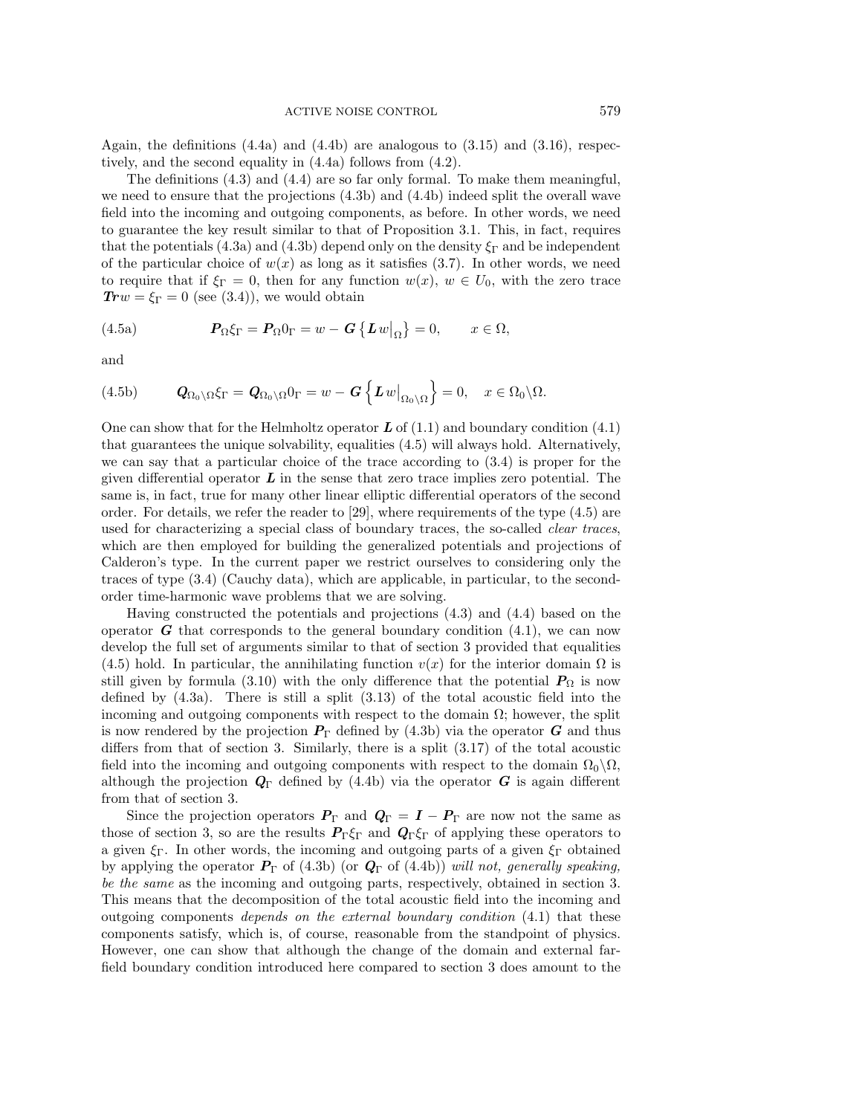Again, the definitions  $(4.4a)$  and  $(4.4b)$  are analogous to  $(3.15)$  and  $(3.16)$ , respectively, and the second equality in (4.4a) follows from (4.2).

The definitions (4.3) and (4.4) are so far only formal. To make them meaningful, we need to ensure that the projections (4.3b) and (4.4b) indeed split the overall wave field into the incoming and outgoing components, as before. In other words, we need to guarantee the key result similar to that of Proposition 3.1. This, in fact, requires that the potentials (4.3a) and (4.3b) depend only on the density  $\xi_{\Gamma}$  and be independent of the particular choice of  $w(x)$  as long as it satisfies (3.7). In other words, we need to require that if  $\xi_{\Gamma} = 0$ , then for any function  $w(x)$ ,  $w \in U_0$ , with the zero trace  $Trw = \xi_{\Gamma} = 0$  (see (3.4)), we would obtain

(4.5a) 
$$
\boldsymbol{P}_{\Omega} \boldsymbol{\xi}_{\Gamma} = \boldsymbol{P}_{\Omega} \boldsymbol{0}_{\Gamma} = w - \boldsymbol{G} \left\{ \boldsymbol{L} w \big|_{\Omega} \right\} = 0, \qquad x \in \Omega,
$$

and

(4.5b) 
$$
Q_{\Omega_0 \setminus \Omega} \xi_{\Gamma} = Q_{\Omega_0 \setminus \Omega} 0_{\Gamma} = w - G \left\{ L w \big|_{\Omega_0 \setminus \Omega} \right\} = 0, \quad x \in \Omega_0 \setminus \Omega.
$$

One can show that for the Helmholtz operator *L* of (1.1) and boundary condition (4.1) that guarantees the unique solvability, equalities (4.5) will always hold. Alternatively, we can say that a particular choice of the trace according to (3.4) is proper for the given differential operator *L* in the sense that zero trace implies zero potential. The same is, in fact, true for many other linear elliptic differential operators of the second order. For details, we refer the reader to [29], where requirements of the type (4.5) are used for characterizing a special class of boundary traces, the so-called clear traces, which are then employed for building the generalized potentials and projections of Calderon's type. In the current paper we restrict ourselves to considering only the traces of type (3.4) (Cauchy data), which are applicable, in particular, to the secondorder time-harmonic wave problems that we are solving.

Having constructed the potentials and projections (4.3) and (4.4) based on the operator  $G$  that corresponds to the general boundary condition  $(4.1)$ , we can now develop the full set of arguments similar to that of section 3 provided that equalities (4.5) hold. In particular, the annihilating function  $v(x)$  for the interior domain  $\Omega$  is still given by formula (3.10) with the only difference that the potential  $P_{\Omega}$  is now defined by  $(4.3a)$ . There is still a split  $(3.13)$  of the total acoustic field into the incoming and outgoing components with respect to the domain  $\Omega$ ; however, the split is now rendered by the projection  $P_{\Gamma}$  defined by (4.3b) via the operator *G* and thus differs from that of section 3. Similarly, there is a split (3.17) of the total acoustic field into the incoming and outgoing components with respect to the domain  $\Omega_0 \backslash \Omega$ , although the projection  $Q_{\Gamma}$  defined by (4.4b) via the operator *G* is again different from that of section 3.

Since the projection operators  $P_{\Gamma}$  and  $Q_{\Gamma} = I - P_{\Gamma}$  are now not the same as those of section 3, so are the results  $P_{\Gamma} \xi_{\Gamma}$  and  $Q_{\Gamma} \xi_{\Gamma}$  of applying these operators to a given  $\xi_{\Gamma}$ . In other words, the incoming and outgoing parts of a given  $\xi_{\Gamma}$  obtained by applying the operator  $P_{\Gamma}$  of (4.3b) (or  $Q_{\Gamma}$  of (4.4b)) will not, generally speaking, be the same as the incoming and outgoing parts, respectively, obtained in section 3. This means that the decomposition of the total acoustic field into the incoming and outgoing components depends on the external boundary condition (4.1) that these components satisfy, which is, of course, reasonable from the standpoint of physics. However, one can show that although the change of the domain and external farfield boundary condition introduced here compared to section 3 does amount to the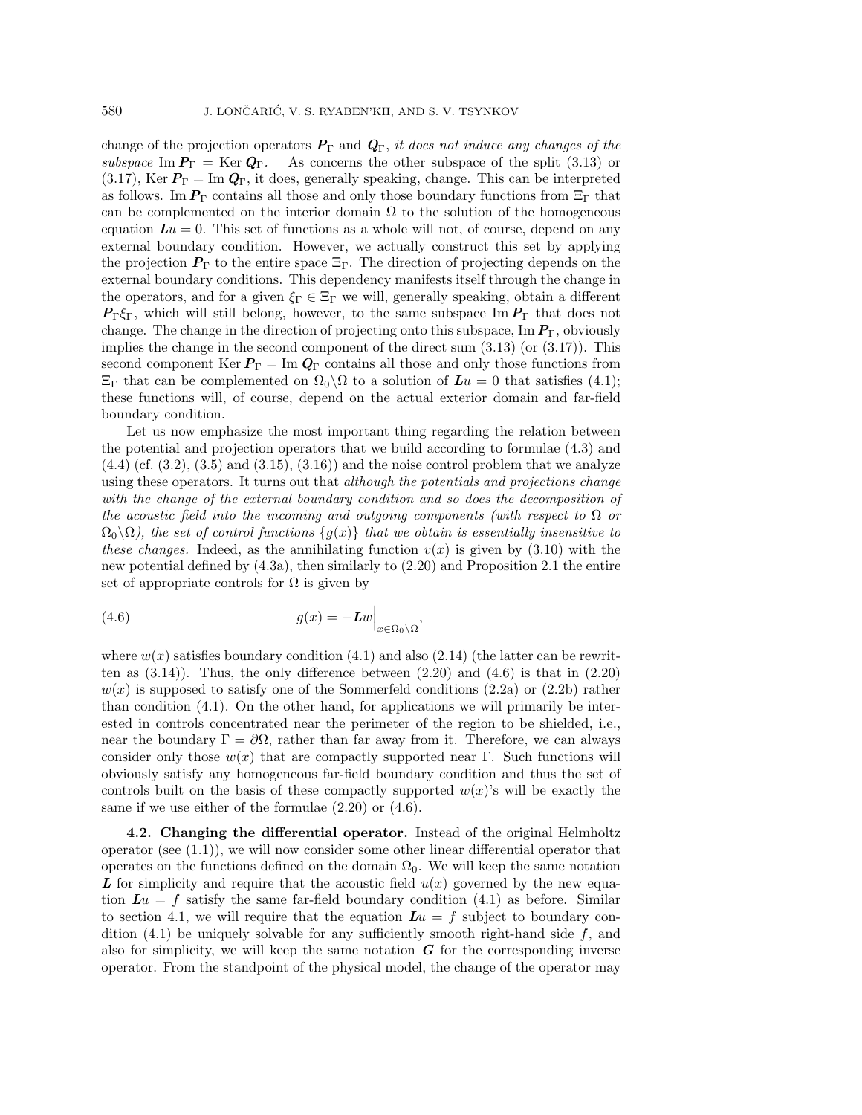change of the projection operators  $P_{\Gamma}$  and  $Q_{\Gamma}$ , it does not induce any changes of the subspace Im  $P_{\Gamma} = \text{Ker } Q_{\Gamma}$ . As concerns the other subspace of the split (3.13) or (3.17), Ker  $P_{\Gamma} = \text{Im } Q_{\Gamma}$ , it does, generally speaking, change. This can be interpreted as follows. Im  $P_\Gamma$  contains all those and only those boundary functions from  $\Xi_\Gamma$  that can be complemented on the interior domain  $\Omega$  to the solution of the homogeneous equation  $Lu = 0$ . This set of functions as a whole will not, of course, depend on any external boundary condition. However, we actually construct this set by applying the projection  $P_{\Gamma}$  to the entire space  $\Xi_{\Gamma}$ . The direction of projecting depends on the external boundary conditions. This dependency manifests itself through the change in the operators, and for a given  $\xi_{\Gamma} \in \Xi_{\Gamma}$  we will, generally speaking, obtain a different  $P_{\Gamma} \xi_{\Gamma}$ , which will still belong, however, to the same subspace Im  $P_{\Gamma}$  that does not change. The change in the direction of projecting onto this subspace,  $\text{Im } P_\Gamma$ , obviously implies the change in the second component of the direct sum (3.13) (or (3.17)). This second component Ker  $P_{\Gamma} = \text{Im } Q_{\Gamma}$  contains all those and only those functions from  $\Xi_{\Gamma}$  that can be complemented on  $\Omega_0 \backslash \Omega$  to a solution of  $Lu = 0$  that satisfies (4.1); these functions will, of course, depend on the actual exterior domain and far-field boundary condition.

Let us now emphasize the most important thing regarding the relation between the potential and projection operators that we build according to formulae (4.3) and  $(4.4)$  (cf.  $(3.2)$ ,  $(3.5)$  and  $(3.15)$ ,  $(3.16)$ ) and the noise control problem that we analyze using these operators. It turns out that *although the potentials and projections change* with the change of the external boundary condition and so does the decomposition of the acoustic field into the incoming and outgoing components (with respect to  $\Omega$  or  $\Omega_0 \backslash \Omega$ , the set of control functions  $\{g(x)\}\$  that we obtain is essentially insensitive to these changes. Indeed, as the annihilating function  $v(x)$  is given by (3.10) with the new potential defined by (4.3a), then similarly to (2.20) and Proposition 2.1 the entire set of appropriate controls for  $\Omega$  is given by

(4.6) 
$$
g(x) = -Lw\Big|_{x \in \Omega_0 \setminus \Omega},
$$

where  $w(x)$  satisfies boundary condition (4.1) and also (2.14) (the latter can be rewritten as  $(3.14)$ ). Thus, the only difference between  $(2.20)$  and  $(4.6)$  is that in  $(2.20)$  $w(x)$  is supposed to satisfy one of the Sommerfeld conditions  $(2.2a)$  or  $(2.2b)$  rather than condition (4.1). On the other hand, for applications we will primarily be interested in controls concentrated near the perimeter of the region to be shielded, i.e., near the boundary  $\Gamma = \partial \Omega$ , rather than far away from it. Therefore, we can always consider only those  $w(x)$  that are compactly supported near Γ. Such functions will obviously satisfy any homogeneous far-field boundary condition and thus the set of controls built on the basis of these compactly supported  $w(x)$ 's will be exactly the same if we use either of the formulae (2.20) or (4.6).

**4.2. Changing the differentialoperator.** Instead of the original Helmholtz operator (see  $(1.1)$ ), we will now consider some other linear differential operator that operates on the functions defined on the domain  $\Omega_0$ . We will keep the same notation L for simplicity and require that the acoustic field  $u(x)$  governed by the new equation  $Lu = f$  satisfy the same far-field boundary condition  $(4.1)$  as before. Similar to section 4.1, we will require that the equation  $Lu = f$  subject to boundary condition  $(4.1)$  be uniquely solvable for any sufficiently smooth right-hand side f, and also for simplicity, we will keep the same notation  $\boldsymbol{G}$  for the corresponding inverse operator. From the standpoint of the physical model, the change of the operator may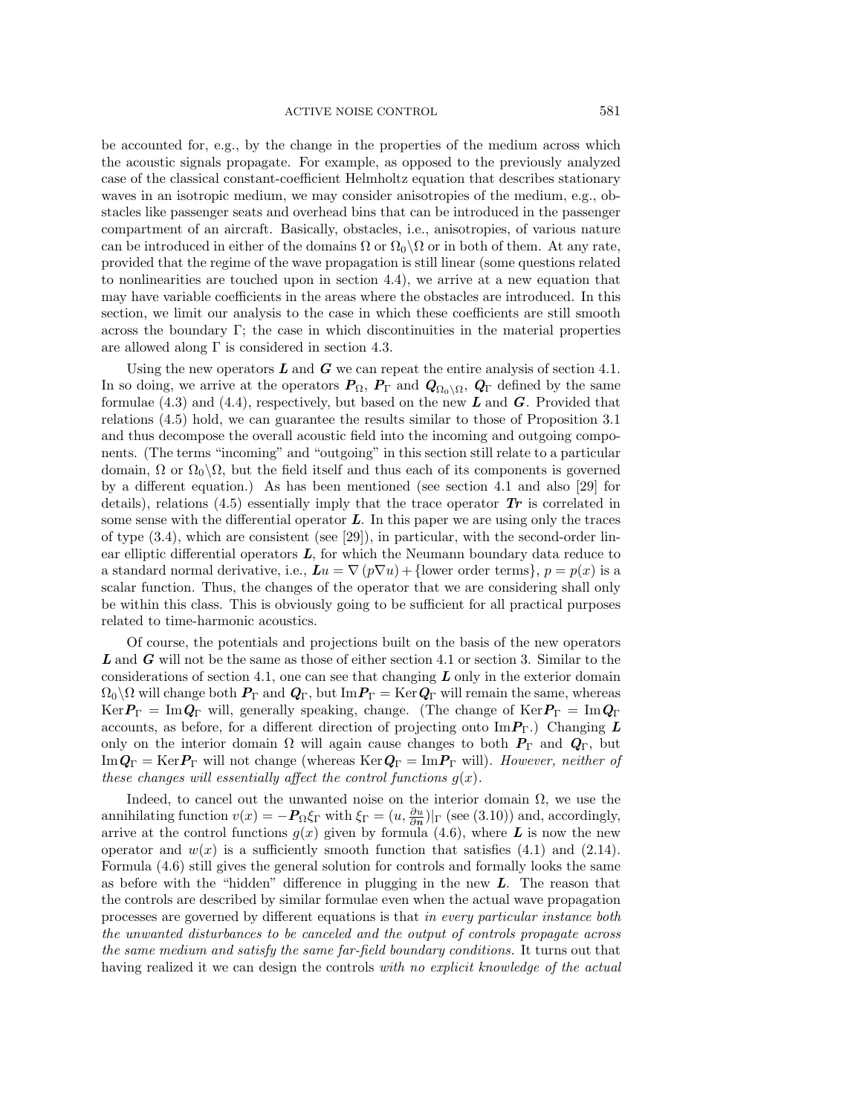be accounted for, e.g., by the change in the properties of the medium across which the acoustic signals propagate. For example, as opposed to the previously analyzed case of the classical constant-coefficient Helmholtz equation that describes stationary waves in an isotropic medium, we may consider anisotropies of the medium, e.g., obstacles like passenger seats and overhead bins that can be introduced in the passenger compartment of an aircraft. Basically, obstacles, i.e., anisotropies, of various nature can be introduced in either of the domains  $\Omega$  or  $\Omega_0 \backslash \Omega$  or in both of them. At any rate, provided that the regime of the wave propagation is still linear (some questions related to nonlinearities are touched upon in section 4.4), we arrive at a new equation that may have variable coefficients in the areas where the obstacles are introduced. In this section, we limit our analysis to the case in which these coefficients are still smooth across the boundary  $\Gamma$ ; the case in which discontinuities in the material properties are allowed along  $\Gamma$  is considered in section 4.3.

Using the new operators *L* and *G* we can repeat the entire analysis of section 4.1. In so doing, we arrive at the operators  $P_{\Omega}$ ,  $P_{\Gamma}$  and  $Q_{\Omega_0\setminus\Omega}$ ,  $Q_{\Gamma}$  defined by the same formulae (4.3) and (4.4), respectively, but based on the new *L* and *G*. Provided that relations (4.5) hold, we can guarantee the results similar to those of Proposition 3.1 and thus decompose the overall acoustic field into the incoming and outgoing components. (The terms "incoming" and "outgoing" in this section still relate to a particular domain,  $\Omega$  or  $\Omega_0 \backslash \Omega$ , but the field itself and thus each of its components is governed by a different equation.) As has been mentioned (see section 4.1 and also [29] for details), relations (4.5) essentially imply that the trace operator *Tr* is correlated in some sense with the differential operator *L*. In this paper we are using only the traces of type (3.4), which are consistent (see [29]), in particular, with the second-order linear elliptic differential operators *L*, for which the Neumann boundary data reduce to a standard normal derivative, i.e.,  $\boldsymbol{L}u = \nabla (p\nabla u) + {\text{lower order terms}}, p = p(x)$  is a scalar function. Thus, the changes of the operator that we are considering shall only be within this class. This is obviously going to be sufficient for all practical purposes related to time-harmonic acoustics.

Of course, the potentials and projections built on the basis of the new operators *L* and *G* will not be the same as those of either section 4.1 or section 3. Similar to the considerations of section 4.1, one can see that changing *L* only in the exterior domain  $\Omega_0 \backslash \Omega$  will change both  $P_\Gamma$  and  $Q_\Gamma$ , but Im $P_\Gamma = \text{Ker } Q_\Gamma$  will remain the same, whereas  $Ker P_{\Gamma} = Im Q_{\Gamma}$  will, generally speaking, change. (The change of  $Ker P_{\Gamma} = Im Q_{\Gamma}$ accounts, as before, for a different direction of projecting onto Im*P*Γ.) Changing *L* only on the interior domain  $\Omega$  will again cause changes to both  $P_{\Gamma}$  and  $Q_{\Gamma}$ , but  $\text{Im} \mathbf{Q}_{\Gamma} = \text{Ker} \mathbf{P}_{\Gamma}$  will not change (whereas  $\text{Ker} \mathbf{Q}_{\Gamma} = \text{Im} \mathbf{P}_{\Gamma}$  will). However, neither of these changes will essentially affect the control functions  $g(x)$ .

Indeed, to cancel out the unwanted noise on the interior domain  $\Omega$ , we use the annihilating function  $v(x) = -P_{\Omega} \xi_{\Gamma}$  with  $\xi_{\Gamma} = (u, \frac{\partial u}{\partial n})|_{\Gamma}$  (see (3.10)) and, accordingly, arrive at the control functions  $g(x)$  given by formula (4.6), where **L** is now the new operator and  $w(x)$  is a sufficiently smooth function that satisfies (4.1) and (2.14). Formula (4.6) still gives the general solution for controls and formally looks the same as before with the "hidden" difference in plugging in the new *L*. The reason that the controls are described by similar formulae even when the actual wave propagation processes are governed by different equations is that in every particular instance both the unwanted disturbances to be canceled and the output of controls propagate across the same medium and satisfy the same far-field boundary conditions. It turns out that having realized it we can design the controls with no explicit knowledge of the actual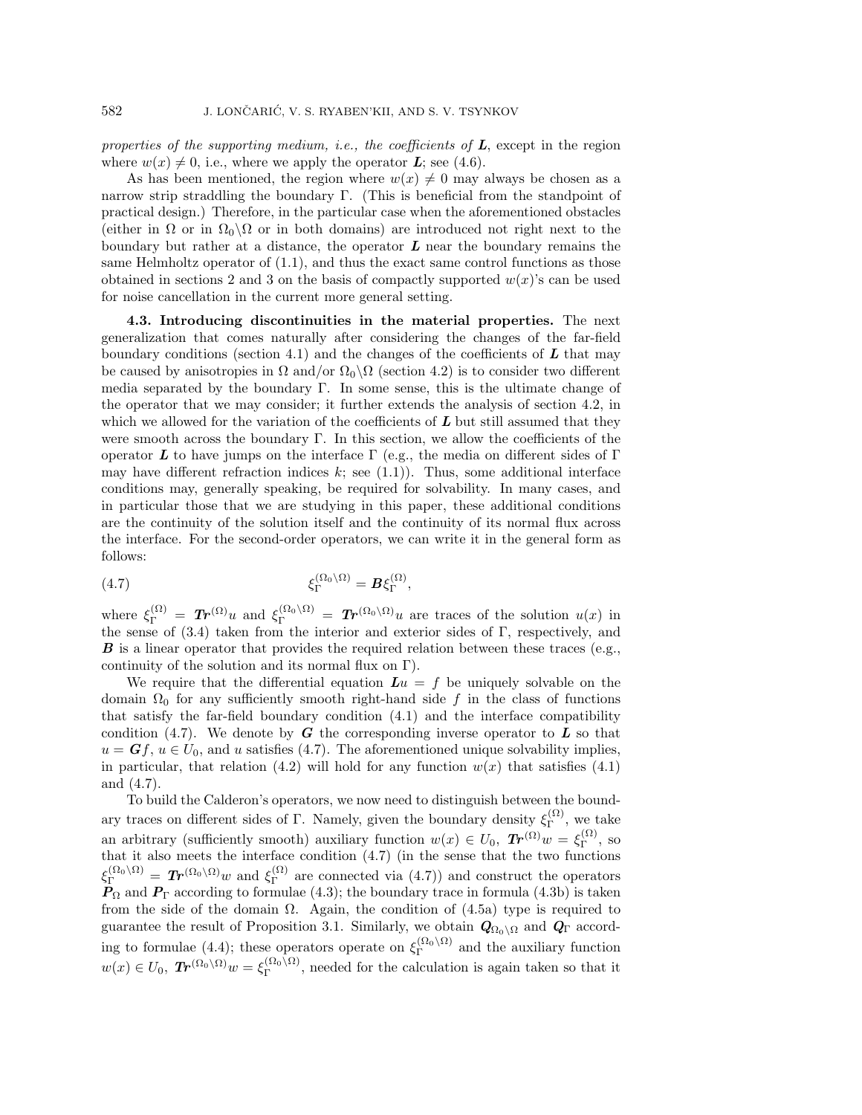properties of the supporting medium, i.e., the coefficients of *L*, except in the region where  $w(x) \neq 0$ , i.e., where we apply the operator **L**; see (4.6).

As has been mentioned, the region where  $w(x) \neq 0$  may always be chosen as a narrow strip straddling the boundary Γ. (This is beneficial from the standpoint of practical design.) Therefore, in the particular case when the aforementioned obstacles (either in  $\Omega$  or in  $\Omega_0 \setminus \Omega$  or in both domains) are introduced not right next to the boundary but rather at a distance, the operator *L* near the boundary remains the same Helmholtz operator of (1.1), and thus the exact same control functions as those obtained in sections 2 and 3 on the basis of compactly supported  $w(x)$ 's can be used for noise cancellation in the current more general setting.

**4.3. Introducing discontinuities in the materialproperties.** The next generalization that comes naturally after considering the changes of the far-field boundary conditions (section 4.1) and the changes of the coefficients of *L* that may be caused by anisotropies in  $\Omega$  and/or  $\Omega_0 \backslash \Omega$  (section 4.2) is to consider two different media separated by the boundary  $\Gamma$ . In some sense, this is the ultimate change of the operator that we may consider; it further extends the analysis of section 4.2, in which we allowed for the variation of the coefficients of **L** but still assumed that they were smooth across the boundary  $\Gamma$ . In this section, we allow the coefficients of the operator  $L$  to have jumps on the interface  $\Gamma$  (e.g., the media on different sides of  $\Gamma$ may have different refraction indices  $k$ ; see  $(1.1)$ ). Thus, some additional interface conditions may, generally speaking, be required for solvability. In many cases, and in particular those that we are studying in this paper, these additional conditions are the continuity of the solution itself and the continuity of its normal flux across the interface. For the second-order operators, we can write it in the general form as follows:

(4.7) 
$$
\xi_{\Gamma}^{(\Omega_0 \setminus \Omega)} = B \xi_{\Gamma}^{(\Omega)},
$$

where  $\xi_{\Gamma}^{(\Omega)} = Tr^{(\Omega)}u$  and  $\xi_{\Gamma}^{(\Omega_0 \setminus \Omega)} = Tr^{(\Omega_0 \setminus \Omega)}u$  are traces of the solution  $u(x)$  in the sense of  $(3.4)$  taken from the interior and exterior sides of Γ, respectively, and *B* is a linear operator that provides the required relation between these traces (e.g., continuity of the solution and its normal flux on  $\Gamma$ ).

We require that the differential equation  $Lu = f$  be uniquely solvable on the domain  $\Omega_0$  for any sufficiently smooth right-hand side f in the class of functions that satisfy the far-field boundary condition (4.1) and the interface compatibility condition  $(4.7)$ . We denote by *G* the corresponding inverse operator to *L* so that  $u = Gf$ ,  $u \in U_0$ , and u satisfies (4.7). The aforementioned unique solvability implies, in particular, that relation (4.2) will hold for any function  $w(x)$  that satisfies (4.1) and (4.7).

To build the Calderon's operators, we now need to distinguish between the boundary traces on different sides of  $\Gamma$ . Namely, given the boundary density  $\xi_{\Gamma}^{(\Omega)}$ , we take an arbitrary (sufficiently smooth) auxiliary function  $w(x) \in U_0$ ,  $\mathbf{Tr}^{(\Omega)}w = \xi_{\Gamma}^{(\Omega)}$ , so that it also meets the interface condition (4.7) (in the sense that the two functions  $\xi_{\Gamma}^{(\Omega_0 \setminus \Omega)} = \mathit{Tr}^{(\Omega_0 \setminus \Omega)}w$  and  $\xi_{\Gamma}^{(\Omega)}$  are connected via (4.7)) and construct the operators  $P_{\Omega}$  and  $P_{\Gamma}$  according to formulae (4.3); the boundary trace in formula (4.3b) is taken from the side of the domain  $\Omega$ . Again, the condition of (4.5a) type is required to guarantee the result of Proposition 3.1. Similarly, we obtain  $Q_{\Omega_0\setminus\Omega}$  and  $Q_{\Gamma}$  according to formulae (4.4); these operators operate on  $\xi_{\Gamma}^{(\Omega_0 \setminus \Omega)}$  and the auxiliary function  $w(x) \in U_0$ ,  $\mathbf{Tr}^{(\Omega_0 \setminus \Omega)}w = \xi_{\Gamma}^{(\Omega_0 \setminus \Omega)}$ , needed for the calculation is again taken so that it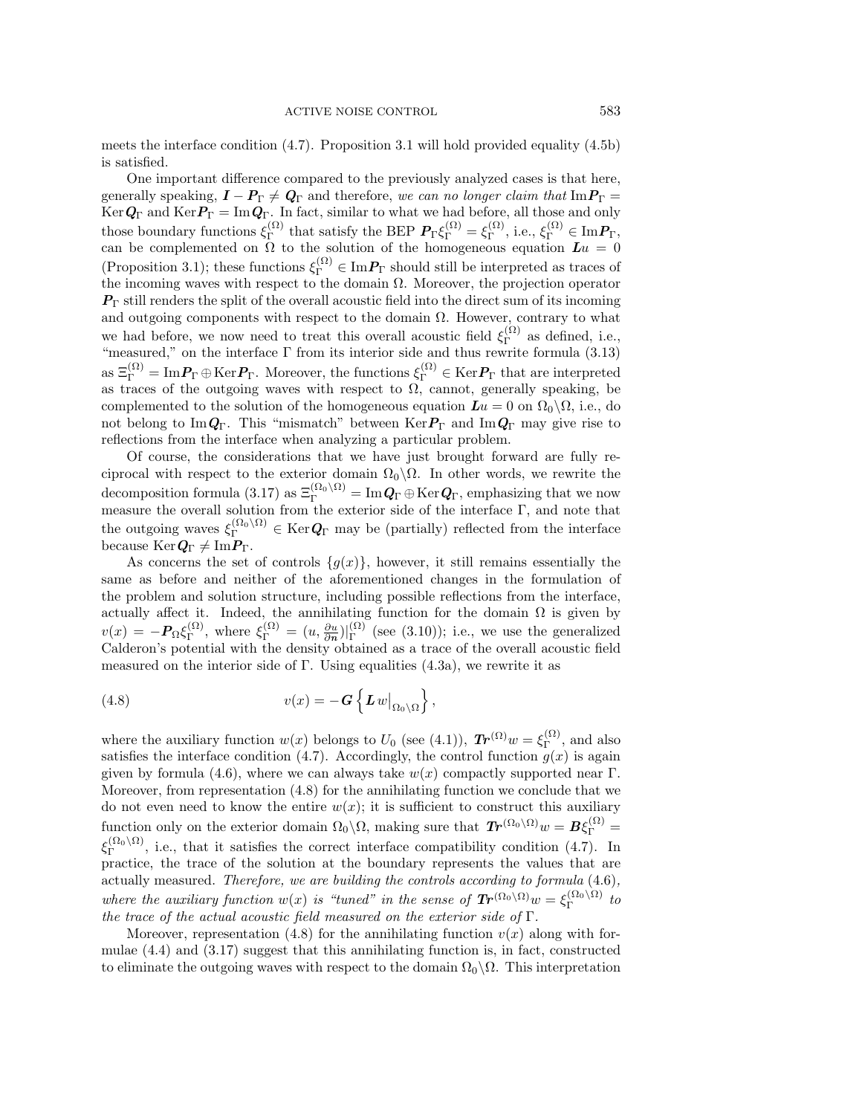meets the interface condition (4.7). Proposition 3.1 will hold provided equality (4.5b) is satisfied.

One important difference compared to the previously analyzed cases is that here, generally speaking,  $I - P_{\Gamma} \neq Q_{\Gamma}$  and therefore, we can no longer claim that  $\text{Im} P_{\Gamma} =$  $\text{Ker}\, \bm{Q}_\Gamma$  and  $\text{Ker}\, \bm{P}_\Gamma = \text{Im}\, \bm{Q}_\Gamma.$  In fact, similar to what we had before, all those and only those boundary functions  $\xi_{\Gamma}^{(\Omega)}$  that satisfy the BEP  $P_{\Gamma} \xi_{\Gamma}^{(\Omega)} = \xi_{\Gamma}^{(\Omega)}$ , i.e.,  $\xi_{\Gamma}^{(\Omega)} \in \text{Im} P_{\Gamma}$ , can be complemented on  $\Omega$  to the solution of the homogeneous equation  $Lu = 0$ (Proposition 3.1); these functions  $\xi_{\Gamma}^{(\Omega)} \in \text{Im} \mathbf{P}_{\Gamma}$  should still be interpreted as traces of the incoming waves with respect to the domain  $\Omega$ . Moreover, the projection operator *P*<sup>Γ</sup> still renders the split of the overall acoustic field into the direct sum of its incoming and outgoing components with respect to the domain  $\Omega$ . However, contrary to what we had before, we now need to treat this overall acoustic field  $\xi_{\Gamma}^{(\Omega)}$  as defined, i.e., "measured," on the interface  $\Gamma$  from its interior side and thus rewrite formula (3.13)  $\text{as } \Xi_{\Gamma}^{(\Omega)} = \text{Im} \mathbf{P}_{\Gamma} \oplus \text{Ker} \mathbf{P}_{\Gamma}$ . Moreover, the functions  $\xi_{\Gamma}^{(\Omega)} \in \text{Ker} \mathbf{P}_{\Gamma}$  that are interpreted as traces of the outgoing waves with respect to  $\Omega$ , cannot, generally speaking, be complemented to the solution of the homogeneous equation  $Lu = 0$  on  $\Omega_0 \backslash \Omega$ , i.e., do not belong to Im $Q_{\Gamma}$ . This "mismatch" between Ker $P_{\Gamma}$  and Im $Q_{\Gamma}$  may give rise to reflections from the interface when analyzing a particular problem.

Of course, the considerations that we have just brought forward are fully reciprocal with respect to the exterior domain  $\Omega_0 \backslash \Omega$ . In other words, we rewrite the decomposition formula (3.17) as  $\Xi_{\Gamma}^{(\Omega_0 \setminus \Omega)} = \text{Im} Q_{\Gamma} \oplus \text{Ker} Q_{\Gamma}$ , emphasizing that we now measure the overall solution from the exterior side of the interface Γ, and note that the outgoing waves  $\xi_{\Gamma}^{(\Omega_0 \setminus \Omega)} \in \text{Ker } Q_{\Gamma}$  may be (partially) reflected from the interface because  $\text{Ker} \, Q_{\Gamma} \neq \text{Im} \, P_{\Gamma}.$ 

As concerns the set of controls  ${g(x)}$ , however, it still remains essentially the same as before and neither of the aforementioned changes in the formulation of the problem and solution structure, including possible reflections from the interface, actually affect it. Indeed, the annihilating function for the domain  $\Omega$  is given by  $v(x) = -P_{\Omega} \xi_{\Gamma}^{(\Omega)}$ , where  $\xi_{\Gamma}^{(\Omega)} = (u, \frac{\partial u}{\partial n})_{|\Gamma}^{(\Omega)}$  (see (3.10)); i.e., we use the generalized Calderon's potential with the density obtained as a trace of the overall acoustic field measured on the interior side of  $\Gamma$ . Using equalities (4.3a), we rewrite it as

(4.8) 
$$
v(x) = -G\left\{L w|_{\Omega_0 \setminus \Omega}\right\},\,
$$

where the auxiliary function  $w(x)$  belongs to  $U_0$  (see (4.1)),  $\mathbf{Tr}^{(\Omega)}w = \xi_{\Gamma}^{(\Omega)}$ , and also satisfies the interface condition (4.7). Accordingly, the control function  $g(x)$  is again given by formula (4.6), where we can always take  $w(x)$  compactly supported near Γ. Moreover, from representation (4.8) for the annihilating function we conclude that we do not even need to know the entire  $w(x)$ ; it is sufficient to construct this auxiliary function only on the exterior domain  $\Omega_0 \backslash \Omega$ , making sure that  $\mathbf{Tr}^{(\Omega_0 \backslash \Omega)}w = \mathbf{B} \xi_{\Gamma}^{(\Omega)} =$  $\xi_{\Gamma}^{(\Omega_0 \setminus \Omega)}$ , i.e., that it satisfies the correct interface compatibility condition (4.7). In practice, the trace of the solution at the boundary represents the values that are actually measured. Therefore, we are building the controls according to formula (4.6), where the auxiliary function  $w(x)$  is "tuned" in the sense of  $\mathbf{Tr}^{(\Omega_0 \setminus \Omega)}w = \xi_{\Gamma}^{(\Omega_0 \setminus \Omega)}$  to the trace of the actual acoustic field measured on the exterior side of  $\Gamma$ .

Moreover, representation (4.8) for the annihilating function  $v(x)$  along with formulae  $(4.4)$  and  $(3.17)$  suggest that this annihilating function is, in fact, constructed to eliminate the outgoing waves with respect to the domain  $\Omega_0 \backslash \Omega$ . This interpretation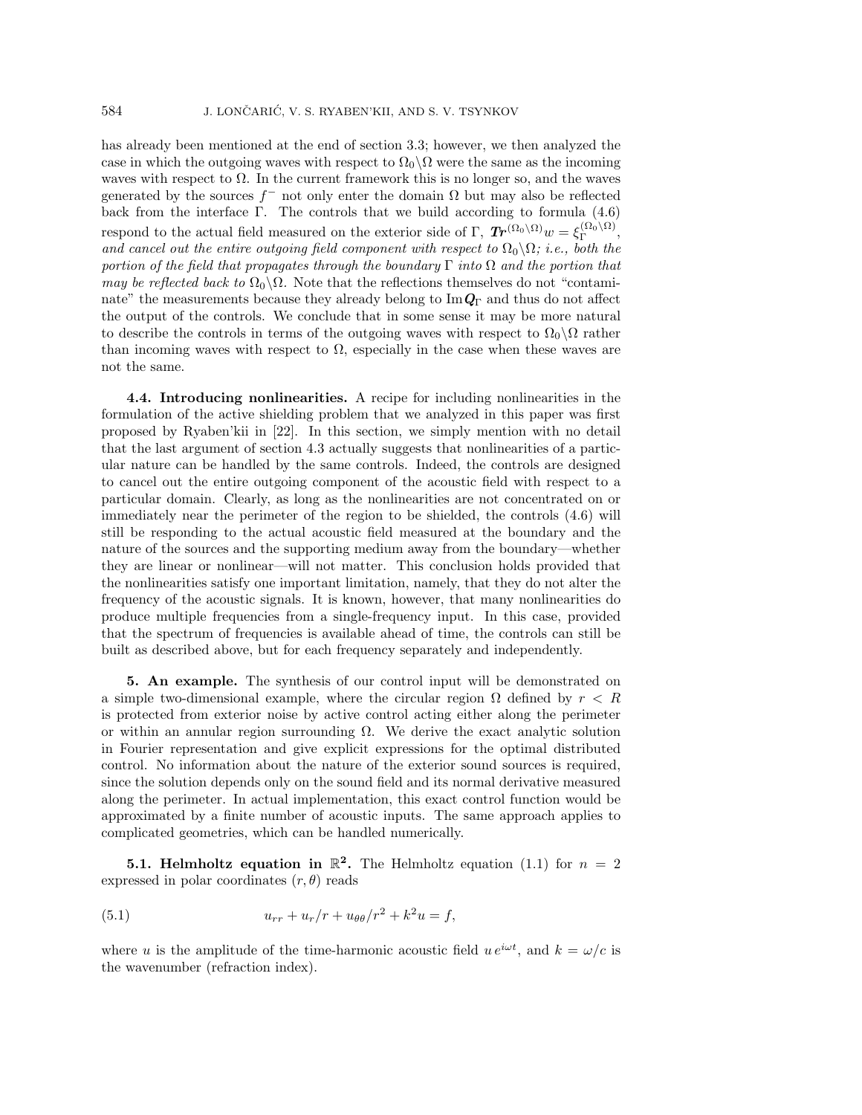has already been mentioned at the end of section 3.3; however, we then analyzed the case in which the outgoing waves with respect to  $\Omega_0 \backslash \Omega$  were the same as the incoming waves with respect to  $\Omega$ . In the current framework this is no longer so, and the waves generated by the sources  $f^-$  not only enter the domain  $\Omega$  but may also be reflected back from the interface Γ. The controls that we build according to formula  $(4.6)$ respond to the actual field measured on the exterior side of  $\Gamma$ ,  $\mathbf{Tr}^{(\Omega_0 \setminus \Omega)}w = \xi_{\Gamma}^{(\Omega_0 \setminus \Omega)}$ , and cancel out the entire outgoing field component with respect to  $\Omega_0\backslash\Omega$ ; i.e., both the portion of the field that propagates through the boundary  $\Gamma$  into  $\Omega$  and the portion that may be reflected back to  $\Omega_0 \backslash \Omega$ . Note that the reflections themselves do not "contaminate" the measurements because they already belong to Im*Q*<sup>Γ</sup> and thus do not affect the output of the controls. We conclude that in some sense it may be more natural to describe the controls in terms of the outgoing waves with respect to  $\Omega_0 \backslash \Omega$  rather than incoming waves with respect to  $\Omega$ , especially in the case when these waves are not the same.

**4.4. Introducing nonlinearities.** A recipe for including nonlinearities in the formulation of the active shielding problem that we analyzed in this paper was first proposed by Ryaben'kii in [22]. In this section, we simply mention with no detail that the last argument of section 4.3 actually suggests that nonlinearities of a particular nature can be handled by the same controls. Indeed, the controls are designed to cancel out the entire outgoing component of the acoustic field with respect to a particular domain. Clearly, as long as the nonlinearities are not concentrated on or immediately near the perimeter of the region to be shielded, the controls (4.6) will still be responding to the actual acoustic field measured at the boundary and the nature of the sources and the supporting medium away from the boundary—whether they are linear or nonlinear—will not matter. This conclusion holds provided that the nonlinearities satisfy one important limitation, namely, that they do not alter the frequency of the acoustic signals. It is known, however, that many nonlinearities do produce multiple frequencies from a single-frequency input. In this case, provided that the spectrum of frequencies is available ahead of time, the controls can still be built as described above, but for each frequency separately and independently.

**5. An example.** The synthesis of our control input will be demonstrated on a simple two-dimensional example, where the circular region  $\Omega$  defined by  $r < R$ is protected from exterior noise by active control acting either along the perimeter or within an annular region surrounding  $\Omega$ . We derive the exact analytic solution in Fourier representation and give explicit expressions for the optimal distributed control. No information about the nature of the exterior sound sources is required, since the solution depends only on the sound field and its normal derivative measured along the perimeter. In actual implementation, this exact control function would be approximated by a finite number of acoustic inputs. The same approach applies to complicated geometries, which can be handled numerically.

**5.1. Helmholtz equation in**  $\mathbb{R}^2$ **.** The Helmholtz equation (1.1) for  $n = 2$ expressed in polar coordinates  $(r, \theta)$  reads

(5.1) 
$$
u_{rr} + u_r/r + u_{\theta\theta}/r^2 + k^2 u = f,
$$

where u is the amplitude of the time-harmonic acoustic field  $u e^{i\omega t}$ , and  $k = \omega/c$  is the wavenumber (refraction index).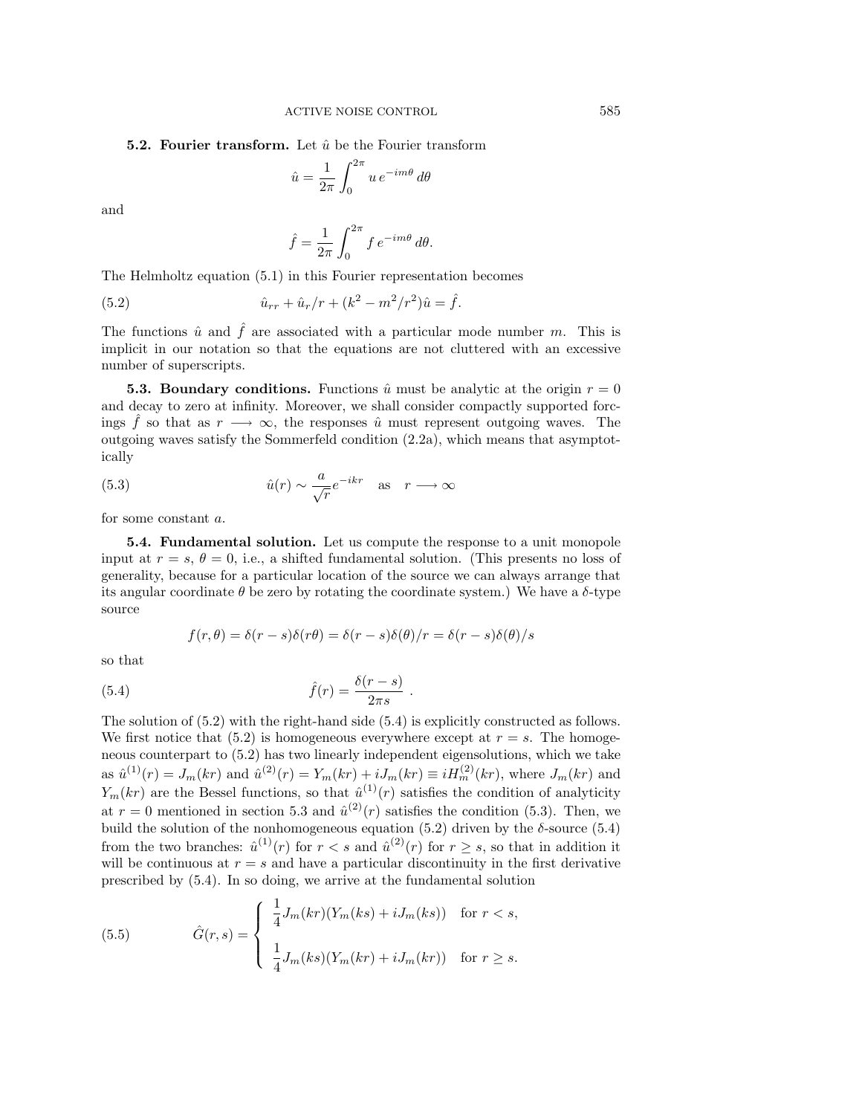**5.2. Fourier transform.** Let  $\hat{u}$  be the Fourier transform

$$
\hat{u} = \frac{1}{2\pi} \int_0^{2\pi} u e^{-im\theta} d\theta
$$

and

$$
\hat{f} = \frac{1}{2\pi} \int_0^{2\pi} f e^{-im\theta} d\theta.
$$

The Helmholtz equation (5.1) in this Fourier representation becomes

(5.2) 
$$
\hat{u}_{rr} + \hat{u}_r/r + (k^2 - m^2/r^2)\hat{u} = \hat{f}.
$$

The functions  $\hat{u}$  and  $\hat{f}$  are associated with a particular mode number m. This is implicit in our notation so that the equations are not cluttered with an excessive number of superscripts.

**5.3. Boundary conditions.** Functions  $\hat{u}$  must be analytic at the origin  $r = 0$ and decay to zero at infinity. Moreover, we shall consider compactly supported forcings  $\hat{f}$  so that as  $r \longrightarrow \infty$ , the responses  $\hat{u}$  must represent outgoing waves. The outgoing waves satisfy the Sommerfeld condition (2.2a), which means that asymptotically

(5.3) 
$$
\hat{u}(r) \sim \frac{a}{\sqrt{r}} e^{-ikr} \quad \text{as} \quad r \longrightarrow \infty
$$

for some constant a.

**5.4. Fundamental solution.** Let us compute the response to a unit monopole input at  $r = s$ ,  $\theta = 0$ , i.e., a shifted fundamental solution. (This presents no loss of generality, because for a particular location of the source we can always arrange that its angular coordinate  $\theta$  be zero by rotating the coordinate system.) We have a  $\delta$ -type source

$$
f(r,\theta) = \delta(r-s)\delta(r\theta) = \delta(r-s)\delta(\theta)/r = \delta(r-s)\delta(\theta)/s
$$

so that

(5.4) 
$$
\hat{f}(r) = \frac{\delta(r-s)}{2\pi s}.
$$

The solution of (5.2) with the right-hand side (5.4) is explicitly constructed as follows. We first notice that  $(5.2)$  is homogeneous everywhere except at  $r = s$ . The homogeneous counterpart to (5.2) has two linearly independent eigensolutions, which we take as  $\hat{u}^{(1)}(r) = J_m(kr)$  and  $\hat{u}^{(2)}(r) = Y_m(kr) + iJ_m(kr) \equiv iH_m^{(2)}(kr)$ , where  $J_m(kr)$  and  $Y_m(kr)$  are the Bessel functions, so that  $\hat{u}^{(1)}(r)$  satisfies the condition of analyticity at  $r = 0$  mentioned in section 5.3 and  $\hat{u}^{(2)}(r)$  satisfies the condition (5.3). Then, we build the solution of the nonhomogeneous equation (5.2) driven by the  $\delta$ -source (5.4) from the two branches:  $\hat{u}^{(1)}(r)$  for  $r < s$  and  $\hat{u}^{(2)}(r)$  for  $r > s$ , so that in addition it will be continuous at  $r = s$  and have a particular discontinuity in the first derivative prescribed by (5.4). In so doing, we arrive at the fundamental solution

(5.5) 
$$
\hat{G}(r,s) = \begin{cases} \frac{1}{4}J_m(kr)(Y_m(ks) + iJ_m(ks)) & \text{for } r < s, \\ \frac{1}{4}J_m(ks)(Y_m(kr) + iJ_m(kr)) & \text{for } r \ge s. \end{cases}
$$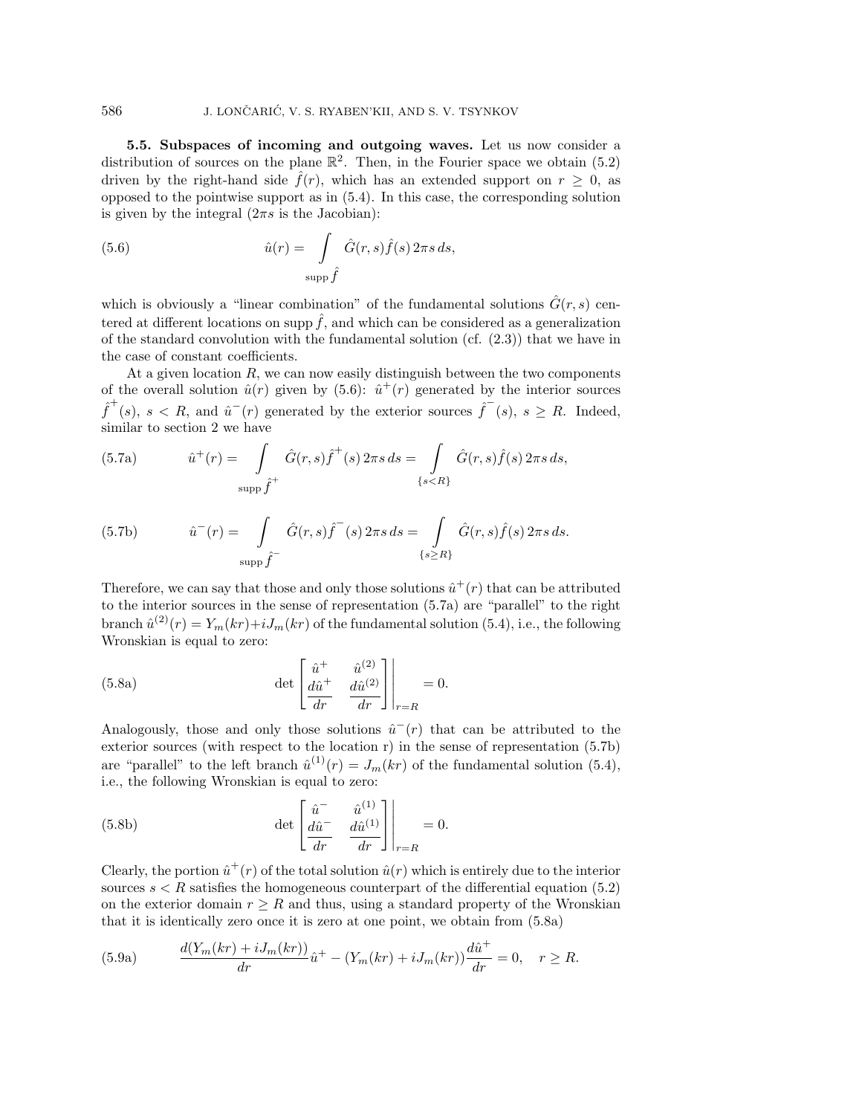**5.5. Subspaces of incoming and outgoing waves.** Let us now consider a distribution of sources on the plane  $\mathbb{R}^2$ . Then, in the Fourier space we obtain (5.2) driven by the right-hand side  $\hat{f}(r)$ , which has an extended support on  $r > 0$ , as opposed to the pointwise support as in (5.4). In this case, the corresponding solution is given by the integral  $(2\pi s)$  is the Jacobian):

(5.6) 
$$
\hat{u}(r) = \int \limits_{\text{supp} \hat{f}} \hat{G}(r,s)\hat{f}(s) 2\pi s \, ds,
$$

which is obviously a "linear combination" of the fundamental solutions  $\hat{G}(r, s)$  centered at different locations on supp  $\hat{f}$ , and which can be considered as a generalization of the standard convolution with the fundamental solution (cf. (2.3)) that we have in the case of constant coefficients.

At a given location  $R$ , we can now easily distinguish between the two components of the overall solution  $\hat{u}(r)$  given by (5.6):  $\hat{u}^+(r)$  generated by the interior sources  $\hat{f}^+(s), s < R$ , and  $\hat{u}^-(r)$  generated by the exterior sources  $\hat{f}^-(s), s \geq R$ . Indeed, similar to section 2 we have

(5.7a) 
$$
\hat{u}^+(r) = \int_{\text{supp } \hat{f}^+} \hat{G}(r,s) \hat{f}^+(s) 2\pi s \, ds = \int_{\{s < R\}} \hat{G}(r,s) \hat{f}(s) 2\pi s \, ds,
$$

(5.7b) 
$$
\hat{u}^-(r) = \int \limits_{\text{supp} \hat{f}^-} \hat{G}(r,s) \hat{f}^-(s) 2\pi s \, ds = \int \limits_{\{s \ge R\}} \hat{G}(r,s) \hat{f}(s) 2\pi s \, ds.
$$

Therefore, we can say that those and only those solutions  $\hat{u}^+(r)$  that can be attributed to the interior sources in the sense of representation (5.7a) are "parallel" to the right branch  $\hat{u}^{(2)}(r) = Y_m(kr) + iJ_m(kr)$  of the fundamental solution (5.4), i.e., the following Wronskian is equal to zero:

(5.8a) 
$$
\det \begin{bmatrix} \hat{u}^+ & \hat{u}^{(2)} \\ \frac{d\hat{u}^+}{dr} & \frac{d\hat{u}^{(2)}}{dr} \end{bmatrix} \bigg|_{r=R} = 0.
$$

Analogously, those and only those solutions  $\hat{u}^-(r)$  that can be attributed to the exterior sources (with respect to the location r) in the sense of representation  $(5.7b)$ are "parallel" to the left branch  $\hat{u}^{(1)}(r) = J_m(kr)$  of the fundamental solution (5.4), i.e., the following Wronskian is equal to zero:

(5.8b) 
$$
\det \begin{bmatrix} \hat{u}^- & \hat{u}^{(1)} \\ \frac{d\hat{u}^-}{dr} & \frac{d\hat{u}^{(1)}}{dr} \end{bmatrix} \bigg|_{r=R} = 0.
$$

Clearly, the portion  $\hat{u}^+(r)$  of the total solution  $\hat{u}(r)$  which is entirely due to the interior sources  $s < R$  satisfies the homogeneous counterpart of the differential equation (5.2) on the exterior domain  $r \geq R$  and thus, using a standard property of the Wronskian that it is identically zero once it is zero at one point, we obtain from (5.8a)

(5.9a) 
$$
\frac{d(Y_m(kr) + iJ_m(kr))}{dr} \hat{u}^+ - (Y_m(kr) + iJ_m(kr))\frac{d\hat{u}^+}{dr} = 0, \quad r \ge R.
$$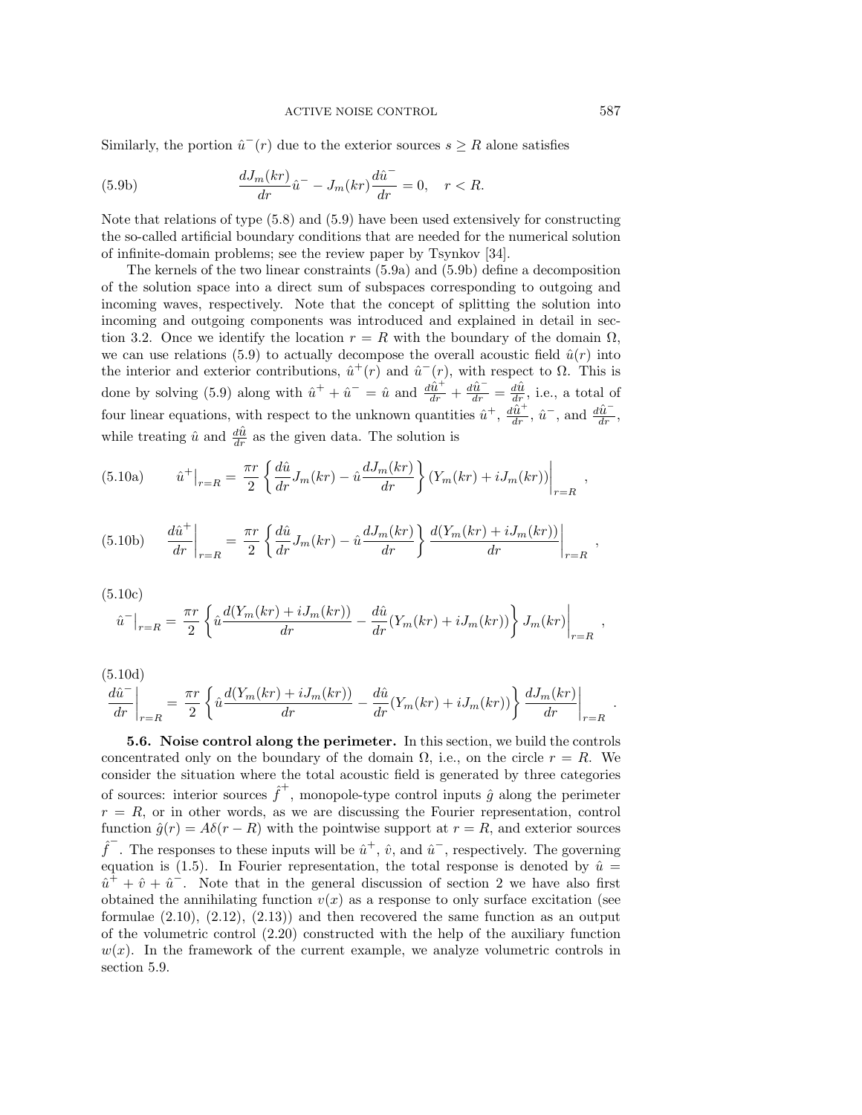#### ACTIVE NOISE CONTROL 587

Similarly, the portion  $\hat{u}^-(r)$  due to the exterior sources  $s \geq R$  alone satisfies

(5.9b) 
$$
\frac{dJ_m(kr)}{dr}\hat{u}^- - J_m(kr)\frac{d\hat{u}^-}{dr} = 0, \quad r < R.
$$

Note that relations of type (5.8) and (5.9) have been used extensively for constructing the so-called artificial boundary conditions that are needed for the numerical solution of infinite-domain problems; see the review paper by Tsynkov [34].

The kernels of the two linear constraints (5.9a) and (5.9b) define a decomposition of the solution space into a direct sum of subspaces corresponding to outgoing and incoming waves, respectively. Note that the concept of splitting the solution into incoming and outgoing components was introduced and explained in detail in section 3.2. Once we identify the location  $r = R$  with the boundary of the domain  $\Omega$ , we can use relations (5.9) to actually decompose the overall acoustic field  $\hat{u}(r)$  into the interior and exterior contributions,  $\hat{u}^+(r)$  and  $\hat{u}^-(r)$ , with respect to  $\Omega$ . This is done by solving (5.9) along with  $\hat{u}^+ + \hat{u}^- = \hat{u}$  and  $\frac{d\hat{u}^+}{dr} + \frac{d\hat{u}^-}{dr} = \frac{d\hat{u}}{dr}$ , i.e., a total of four linear equations, with respect to the unknown quantities  $\hat{u}^+$ ,  $\frac{d\hat{u}^+}{dr}$ ,  $\hat{u}^-$ , and  $\frac{d\hat{u}^-}{dr}$ , while treating  $\hat{u}$  and  $\frac{d\hat{u}}{dr}$  as the given data. The solution is

(5.10a) 
$$
\hat{u}^+|_{r=R} = \frac{\pi r}{2} \left\{ \frac{d\hat{u}}{dr} J_m(kr) - \hat{u} \frac{dJ_m(kr)}{dr} \right\} (Y_m(kr) + iJ_m(kr)) \Big|_{r=R} ,
$$

$$
(5.10b) \qquad \frac{d\hat{u}^+}{dr}\bigg|_{r=R} = \frac{\pi r}{2} \left\{ \frac{d\hat{u}}{dr} J_m(kr) - \hat{u} \frac{dJ_m(kr)}{dr} \right\} \frac{d(Y_m(kr) + iJ_m(kr))}{dr} \bigg|_{r=R} \quad ,
$$

(5.10c)

$$
\hat{u}^-|_{r=R} = \frac{\pi r}{2} \left\{ \hat{u} \frac{d(Y_m(kr) + iJ_m(kr))}{dr} - \frac{d\hat{u}}{dr}(Y_m(kr) + iJ_m(kr)) \right\} J_m(kr) \Big|_{r=R}
$$

$$
\left.\frac{d\hat{u}^-}{dr}\right|_{r=R} = \frac{\pi r}{2} \left\{ \hat{u} \frac{d(Y_m(kr) + iJ_m(kr))}{dr} - \frac{d\hat{u}}{dr}(Y_m(kr) + iJ_m(kr)) \right\} \frac{dJ_m(kr)}{dr}\bigg|_{r=R}.
$$

**5.6.** Noise control along the perimeter. In this section, we build the controls concentrated only on the boundary of the domain  $\Omega$ , i.e., on the circle  $r = R$ . We consider the situation where the total acoustic field is generated by three categories of sources: interior sources  $\hat{f}^+$ , monopole-type control inputs  $\hat{g}$  along the perimeter  $r = R$ , or in other words, as we are discussing the Fourier representation, control function  $\hat{g}(r) = A\delta(r - R)$  with the pointwise support at  $r = R$ , and exterior sources  $\hat{f}$ . The responses to these inputs will be  $\hat{u}^+$ ,  $\hat{v}$ , and  $\hat{u}^-$ , respectively. The governing equation is (1.5). In Fourier representation, the total response is denoted by  $\hat{u} =$  $\hat{u}^+ + \hat{v} + \hat{u}^-$ . Note that in the general discussion of section 2 we have also first obtained the annihilating function  $v(x)$  as a response to only surface excitation (see formulae  $(2.10)$ ,  $(2.12)$ ,  $(2.13)$  and then recovered the same function as an output of the volumetric control (2.20) constructed with the help of the auxiliary function  $w(x)$ . In the framework of the current example, we analyze volumetric controls in section 5.9.

,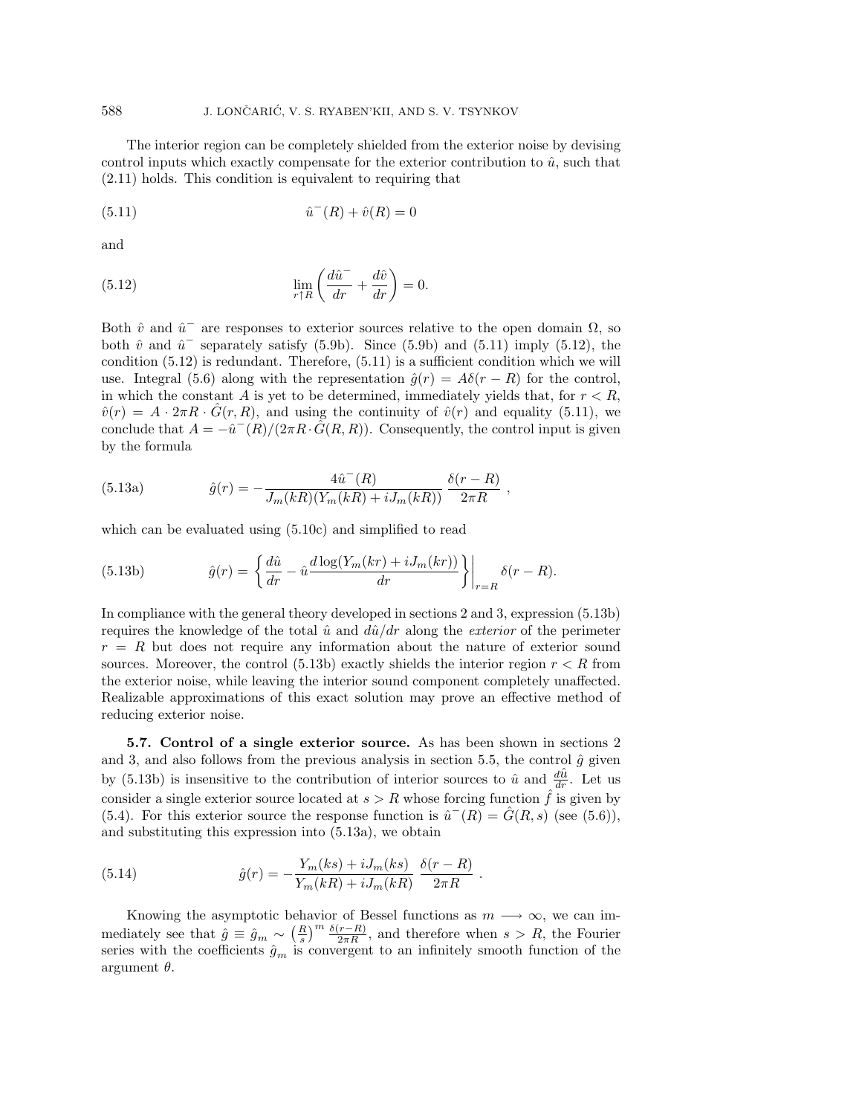The interior region can be completely shielded from the exterior noise by devising control inputs which exactly compensate for the exterior contribution to  $\hat{u}$ , such that (2.11) holds. This condition is equivalent to requiring that

(5.11) 
$$
\hat{u}^-(R) + \hat{v}(R) = 0
$$

and

(5.12) 
$$
\lim_{r \uparrow R} \left( \frac{d\hat{u}^-}{dr} + \frac{d\hat{v}}{dr} \right) = 0.
$$

Both  $\hat{v}$  and  $\hat{u}^-$  are responses to exterior sources relative to the open domain  $\Omega$ , so both  $\hat{v}$  and  $\hat{u}^-$  separately satisfy (5.9b). Since (5.9b) and (5.11) imply (5.12), the condition (5.12) is redundant. Therefore, (5.11) is a sufficient condition which we will use. Integral (5.6) along with the representation  $\hat{g}(r) = A\delta(r - R)$  for the control, in which the constant A is yet to be determined, immediately yields that, for  $r < R$ ,  $\hat{v}(r) = A \cdot 2\pi R \cdot \hat{G}(r, R)$ , and using the continuity of  $\hat{v}(r)$  and equality (5.11), we conclude that  $A = -\hat{u}^-(R)/(2\pi R \cdot \hat{G}(R, R))$ . Consequently, the control input is given by the formula

(5.13a) 
$$
\hat{g}(r) = -\frac{4\hat{u}^-(R)}{J_m(kR)(Y_m(kR) + iJ_m(kR))} \frac{\delta(r-R)}{2\pi R} ,
$$

which can be evaluated using (5.10c) and simplified to read

(5.13b) 
$$
\hat{g}(r) = \left\{ \frac{d\hat{u}}{dr} - \hat{u} \frac{d \log(Y_m(kr) + iJ_m(kr))}{dr} \right\} \bigg|_{r=R} \delta(r-R).
$$

In compliance with the general theory developed in sections 2 and 3, expression (5.13b) requires the knowledge of the total  $\hat{u}$  and  $d\hat{u}/dr$  along the *exterior* of the perimeter  $r = R$  but does not require any information about the nature of exterior sound sources. Moreover, the control (5.13b) exactly shields the interior region  $r < R$  from the exterior noise, while leaving the interior sound component completely unaffected. Realizable approximations of this exact solution may prove an effective method of reducing exterior noise.

**5.7. Control of a single exterior source.** As has been shown in sections 2 and 3, and also follows from the previous analysis in section 5.5, the control  $\hat{g}$  given by (5.13b) is insensitive to the contribution of interior sources to  $\hat{u}$  and  $\frac{d\hat{u}}{dr}$ . Let us consider a single exterior source located at  $s>R$  whose forcing function  $\hat{f}$  is given by (5.4). For this exterior source the response function is  $\hat{u}^-(R) = G(R, s)$  (see (5.6)), and substituting this expression into (5.13a), we obtain

(5.14) 
$$
\hat{g}(r) = -\frac{Y_m(ks) + iJ_m(ks)}{Y_m(kR) + iJ_m(kR)} \frac{\delta(r - R)}{2\pi R}.
$$

Knowing the asymptotic behavior of Bessel functions as  $m \longrightarrow \infty$ , we can immediately see that  $\hat{g} \equiv \hat{g}_m \sim \left(\frac{R}{s}\right)^m \frac{\delta(r-R)}{2\pi R}$ , and therefore when  $s > R$ , the Fourier series with the coefficients  $\hat{g}_m$  is convergent to an infinitely smooth function of the argument  $\theta$ .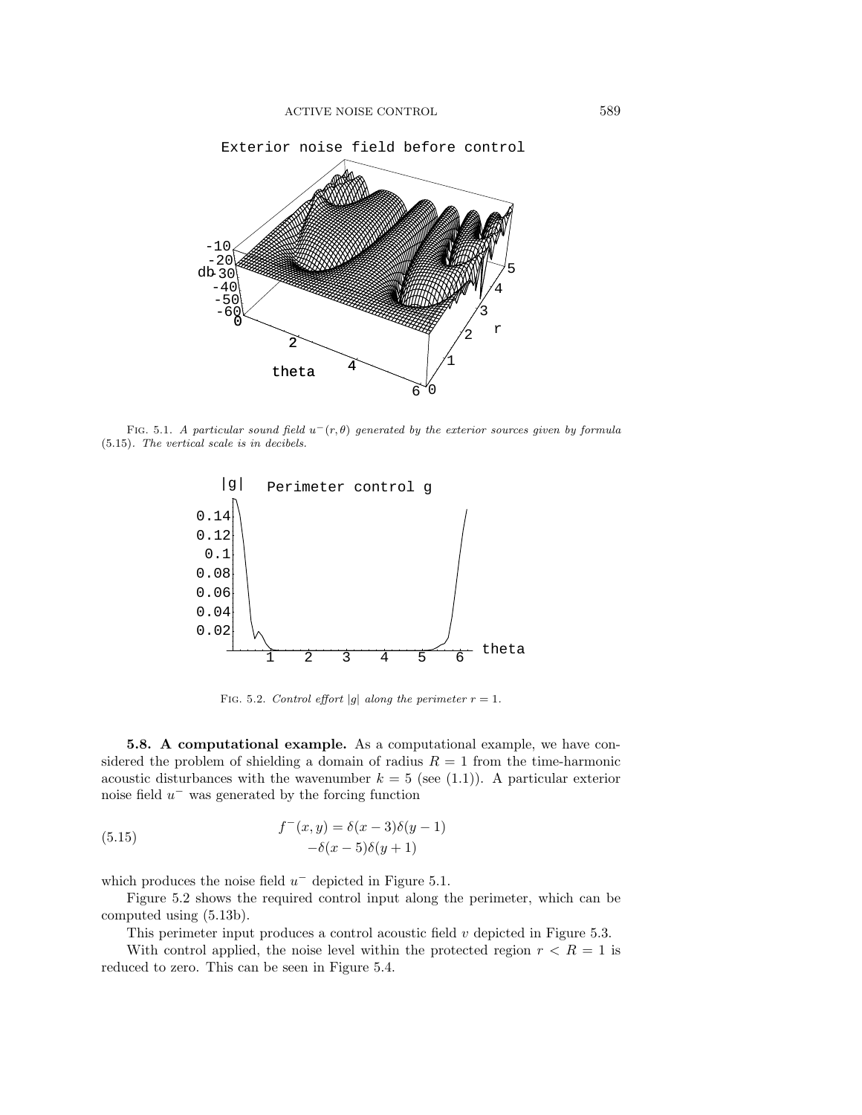

FIG. 5.1. A particular sound field  $u^-(r, \theta)$  generated by the exterior sources given by formula (5.15). The vertical scale is in decibels.



FIG. 5.2. Control effort |g| along the perimeter  $r = 1$ .

**5.8. A computational example.** As a computational example, we have considered the problem of shielding a domain of radius  $R = 1$  from the time-harmonic acoustic disturbances with the wavenumber  $k = 5$  (see (1.1)). A particular exterior noise field  $u^-$  was generated by the forcing function

(5.15) 
$$
f^{-}(x, y) = \delta(x - 3)\delta(y - 1) - \delta(x - 5)\delta(y + 1)
$$

which produces the noise field  $u^-$  depicted in Figure 5.1.

Figure 5.2 shows the required control input along the perimeter, which can be computed using (5.13b).

This perimeter input produces a control acoustic field  $v$  depicted in Figure 5.3.

With control applied, the noise level within the protected region  $r < R = 1$  is reduced to zero. This can be seen in Figure 5.4.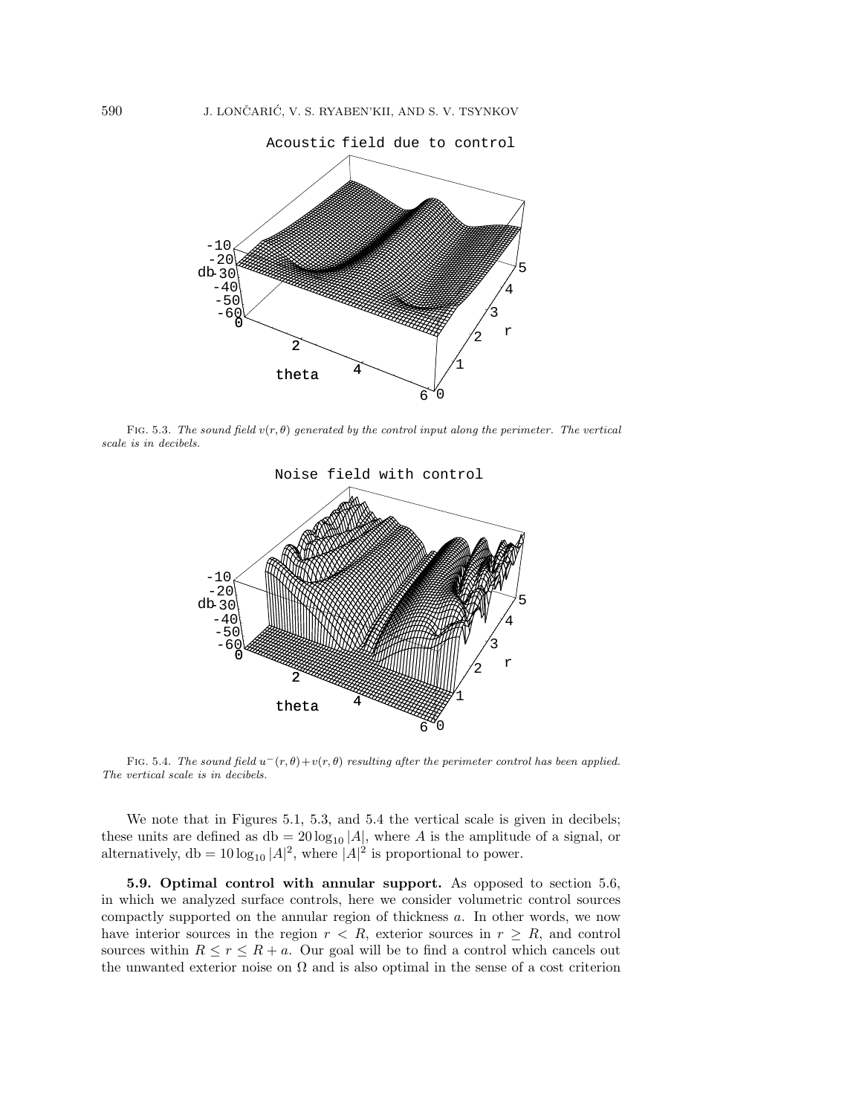

FIG. 5.3. The sound field  $v(r, \theta)$  generated by the control input along the perimeter. The vertical scale is in decibels.



FIG. 5.4. The sound field  $u^-(r, \theta)+v(r, \theta)$  resulting after the perimeter control has been applied. The vertical scale is in decibels.

We note that in Figures 5.1, 5.3, and 5.4 the vertical scale is given in decibels; these units are defined as  $db = 20 \log_{10} |A|$ , where A is the amplitude of a signal, or alternatively,  $db = 10 \log_{10} |A|^2$ , where  $|A|^2$  is proportional to power.

**5.9. Optimal control with annular support.** As opposed to section 5.6, in which we analyzed surface controls, here we consider volumetric control sources compactly supported on the annular region of thickness a. In other words, we now have interior sources in the region  $r < R$ , exterior sources in  $r \geq R$ , and control sources within  $R \le r \le R + a$ . Our goal will be to find a control which cancels out the unwanted exterior noise on  $\Omega$  and is also optimal in the sense of a cost criterion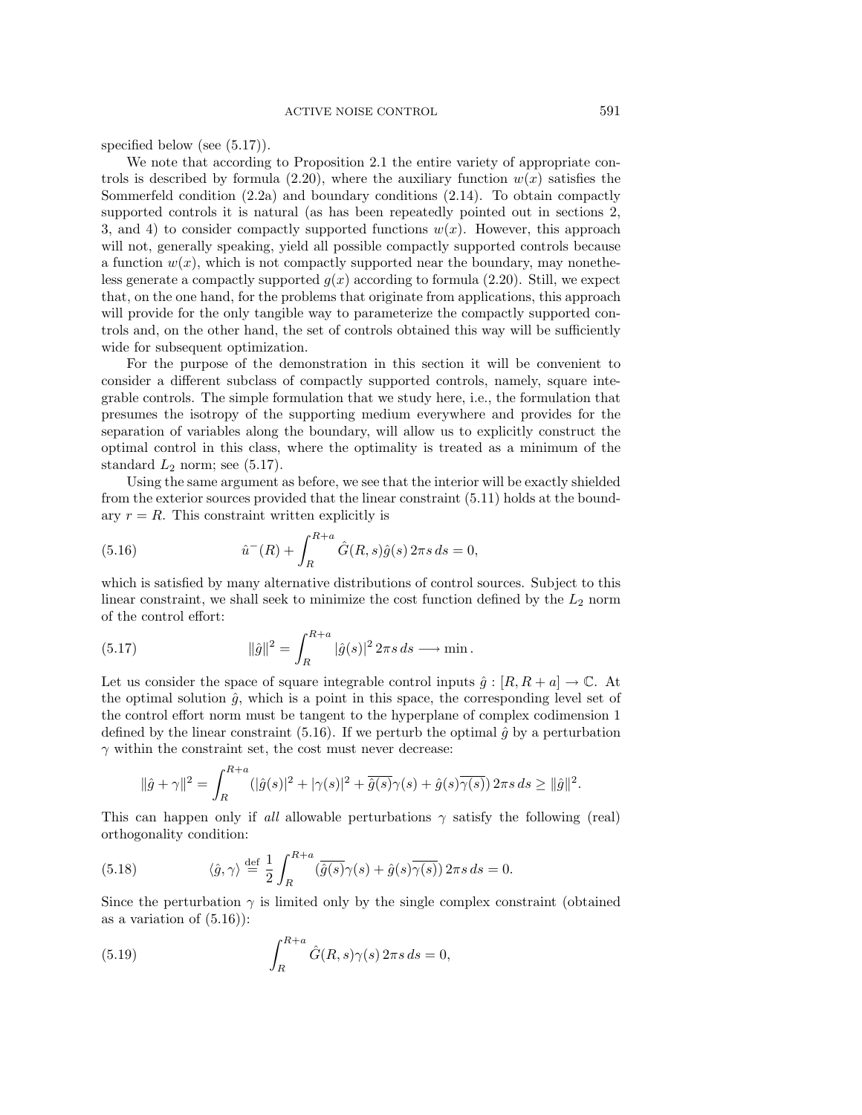specified below (see  $(5.17)$ ).

We note that according to Proposition 2.1 the entire variety of appropriate controls is described by formula (2.20), where the auxiliary function  $w(x)$  satisfies the Sommerfeld condition  $(2.2a)$  and boundary conditions  $(2.14)$ . To obtain compactly supported controls it is natural (as has been repeatedly pointed out in sections 2, 3, and 4) to consider compactly supported functions  $w(x)$ . However, this approach will not, generally speaking, yield all possible compactly supported controls because a function  $w(x)$ , which is not compactly supported near the boundary, may nonetheless generate a compactly supported  $g(x)$  according to formula (2.20). Still, we expect that, on the one hand, for the problems that originate from applications, this approach will provide for the only tangible way to parameterize the compactly supported controls and, on the other hand, the set of controls obtained this way will be sufficiently wide for subsequent optimization.

For the purpose of the demonstration in this section it will be convenient to consider a different subclass of compactly supported controls, namely, square integrable controls. The simple formulation that we study here, i.e., the formulation that presumes the isotropy of the supporting medium everywhere and provides for the separation of variables along the boundary, will allow us to explicitly construct the optimal control in this class, where the optimality is treated as a minimum of the standard  $L_2$  norm; see (5.17).

Using the same argument as before, we see that the interior will be exactly shielded from the exterior sources provided that the linear constraint (5.11) holds at the boundary  $r = R$ . This constraint written explicitly is

(5.16) 
$$
\hat{u}^-(R) + \int_R^{R+a} \hat{G}(R,s)\hat{g}(s) 2\pi s \, ds = 0,
$$

which is satisfied by many alternative distributions of control sources. Subject to this linear constraint, we shall seek to minimize the cost function defined by the  $L_2$  norm of the control effort:

(5.17) 
$$
\|\hat{g}\|^2 = \int_R^{R+a} |\hat{g}(s)|^2 2\pi s \, ds \longrightarrow \min.
$$

Let us consider the space of square integrable control inputs  $\hat{g} : [R, R + a] \to \mathbb{C}$ . At the optimal solution  $\hat{q}$ , which is a point in this space, the corresponding level set of the control effort norm must be tangent to the hyperplane of complex codimension 1 defined by the linear constraint (5.16). If we perturb the optimal  $\hat{g}$  by a perturbation  $\gamma$  within the constraint set, the cost must never decrease:

$$
\|\hat{g} + \gamma\|^2 = \int_R^{R+a} (|\hat{g}(s)|^2 + |\gamma(s)|^2 + \overline{\hat{g}(s)}\gamma(s) + \hat{g}(s)\overline{\gamma(s)}) 2\pi s \, ds \ge \|\hat{g}\|^2.
$$

This can happen only if all allowable perturbations  $\gamma$  satisfy the following (real) orthogonality condition:

(5.18) 
$$
\langle \hat{g}, \gamma \rangle \stackrel{\text{def}}{=} \frac{1}{2} \int_{R}^{R+a} (\overline{\hat{g}(s)}\gamma(s) + \hat{g}(s)\overline{\gamma(s)}) 2\pi s \, ds = 0.
$$

Since the perturbation  $\gamma$  is limited only by the single complex constraint (obtained as a variation of  $(5.16)$ :

(5.19) 
$$
\int_{R}^{R+a} \hat{G}(R,s) \gamma(s) 2\pi s \, ds = 0,
$$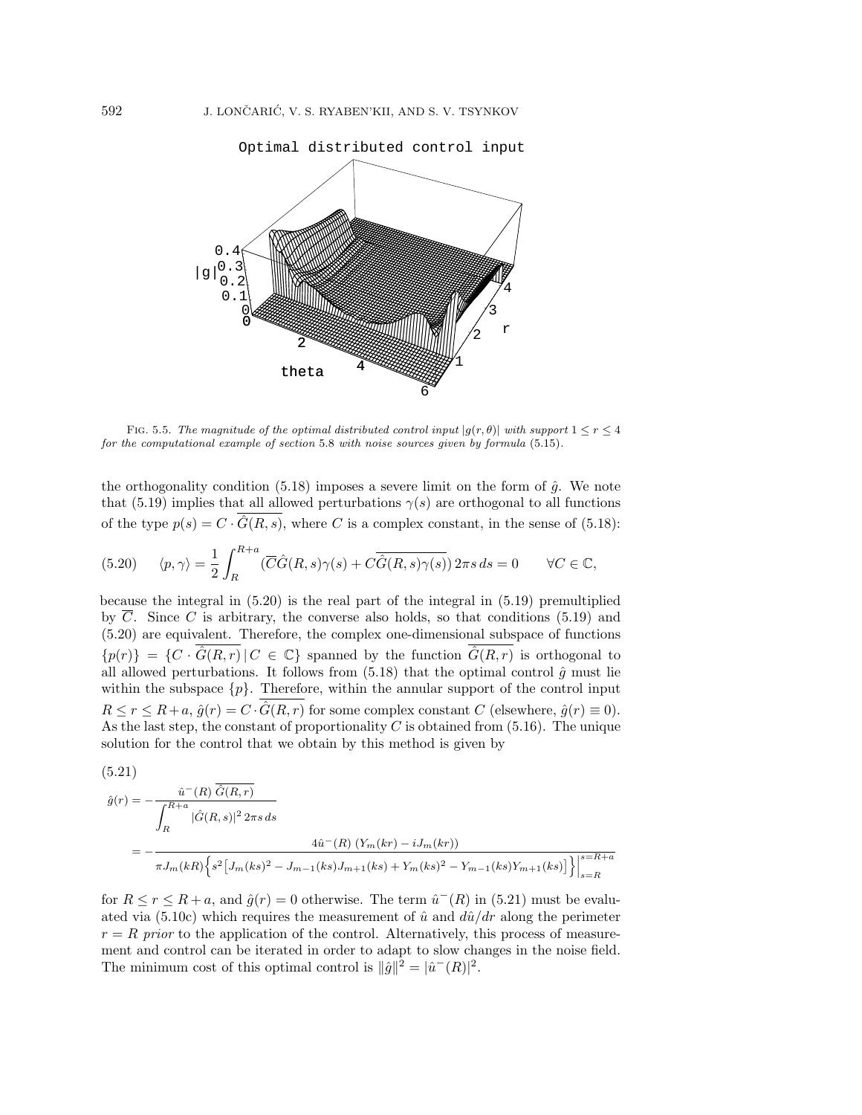

FIG. 5.5. The magnitude of the optimal distributed control input  $|g(r, \theta)|$  with support  $1 \leq r \leq 4$ for the computational example of section 5.8 with noise sources given by formula (5.15).

the orthogonality condition (5.18) imposes a severe limit on the form of  $\hat{g}$ . We note that (5.19) implies that all allowed perturbations  $\gamma(s)$  are orthogonal to all functions of the type  $p(s) = C \cdot \hat{G}(R, s)$ , where C is a complex constant, in the sense of (5.18):

(5.20) 
$$
\langle p, \gamma \rangle = \frac{1}{2} \int_{R}^{R+a} (\overline{C}\hat{G}(R,s)\gamma(s) + C\overline{\hat{G}(R,s)\gamma(s)}) 2\pi s \, ds = 0 \qquad \forall C \in \mathbb{C},
$$

because the integral in (5.20) is the real part of the integral in (5.19) premultiplied by  $\overline{C}$ . Since C is arbitrary, the converse also holds, so that conditions (5.19) and (5.20) are equivalent. Therefore, the complex one-dimensional subspace of functions  $\{p(r)\} = \{C \cdot \hat{G}(R,r) | C \in \mathbb{C}\}\$  spanned by the function  $\hat{G}(R,r)$  is orthogonal to all allowed perturbations. It follows from  $(5.18)$  that the optimal control  $\hat{g}$  must lie within the subspace  $\{p\}$ . Therefore, within the annular support of the control input  $R \le r \le R + a$ ,  $\hat{g}(r) = C \cdot \hat{G}(R, r)$  for some complex constant C (elsewhere,  $\hat{g}(r) \equiv 0$ ). As the last step, the constant of proportionality  $C$  is obtained from (5.16). The unique solution for the control that we obtain by this method is given by

$$
(5.21)
$$

$$
\hat{g}(r) = -\frac{\hat{u}^{-}(R)\overline{\hat{G}(R,r)}}{\int_{R}^{R+a} |\hat{G}(R,s)|^{2} 2\pi s ds}
$$
  
= 
$$
-\frac{4\hat{u}^{-}(R) (Y_{m}(kr) - iJ_{m}(kr))}{\pi J_{m}(kR)\Big\{s^{2}\Big[J_{m}(ks)^{2} - J_{m-1}(ks)J_{m+1}(ks) + Y_{m}(ks)^{2} - Y_{m-1}(ks)Y_{m+1}(ks)\Big]\Big\}\Big|_{s=R}^{s=R+a}
$$

for  $R \le r \le R + a$ , and  $\hat{g}(r) = 0$  otherwise. The term  $\hat{u}^-(R)$  in (5.21) must be evaluated via (5.10c) which requires the measurement of  $\hat{u}$  and  $d\hat{u}/dr$  along the perimeter  $r = R$  prior to the application of the control. Alternatively, this process of measurement and control can be iterated in order to adapt to slow changes in the noise field. The minimum cost of this optimal control is  $\|\hat{g}\|^2 = |\hat{u}^-(R)|^2$ .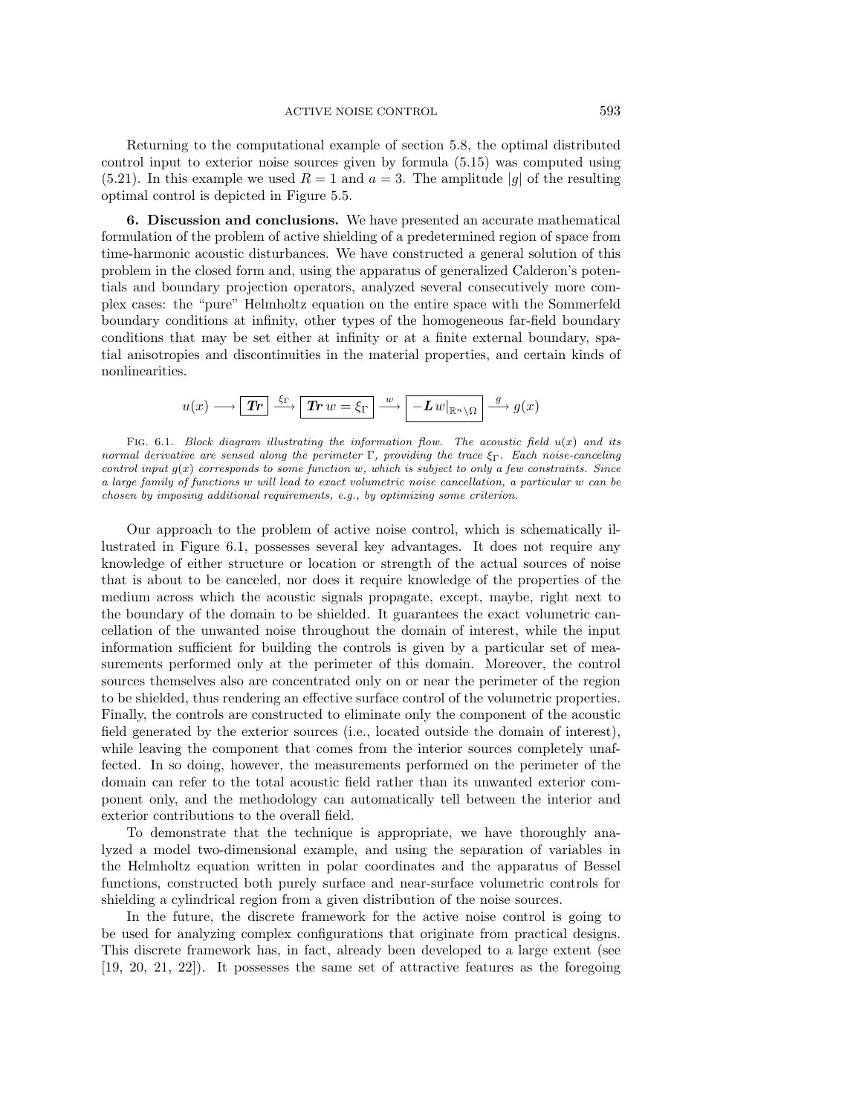Returning to the computational example of section 5.8, the optimal distributed control input to exterior noise sources given by formula (5.15) was computed using (5.21). In this example we used  $R = 1$  and  $a = 3$ . The amplitude |g| of the resulting optimal control is depicted in Figure 5.5.

**6. Discussion and conclusions.** We have presented an accurate mathematical formulation of the problem of active shielding of a predetermined region of space from time-harmonic acoustic disturbances. We have constructed a general solution of this problem in the closed form and, using the apparatus of generalized Calderon's potentials and boundary projection operators, analyzed several consecutively more complex cases: the "pure" Helmholtz equation on the entire space with the Sommerfeld boundary conditions at infinity, other types of the homogeneous far-field boundary conditions that may be set either at infinity or at a finite external boundary, spatial anisotropies and discontinuities in the material properties, and certain kinds of nonlinearities.

$$
u(x) \longrightarrow \boxed{\text{Tr}} \xrightarrow{\xi_{\Gamma}} \boxed{\text{Tr } w = \xi_{\Gamma}} \xrightarrow{w} \boxed{-\text{L } w|_{\mathbb{R}^n \setminus \Omega}} \xrightarrow{g} g(x)
$$

FIG. 6.1. Block diagram illustrating the information flow. The acoustic field  $u(x)$  and its normal derivative are sensed along the perimeter Γ, providing the trace  $\xi_{\Gamma}$ . Each noise-canceling control input  $q(x)$  corresponds to some function w, which is subject to only a few constraints. Since a large family of functions w will lead to exact volumetric noise cancellation, a particular w can be chosen by imposing additional requirements, e.g., by optimizing some criterion.

Our approach to the problem of active noise control, which is schematically illustrated in Figure 6.1, possesses several key advantages. It does not require any knowledge of either structure or location or strength of the actual sources of noise that is about to be canceled, nor does it require knowledge of the properties of the medium across which the acoustic signals propagate, except, maybe, right next to the boundary of the domain to be shielded. It guarantees the exact volumetric cancellation of the unwanted noise throughout the domain of interest, while the input information sufficient for building the controls is given by a particular set of measurements performed only at the perimeter of this domain. Moreover, the control sources themselves also are concentrated only on or near the perimeter of the region to be shielded, thus rendering an effective surface control of the volumetric properties. Finally, the controls are constructed to eliminate only the component of the acoustic field generated by the exterior sources (i.e., located outside the domain of interest), while leaving the component that comes from the interior sources completely unaffected. In so doing, however, the measurements performed on the perimeter of the domain can refer to the total acoustic field rather than its unwanted exterior component only, and the methodology can automatically tell between the interior and exterior contributions to the overall field.

To demonstrate that the technique is appropriate, we have thoroughly analyzed a model two-dimensional example, and using the separation of variables in the Helmholtz equation written in polar coordinates and the apparatus of Bessel functions, constructed both purely surface and near-surface volumetric controls for shielding a cylindrical region from a given distribution of the noise sources.

In the future, the discrete framework for the active noise control is going to be used for analyzing complex configurations that originate from practical designs. This discrete framework has, in fact, already been developed to a large extent (see [19, 20, 21, 22]). It possesses the same set of attractive features as the foregoing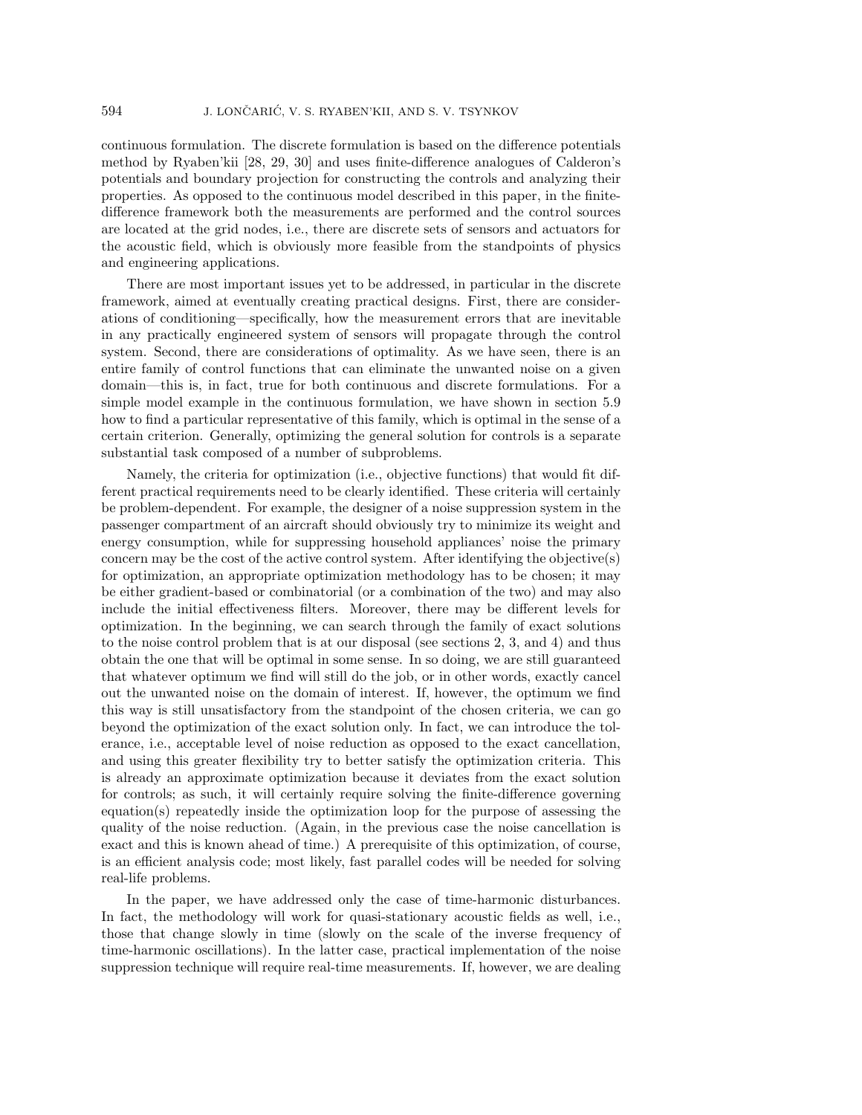continuous formulation. The discrete formulation is based on the difference potentials method by Ryaben'kii [28, 29, 30] and uses finite-difference analogues of Calderon's potentials and boundary projection for constructing the controls and analyzing their properties. As opposed to the continuous model described in this paper, in the finitedifference framework both the measurements are performed and the control sources are located at the grid nodes, i.e., there are discrete sets of sensors and actuators for the acoustic field, which is obviously more feasible from the standpoints of physics and engineering applications.

There are most important issues yet to be addressed, in particular in the discrete framework, aimed at eventually creating practical designs. First, there are considerations of conditioning—specifically, how the measurement errors that are inevitable in any practically engineered system of sensors will propagate through the control system. Second, there are considerations of optimality. As we have seen, there is an entire family of control functions that can eliminate the unwanted noise on a given domain—this is, in fact, true for both continuous and discrete formulations. For a simple model example in the continuous formulation, we have shown in section 5.9 how to find a particular representative of this family, which is optimal in the sense of a certain criterion. Generally, optimizing the general solution for controls is a separate substantial task composed of a number of subproblems.

Namely, the criteria for optimization (i.e., objective functions) that would fit different practical requirements need to be clearly identified. These criteria will certainly be problem-dependent. For example, the designer of a noise suppression system in the passenger compartment of an aircraft should obviously try to minimize its weight and energy consumption, while for suppressing household appliances' noise the primary concern may be the cost of the active control system. After identifying the objective(s) for optimization, an appropriate optimization methodology has to be chosen; it may be either gradient-based or combinatorial (or a combination of the two) and may also include the initial effectiveness filters. Moreover, there may be different levels for optimization. In the beginning, we can search through the family of exact solutions to the noise control problem that is at our disposal (see sections 2, 3, and 4) and thus obtain the one that will be optimal in some sense. In so doing, we are still guaranteed that whatever optimum we find will still do the job, or in other words, exactly cancel out the unwanted noise on the domain of interest. If, however, the optimum we find this way is still unsatisfactory from the standpoint of the chosen criteria, we can go beyond the optimization of the exact solution only. In fact, we can introduce the tolerance, i.e., acceptable level of noise reduction as opposed to the exact cancellation, and using this greater flexibility try to better satisfy the optimization criteria. This is already an approximate optimization because it deviates from the exact solution for controls; as such, it will certainly require solving the finite-difference governing equation(s) repeatedly inside the optimization loop for the purpose of assessing the quality of the noise reduction. (Again, in the previous case the noise cancellation is exact and this is known ahead of time.) A prerequisite of this optimization, of course, is an efficient analysis code; most likely, fast parallel codes will be needed for solving real-life problems.

In the paper, we have addressed only the case of time-harmonic disturbances. In fact, the methodology will work for quasi-stationary acoustic fields as well, i.e., those that change slowly in time (slowly on the scale of the inverse frequency of time-harmonic oscillations). In the latter case, practical implementation of the noise suppression technique will require real-time measurements. If, however, we are dealing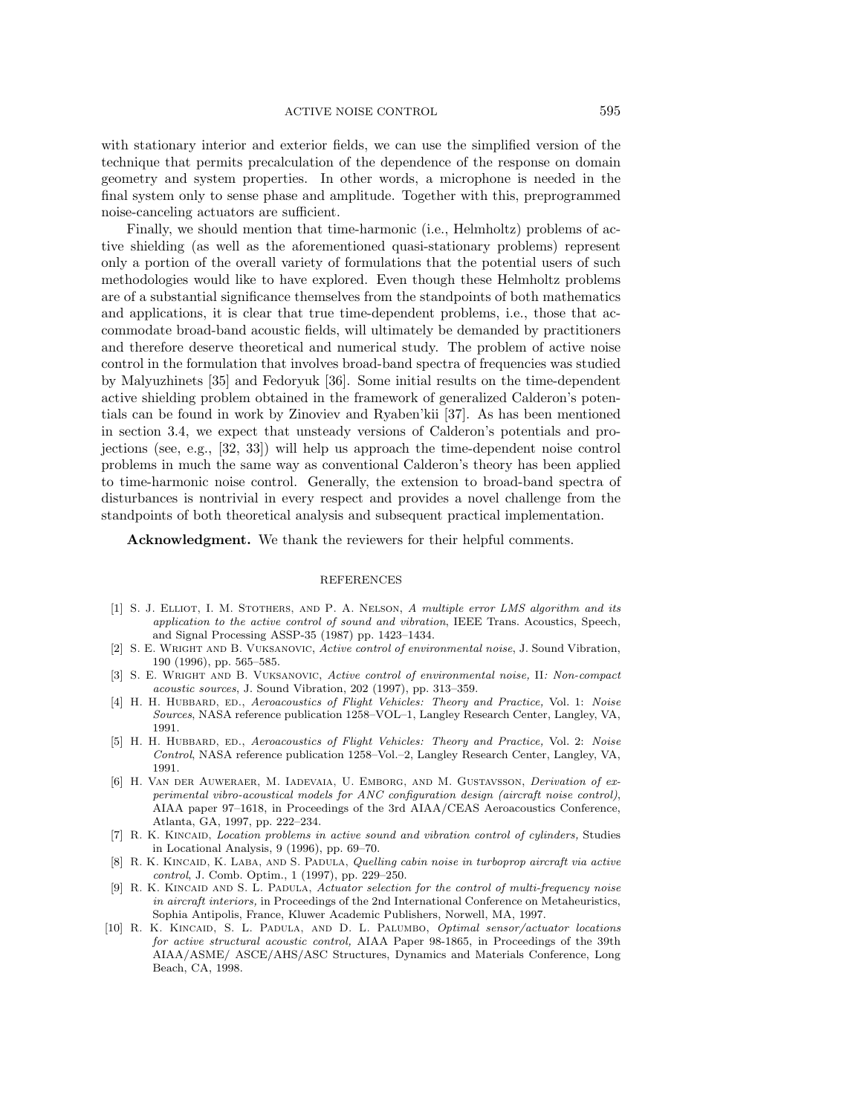with stationary interior and exterior fields, we can use the simplified version of the technique that permits precalculation of the dependence of the response on domain geometry and system properties. In other words, a microphone is needed in the final system only to sense phase and amplitude. Together with this, preprogrammed noise-canceling actuators are sufficient.

Finally, we should mention that time-harmonic (i.e., Helmholtz) problems of active shielding (as well as the aforementioned quasi-stationary problems) represent only a portion of the overall variety of formulations that the potential users of such methodologies would like to have explored. Even though these Helmholtz problems are of a substantial significance themselves from the standpoints of both mathematics and applications, it is clear that true time-dependent problems, i.e., those that accommodate broad-band acoustic fields, will ultimately be demanded by practitioners and therefore deserve theoretical and numerical study. The problem of active noise control in the formulation that involves broad-band spectra of frequencies was studied by Malyuzhinets [35] and Fedoryuk[36]. Some initial results on the time-dependent active shielding problem obtained in the framework of generalized Calderon's potentials can be found in workby Zinoviev and Ryaben'kii [37]. As has been mentioned in section 3.4, we expect that unsteady versions of Calderon's potentials and projections (see, e.g., [32, 33]) will help us approach the time-dependent noise control problems in much the same way as conventional Calderon's theory has been applied to time-harmonic noise control. Generally, the extension to broad-band spectra of disturbances is nontrivial in every respect and provides a novel challenge from the standpoints of both theoretical analysis and subsequent practical implementation.

Acknowledgment. We thank the reviewers for their helpful comments.

### REFERENCES

- [1] S. J. Elliot, I. M. Stothers, and P. A. Nelson, A multiple error LMS algorithm and its application to the active control of sound and vibration, IEEE Trans. Acoustics, Speech, and Signal Processing ASSP-35 (1987) pp. 1423–1434.
- [2] S. E. Wright and B. Vuksanovic, Active control of environmental noise, J. Sound Vibration, 190 (1996), pp. 565–585.
- [3] S. E. WRIGHT AND B. VUKSANOVIC, Active control of environmental noise, II: Non-compact acoustic sources, J. Sound Vibration, 202 (1997), pp. 313–359.
- [4] H. H. HUBBARD, ED., Aeroacoustics of Flight Vehicles: Theory and Practice, Vol. 1: Noise Sources, NASA reference publication 1258–VOL–1, Langley Research Center, Langley, VA, 1991.
- [5] H. H. HUBBARD, ED., Aeroacoustics of Flight Vehicles: Theory and Practice, Vol. 2: Noise Control, NASA reference publication 1258–Vol.–2, Langley Research Center, Langley, VA, 1991.
- [6] H. Van der Auweraer, M. Iadevaia, U. Emborg, and M. Gustavsson, Derivation of experimental vibro-acoustical models for ANC configuration design (aircraft noise control), AIAA paper 97–1618, in Proceedings of the 3rd AIAA/CEAS Aeroacoustics Conference, Atlanta, GA, 1997, pp. 222–234.
- [7] R. K. KINCAID, Location problems in active sound and vibration control of cylinders, Studies in Locational Analysis, 9 (1996), pp. 69–70.
- [8] R. K. KINCAID, K. LABA, AND S. PADULA, *Quelling cabin noise in turboprop aircraft via active* control, J. Comb. Optim., 1 (1997), pp. 229–250.
- [9] R. K. KINCAID AND S. L. PADULA, Actuator selection for the control of multi-frequency noise in aircraft interiors, in Proceedings of the 2nd International Conference on Metaheuristics, Sophia Antipolis, France, Kluwer Academic Publishers, Norwell, MA, 1997.
- [10] R. K. KINCAID, S. L. PADULA, AND D. L. PALUMBO, Optimal sensor/actuator locations for active structural acoustic control, AIAA Paper 98-1865, in Proceedings of the 39th AIAA/ASME/ ASCE/AHS/ASC Structures, Dynamics and Materials Conference, Long Beach, CA, 1998.